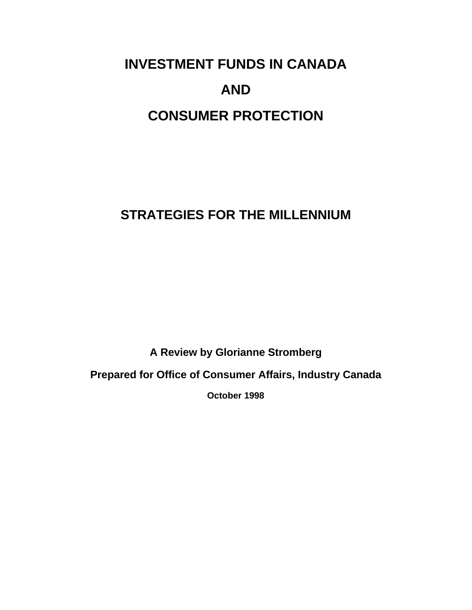# **INVESTMENT FUNDS IN CANADA AND CONSUMER PROTECTION**

# **STRATEGIES FOR THE MILLENNIUM**

**A Review by Glorianne Stromberg**

**Prepared for Office of Consumer Affairs, Industry Canada**

**October 1998**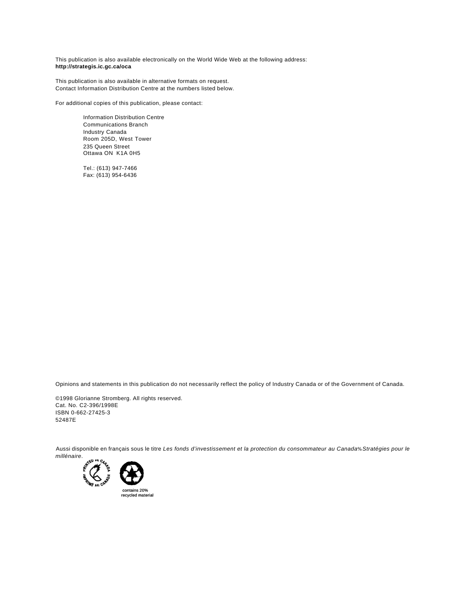This publication is also available electronically on the World Wide Web at the following address: **http://strategis.ic.gc.ca/oca**

This publication is also available in alternative formats on request. Contact Information Distribution Centre at the numbers listed below.

For additional copies of this publication, please contact:

Information Distribution Centre Communications Branch Industry Canada Room 205D, West Tower 235 Queen Street Ottawa ON K1A 0H5

Tel.: (613) 947-7466 Fax: (613) 954-6436

Opinions and statements in this publication do not necessarily reflect the policy of Industry Canada or of the Government of Canada.

©1998 Glorianne Stromberg. All rights reserved. Cat. No. C2-396/1998E ISBN 0-662-27425-3 52487E

Aussi disponible en français sous le titre *Les fonds d'investissement et la protection du consommateur au Canada% Stratégies pour le millénaire*.

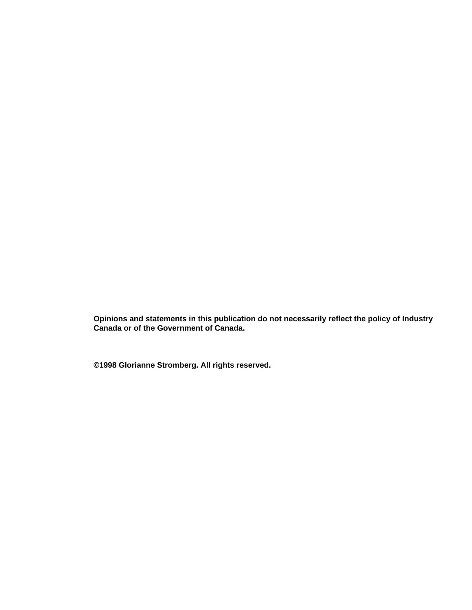**Opinions and statements in this publication do not necessarily reflect the policy of Industry Canada or of the Government of Canada.**

**©1998 Glorianne Stromberg. All rights reserved.**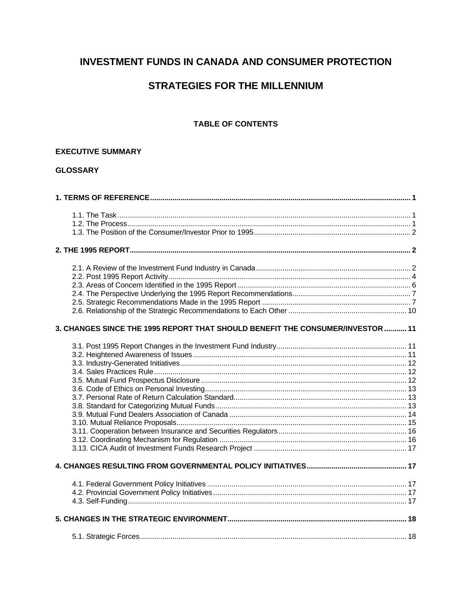# **INVESTMENT FUNDS IN CANADA AND CONSUMER PROTECTION**

# **STRATEGIES FOR THE MILLENNIUM**

# **TABLE OF CONTENTS**

#### **EXECUTIVE SUMMARY**

# **GLOSSARY**

| 3. CHANGES SINCE THE 1995 REPORT THAT SHOULD BENEFIT THE CONSUMER/INVESTOR  11 |  |
|--------------------------------------------------------------------------------|--|
|                                                                                |  |
|                                                                                |  |
|                                                                                |  |
|                                                                                |  |
|                                                                                |  |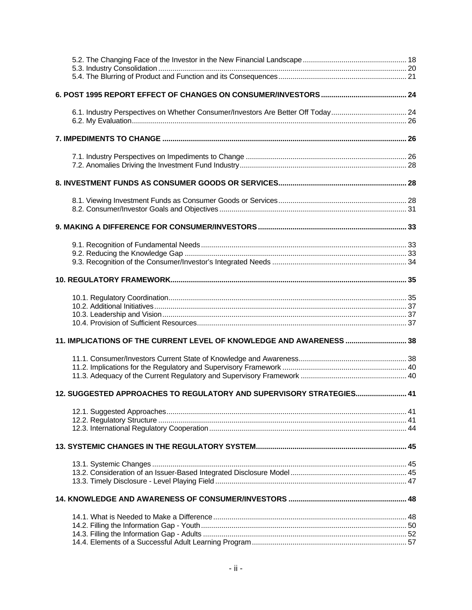| 6.1. Industry Perspectives on Whether Consumer/Investors Are Better Off Today 24 |  |
|----------------------------------------------------------------------------------|--|
|                                                                                  |  |
|                                                                                  |  |
|                                                                                  |  |
|                                                                                  |  |
|                                                                                  |  |
|                                                                                  |  |
|                                                                                  |  |
|                                                                                  |  |
|                                                                                  |  |
|                                                                                  |  |
|                                                                                  |  |
|                                                                                  |  |
|                                                                                  |  |
|                                                                                  |  |
|                                                                                  |  |
|                                                                                  |  |
| 11. IMPLICATIONS OF THE CURRENT LEVEL OF KNOWLEDGE AND AWARENESS  38             |  |
|                                                                                  |  |
|                                                                                  |  |
|                                                                                  |  |
| 12. SUGGESTED APPROACHES TO REGULATORY AND SUPERVISORY STRATEGIES 41             |  |
|                                                                                  |  |
|                                                                                  |  |
|                                                                                  |  |
|                                                                                  |  |
|                                                                                  |  |
|                                                                                  |  |
|                                                                                  |  |
|                                                                                  |  |
|                                                                                  |  |
|                                                                                  |  |
|                                                                                  |  |
|                                                                                  |  |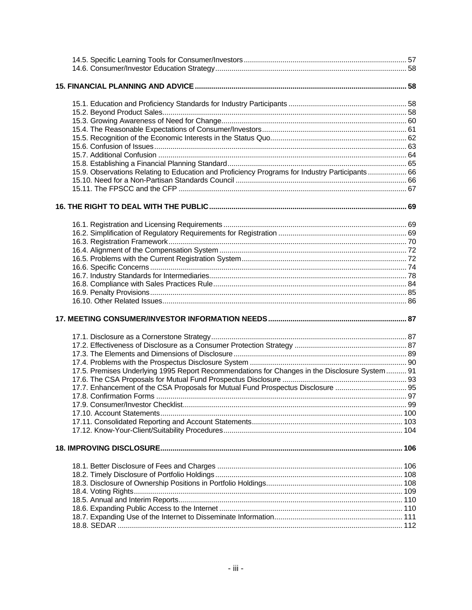| 15.9. Observations Relating to Education and Proficiency Programs for Industry Participants 66 |  |
|------------------------------------------------------------------------------------------------|--|
|                                                                                                |  |
|                                                                                                |  |
|                                                                                                |  |
|                                                                                                |  |
|                                                                                                |  |
|                                                                                                |  |
|                                                                                                |  |
|                                                                                                |  |
|                                                                                                |  |
|                                                                                                |  |
|                                                                                                |  |
|                                                                                                |  |
|                                                                                                |  |
|                                                                                                |  |
|                                                                                                |  |
|                                                                                                |  |
|                                                                                                |  |
|                                                                                                |  |
|                                                                                                |  |
|                                                                                                |  |
|                                                                                                |  |
| 17.5. Premises Underlying 1995 Report Recommendations for Changes in the Disclosure System 91  |  |
|                                                                                                |  |
| 17.7. Enhancement of the CSA Proposals for Mutual Fund Prospectus Disclosure  95               |  |
|                                                                                                |  |
|                                                                                                |  |
|                                                                                                |  |
|                                                                                                |  |
|                                                                                                |  |
|                                                                                                |  |
|                                                                                                |  |
|                                                                                                |  |
|                                                                                                |  |
|                                                                                                |  |
|                                                                                                |  |
|                                                                                                |  |
|                                                                                                |  |
|                                                                                                |  |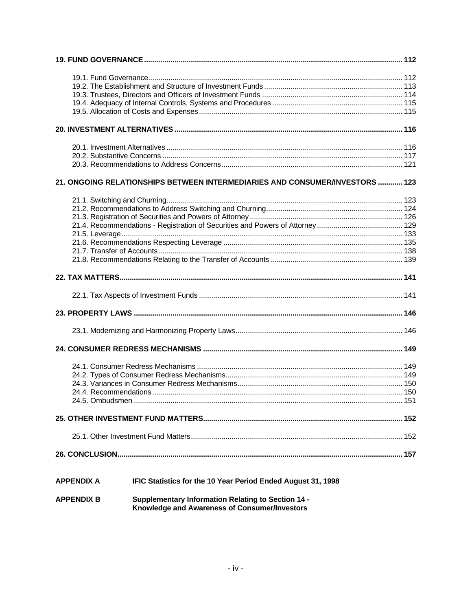| 21. ONGOING RELATIONSHIPS BETWEEN INTERMEDIARIES AND CONSUMER/INVESTORS  123      |  |
|-----------------------------------------------------------------------------------|--|
|                                                                                   |  |
|                                                                                   |  |
|                                                                                   |  |
|                                                                                   |  |
|                                                                                   |  |
|                                                                                   |  |
|                                                                                   |  |
|                                                                                   |  |
|                                                                                   |  |
|                                                                                   |  |
|                                                                                   |  |
|                                                                                   |  |
|                                                                                   |  |
|                                                                                   |  |
|                                                                                   |  |
|                                                                                   |  |
|                                                                                   |  |
|                                                                                   |  |
|                                                                                   |  |
|                                                                                   |  |
|                                                                                   |  |
|                                                                                   |  |
|                                                                                   |  |
| IFIC Statistics for the 10 Year Period Ended August 31, 1998<br><b>APPENDIX A</b> |  |

**Supplementary Information Relating to Section 14 - Knowledge and Awareness of Consumer/Investors APPENDIX B**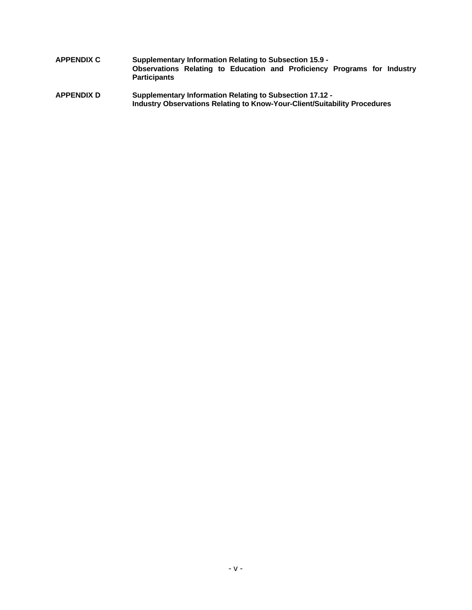- **APPENDIX C Supplementary Information Relating to Subsection 15.9 - Observations Relating to Education and Proficiency Programs for Industry Participants**
- **APPENDIX D Supplementary Information Relating to Subsection 17.12 - Industry Observations Relating to Know-Your-Client/Suitability Procedures**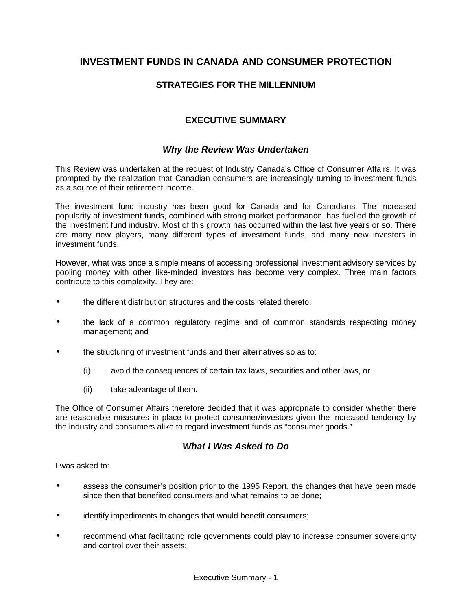# **INVESTMENT FUNDS IN CANADA AND CONSUMER PROTECTION**

# **STRATEGIES FOR THE MILLENNIUM**

# **EXECUTIVE SUMMARY**

# *Why the Review Was Undertaken*

This Review was undertaken at the request of Industry Canada's Office of Consumer Affairs. It was prompted by the realization that Canadian consumers are increasingly turning to investment funds as a source of their retirement income.

The investment fund industry has been good for Canada and for Canadians. The increased popularity of investment funds, combined with strong market performance, has fuelled the growth of the investment fund industry. Most of this growth has occurred within the last five years or so. There are many new players, many different types of investment funds, and many new investors in investment funds.

However, what was once a simple means of accessing professional investment advisory services by pooling money with other like-minded investors has become very complex. Three main factors contribute to this complexity. They are:

- the different distribution structures and the costs related thereto;
- the lack of a common regulatory regime and of common standards respecting money management; and
- the structuring of investment funds and their alternatives so as to:
	- (i) avoid the consequences of certain tax laws, securities and other laws, or
	- (ii) take advantage of them.

The Office of Consumer Affairs therefore decided that it was appropriate to consider whether there are reasonable measures in place to protect consumer/investors given the increased tendency by the industry and consumers alike to regard investment funds as "consumer goods."

# *What I Was Asked to Do*

I was asked to:

- assess the consumer's position prior to the 1995 Report, the changes that have been made since then that benefited consumers and what remains to be done;
- identify impediments to changes that would benefit consumers;
- recommend what facilitating role governments could play to increase consumer sovereignty and control over their assets;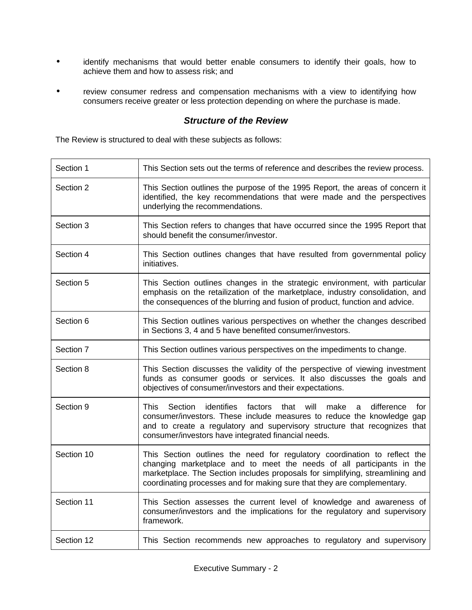- identify mechanisms that would better enable consumers to identify their goals, how to achieve them and how to assess risk; and
- review consumer redress and compensation mechanisms with a view to identifying how consumers receive greater or less protection depending on where the purchase is made.

# *Structure of the Review*

The Review is structured to deal with these subjects as follows:

| Section 1  | This Section sets out the terms of reference and describes the review process.                                                                                                                                                                                                                                 |
|------------|----------------------------------------------------------------------------------------------------------------------------------------------------------------------------------------------------------------------------------------------------------------------------------------------------------------|
| Section 2  | This Section outlines the purpose of the 1995 Report, the areas of concern it<br>identified, the key recommendations that were made and the perspectives<br>underlying the recommendations.                                                                                                                    |
| Section 3  | This Section refers to changes that have occurred since the 1995 Report that<br>should benefit the consumer/investor.                                                                                                                                                                                          |
| Section 4  | This Section outlines changes that have resulted from governmental policy<br>initiatives.                                                                                                                                                                                                                      |
| Section 5  | This Section outlines changes in the strategic environment, with particular<br>emphasis on the retailization of the marketplace, industry consolidation, and<br>the consequences of the blurring and fusion of product, function and advice.                                                                   |
| Section 6  | This Section outlines various perspectives on whether the changes described<br>in Sections 3, 4 and 5 have benefited consumer/investors.                                                                                                                                                                       |
| Section 7  | This Section outlines various perspectives on the impediments to change.                                                                                                                                                                                                                                       |
| Section 8  | This Section discusses the validity of the perspective of viewing investment<br>funds as consumer goods or services. It also discusses the goals and<br>objectives of consumer/investors and their expectations.                                                                                               |
| Section 9  | identifies<br>will<br>This<br>Section<br>factors<br>that<br>make<br>difference<br>for<br>a<br>consumer/investors. These include measures to reduce the knowledge gap<br>and to create a regulatory and supervisory structure that recognizes that<br>consumer/investors have integrated financial needs.       |
| Section 10 | This Section outlines the need for regulatory coordination to reflect the<br>changing marketplace and to meet the needs of all participants in the<br>marketplace. The Section includes proposals for simplifying, streamlining and<br>coordinating processes and for making sure that they are complementary. |
| Section 11 | This Section assesses the current level of knowledge and awareness of<br>consumer/investors and the implications for the regulatory and supervisory<br>framework.                                                                                                                                              |
| Section 12 | This Section recommends new approaches to regulatory and supervisory                                                                                                                                                                                                                                           |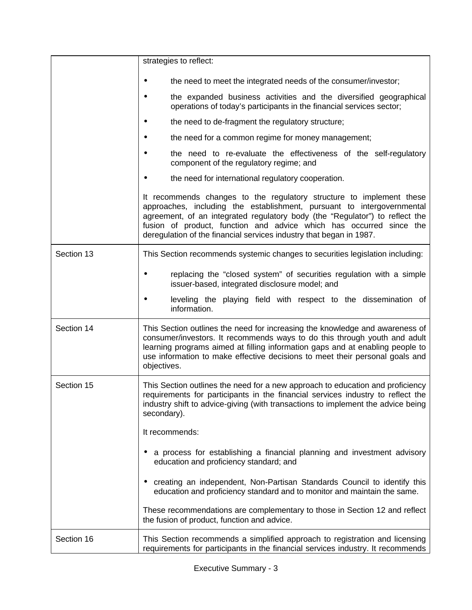|            | strategies to reflect:                                                                                                                                                                                                                                                                                                                                                       |
|------------|------------------------------------------------------------------------------------------------------------------------------------------------------------------------------------------------------------------------------------------------------------------------------------------------------------------------------------------------------------------------------|
|            | the need to meet the integrated needs of the consumer/investor;                                                                                                                                                                                                                                                                                                              |
|            | the expanded business activities and the diversified geographical<br>operations of today's participants in the financial services sector;                                                                                                                                                                                                                                    |
|            | the need to de-fragment the regulatory structure;                                                                                                                                                                                                                                                                                                                            |
|            | the need for a common regime for money management;                                                                                                                                                                                                                                                                                                                           |
|            | the need to re-evaluate the effectiveness of the self-regulatory<br>component of the regulatory regime; and                                                                                                                                                                                                                                                                  |
|            | the need for international regulatory cooperation.                                                                                                                                                                                                                                                                                                                           |
|            | It recommends changes to the regulatory structure to implement these<br>approaches, including the establishment, pursuant to intergovernmental<br>agreement, of an integrated regulatory body (the "Regulator") to reflect the<br>fusion of product, function and advice which has occurred since the<br>deregulation of the financial services industry that began in 1987. |
| Section 13 | This Section recommends systemic changes to securities legislation including:                                                                                                                                                                                                                                                                                                |
|            | replacing the "closed system" of securities regulation with a simple<br>issuer-based, integrated disclosure model; and                                                                                                                                                                                                                                                       |
|            | leveling the playing field with respect to the dissemination of<br>information.                                                                                                                                                                                                                                                                                              |
| Section 14 | This Section outlines the need for increasing the knowledge and awareness of<br>consumer/investors. It recommends ways to do this through youth and adult<br>learning programs aimed at filling information gaps and at enabling people to<br>use information to make effective decisions to meet their personal goals and<br>objectives.                                    |
| Section 15 | This Section outlines the need for a new approach to education and proficiency<br>requirements for participants in the financial services industry to reflect the<br>industry shift to advice-giving (with transactions to implement the advice being<br>secondary).                                                                                                         |
|            | It recommends:                                                                                                                                                                                                                                                                                                                                                               |
|            | a process for establishing a financial planning and investment advisory<br>education and proficiency standard; and                                                                                                                                                                                                                                                           |
|            | creating an independent, Non-Partisan Standards Council to identify this<br>education and proficiency standard and to monitor and maintain the same.                                                                                                                                                                                                                         |
|            | These recommendations are complementary to those in Section 12 and reflect<br>the fusion of product, function and advice.                                                                                                                                                                                                                                                    |
| Section 16 | This Section recommends a simplified approach to registration and licensing<br>requirements for participants in the financial services industry. It recommends                                                                                                                                                                                                               |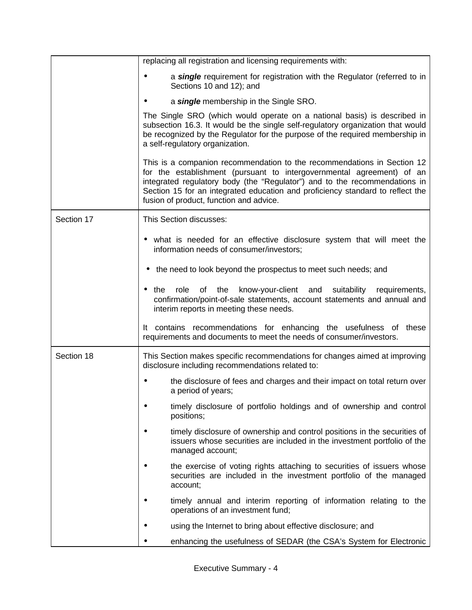|            | replacing all registration and licensing requirements with:                                                                                                                                                                                                                                                                                                 |
|------------|-------------------------------------------------------------------------------------------------------------------------------------------------------------------------------------------------------------------------------------------------------------------------------------------------------------------------------------------------------------|
|            | a single requirement for registration with the Regulator (referred to in<br>Sections 10 and 12); and                                                                                                                                                                                                                                                        |
|            | a single membership in the Single SRO.                                                                                                                                                                                                                                                                                                                      |
|            | The Single SRO (which would operate on a national basis) is described in<br>subsection 16.3. It would be the single self-regulatory organization that would<br>be recognized by the Regulator for the purpose of the required membership in<br>a self-regulatory organization.                                                                              |
|            | This is a companion recommendation to the recommendations in Section 12<br>for the establishment (pursuant to intergovernmental agreement) of an<br>integrated regulatory body (the "Regulator") and to the recommendations in<br>Section 15 for an integrated education and proficiency standard to reflect the<br>fusion of product, function and advice. |
| Section 17 | This Section discusses:                                                                                                                                                                                                                                                                                                                                     |
|            | what is needed for an effective disclosure system that will meet the<br>information needs of consumer/investors;                                                                                                                                                                                                                                            |
|            | the need to look beyond the prospectus to meet such needs; and                                                                                                                                                                                                                                                                                              |
|            | role<br>the<br>know-your-client and suitability<br>requirements,<br>the<br>of<br>confirmation/point-of-sale statements, account statements and annual and<br>interim reports in meeting these needs.                                                                                                                                                        |
|            | It contains recommendations for enhancing the usefulness of these<br>requirements and documents to meet the needs of consumer/investors.                                                                                                                                                                                                                    |
| Section 18 | This Section makes specific recommendations for changes aimed at improving<br>disclosure including recommendations related to:                                                                                                                                                                                                                              |
|            | the disclosure of fees and charges and their impact on total return over<br>a period of years;                                                                                                                                                                                                                                                              |
|            | timely disclosure of portfolio holdings and of ownership and control<br>positions;                                                                                                                                                                                                                                                                          |
|            | timely disclosure of ownership and control positions in the securities of<br>issuers whose securities are included in the investment portfolio of the<br>managed account;                                                                                                                                                                                   |
|            | the exercise of voting rights attaching to securities of issuers whose<br>securities are included in the investment portfolio of the managed<br>account;                                                                                                                                                                                                    |
|            | timely annual and interim reporting of information relating to the<br>operations of an investment fund;                                                                                                                                                                                                                                                     |
|            | using the Internet to bring about effective disclosure; and                                                                                                                                                                                                                                                                                                 |
|            | enhancing the usefulness of SEDAR (the CSA's System for Electronic<br>$\bullet$                                                                                                                                                                                                                                                                             |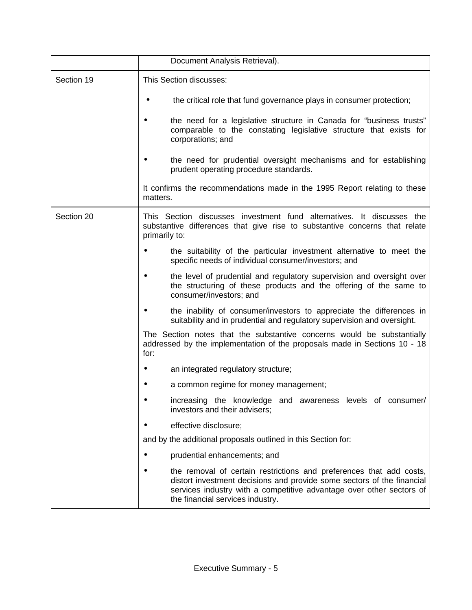|            | Document Analysis Retrieval).                                                                                                                                                                                                                             |
|------------|-----------------------------------------------------------------------------------------------------------------------------------------------------------------------------------------------------------------------------------------------------------|
| Section 19 | This Section discusses:                                                                                                                                                                                                                                   |
|            | the critical role that fund governance plays in consumer protection;                                                                                                                                                                                      |
|            | the need for a legislative structure in Canada for "business trusts"<br>comparable to the constating legislative structure that exists for<br>corporations; and                                                                                           |
|            | the need for prudential oversight mechanisms and for establishing<br>prudent operating procedure standards.                                                                                                                                               |
|            | It confirms the recommendations made in the 1995 Report relating to these<br>matters.                                                                                                                                                                     |
| Section 20 | This Section discusses investment fund alternatives. It discusses the<br>substantive differences that give rise to substantive concerns that relate<br>primarily to:                                                                                      |
|            | the suitability of the particular investment alternative to meet the<br>specific needs of individual consumer/investors; and                                                                                                                              |
|            | the level of prudential and regulatory supervision and oversight over<br>the structuring of these products and the offering of the same to<br>consumer/investors; and                                                                                     |
|            | the inability of consumer/investors to appreciate the differences in<br>suitability and in prudential and regulatory supervision and oversight.                                                                                                           |
|            | The Section notes that the substantive concerns would be substantially<br>addressed by the implementation of the proposals made in Sections 10 - 18<br>for:                                                                                               |
|            | an integrated regulatory structure;                                                                                                                                                                                                                       |
|            | a common regime for money management;                                                                                                                                                                                                                     |
|            | increasing the knowledge and awareness levels of consumer/<br>investors and their advisers;                                                                                                                                                               |
|            | effective disclosure;                                                                                                                                                                                                                                     |
|            | and by the additional proposals outlined in this Section for:                                                                                                                                                                                             |
|            | prudential enhancements; and                                                                                                                                                                                                                              |
|            | the removal of certain restrictions and preferences that add costs,<br>distort investment decisions and provide some sectors of the financial<br>services industry with a competitive advantage over other sectors of<br>the financial services industry. |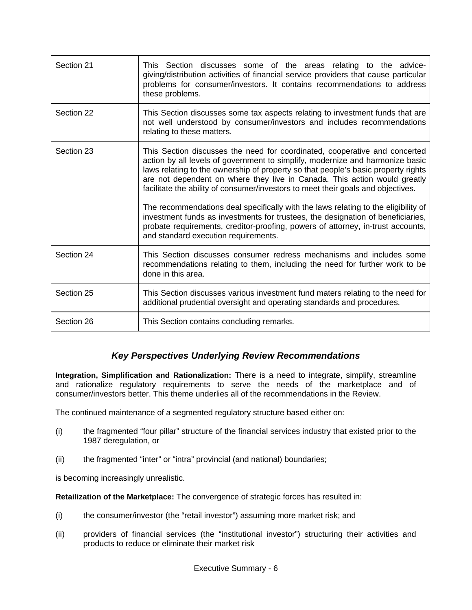| Section 21 | This Section discusses some of the areas relating to the advice-<br>giving/distribution activities of financial service providers that cause particular<br>problems for consumer/investors. It contains recommendations to address<br>these problems.                                                                                                                                                                                                                                                   |
|------------|---------------------------------------------------------------------------------------------------------------------------------------------------------------------------------------------------------------------------------------------------------------------------------------------------------------------------------------------------------------------------------------------------------------------------------------------------------------------------------------------------------|
| Section 22 | This Section discusses some tax aspects relating to investment funds that are<br>not well understood by consumer/investors and includes recommendations<br>relating to these matters.                                                                                                                                                                                                                                                                                                                   |
| Section 23 | This Section discusses the need for coordinated, cooperative and concerted<br>action by all levels of government to simplify, modernize and harmonize basic<br>laws relating to the ownership of property so that people's basic property rights<br>are not dependent on where they live in Canada. This action would greatly<br>facilitate the ability of consumer/investors to meet their goals and objectives.<br>The recommendations deal specifically with the laws relating to the eligibility of |
|            | investment funds as investments for trustees, the designation of beneficiaries,<br>probate requirements, creditor-proofing, powers of attorney, in-trust accounts,<br>and standard execution requirements.                                                                                                                                                                                                                                                                                              |
| Section 24 | This Section discusses consumer redress mechanisms and includes some<br>recommendations relating to them, including the need for further work to be<br>done in this area.                                                                                                                                                                                                                                                                                                                               |
| Section 25 | This Section discusses various investment fund maters relating to the need for<br>additional prudential oversight and operating standards and procedures.                                                                                                                                                                                                                                                                                                                                               |
| Section 26 | This Section contains concluding remarks.                                                                                                                                                                                                                                                                                                                                                                                                                                                               |

# *Key Perspectives Underlying Review Recommendations*

**Integration, Simplification and Rationalization:** There is a need to integrate, simplify, streamline and rationalize regulatory requirements to serve the needs of the marketplace and of consumer/investors better. This theme underlies all of the recommendations in the Review.

The continued maintenance of a segmented regulatory structure based either on:

- (i) the fragmented "four pillar" structure of the financial services industry that existed prior to the 1987 deregulation, or
- (ii) the fragmented "inter" or "intra" provincial (and national) boundaries;

is becoming increasingly unrealistic.

**Retailization of the Marketplace:** The convergence of strategic forces has resulted in:

- (i) the consumer/investor (the "retail investor") assuming more market risk; and
- (ii) providers of financial services (the "institutional investor") structuring their activities and products to reduce or eliminate their market risk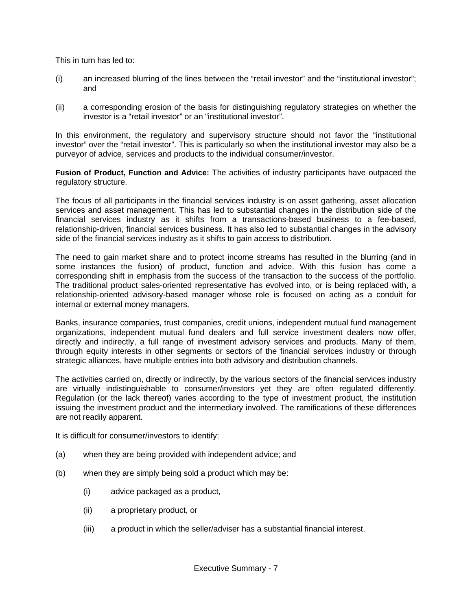This in turn has led to:

- (i) an increased blurring of the lines between the "retail investor" and the "institutional investor"; and
- (ii) a corresponding erosion of the basis for distinguishing regulatory strategies on whether the investor is a "retail investor" or an "institutional investor".

In this environment, the regulatory and supervisory structure should not favor the "institutional investor" over the "retail investor". This is particularly so when the institutional investor may also be a purveyor of advice, services and products to the individual consumer/investor.

**Fusion of Product, Function and Advice:** The activities of industry participants have outpaced the regulatory structure.

The focus of all participants in the financial services industry is on asset gathering, asset allocation services and asset management. This has led to substantial changes in the distribution side of the financial services industry as it shifts from a transactions-based business to a fee-based, relationship-driven, financial services business. It has also led to substantial changes in the advisory side of the financial services industry as it shifts to gain access to distribution.

The need to gain market share and to protect income streams has resulted in the blurring (and in some instances the fusion) of product, function and advice. With this fusion has come a corresponding shift in emphasis from the success of the transaction to the success of the portfolio. The traditional product sales-oriented representative has evolved into, or is being replaced with, a relationship-oriented advisory-based manager whose role is focused on acting as a conduit for internal or external money managers.

Banks, insurance companies, trust companies, credit unions, independent mutual fund management organizations, independent mutual fund dealers and full service investment dealers now offer, directly and indirectly, a full range of investment advisory services and products. Many of them, through equity interests in other segments or sectors of the financial services industry or through strategic alliances, have multiple entries into both advisory and distribution channels.

The activities carried on, directly or indirectly, by the various sectors of the financial services industry are virtually indistinguishable to consumer/investors yet they are often regulated differently. Regulation (or the lack thereof) varies according to the type of investment product, the institution issuing the investment product and the intermediary involved. The ramifications of these differences are not readily apparent.

It is difficult for consumer/investors to identify:

- (a) when they are being provided with independent advice; and
- (b) when they are simply being sold a product which may be:
	- (i) advice packaged as a product,
	- (ii) a proprietary product, or
	- (iii) a product in which the seller/adviser has a substantial financial interest.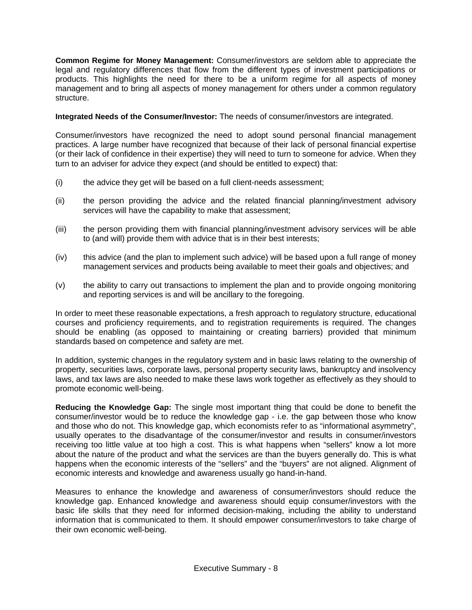**Common Regime for Money Management:** Consumer/investors are seldom able to appreciate the legal and regulatory differences that flow from the different types of investment participations or products. This highlights the need for there to be a uniform regime for all aspects of money management and to bring all aspects of money management for others under a common regulatory structure.

**Integrated Needs of the Consumer/Investor:** The needs of consumer/investors are integrated.

Consumer/investors have recognized the need to adopt sound personal financial management practices. A large number have recognized that because of their lack of personal financial expertise (or their lack of confidence in their expertise) they will need to turn to someone for advice. When they turn to an adviser for advice they expect (and should be entitled to expect) that:

- (i) the advice they get will be based on a full client-needs assessment;
- (ii) the person providing the advice and the related financial planning/investment advisory services will have the capability to make that assessment;
- (iii) the person providing them with financial planning/investment advisory services will be able to (and will) provide them with advice that is in their best interests;
- (iv) this advice (and the plan to implement such advice) will be based upon a full range of money management services and products being available to meet their goals and objectives; and
- (v) the ability to carry out transactions to implement the plan and to provide ongoing monitoring and reporting services is and will be ancillary to the foregoing.

In order to meet these reasonable expectations, a fresh approach to regulatory structure, educational courses and proficiency requirements, and to registration requirements is required. The changes should be enabling (as opposed to maintaining or creating barriers) provided that minimum standards based on competence and safety are met.

In addition, systemic changes in the regulatory system and in basic laws relating to the ownership of property, securities laws, corporate laws, personal property security laws, bankruptcy and insolvency laws, and tax laws are also needed to make these laws work together as effectively as they should to promote economic well-being.

**Reducing the Knowledge Gap:** The single most important thing that could be done to benefit the consumer/investor would be to reduce the knowledge gap - i.e. the gap between those who know and those who do not. This knowledge gap, which economists refer to as "informational asymmetry", usually operates to the disadvantage of the consumer/investor and results in consumer/investors receiving too little value at too high a cost. This is what happens when "sellers" know a lot more about the nature of the product and what the services are than the buyers generally do. This is what happens when the economic interests of the "sellers" and the "buyers" are not aligned. Alignment of economic interests and knowledge and awareness usually go hand-in-hand.

Measures to enhance the knowledge and awareness of consumer/investors should reduce the knowledge gap. Enhanced knowledge and awareness should equip consumer/investors with the basic life skills that they need for informed decision-making, including the ability to understand information that is communicated to them. It should empower consumer/investors to take charge of their own economic well-being.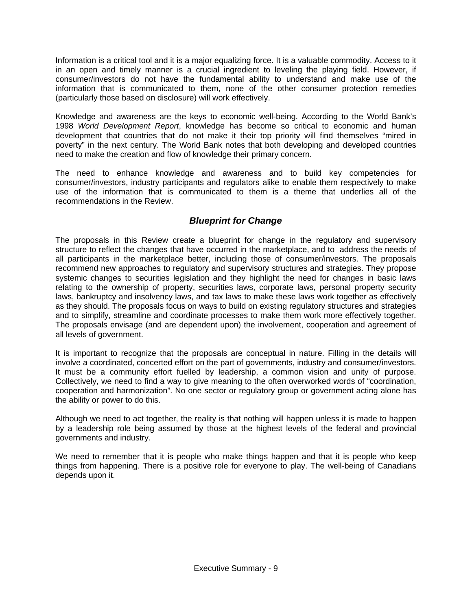Information is a critical tool and it is a major equalizing force. It is a valuable commodity. Access to it in an open and timely manner is a crucial ingredient to leveling the playing field. However, if consumer/investors do not have the fundamental ability to understand and make use of the information that is communicated to them, none of the other consumer protection remedies (particularly those based on disclosure) will work effectively.

Knowledge and awareness are the keys to economic well-being. According to the World Bank's 1998 *World Development Report*, knowledge has become so critical to economic and human development that countries that do not make it their top priority will find themselves "mired in poverty" in the next century. The World Bank notes that both developing and developed countries need to make the creation and flow of knowledge their primary concern.

The need to enhance knowledge and awareness and to build key competencies for consumer/investors, industry participants and regulators alike to enable them respectively to make use of the information that is communicated to them is a theme that underlies all of the recommendations in the Review.

# *Blueprint for Change*

The proposals in this Review create a blueprint for change in the regulatory and supervisory structure to reflect the changes that have occurred in the marketplace, and to address the needs of all participants in the marketplace better, including those of consumer/investors. The proposals recommend new approaches to regulatory and supervisory structures and strategies. They propose systemic changes to securities legislation and they highlight the need for changes in basic laws relating to the ownership of property, securities laws, corporate laws, personal property security laws, bankruptcy and insolvency laws, and tax laws to make these laws work together as effectively as they should. The proposals focus on ways to build on existing regulatory structures and strategies and to simplify, streamline and coordinate processes to make them work more effectively together. The proposals envisage (and are dependent upon) the involvement, cooperation and agreement of all levels of government.

It is important to recognize that the proposals are conceptual in nature. Filling in the details will involve a coordinated, concerted effort on the part of governments, industry and consumer/investors. It must be a community effort fuelled by leadership, a common vision and unity of purpose. Collectively, we need to find a way to give meaning to the often overworked words of "coordination, cooperation and harmonization". No one sector or regulatory group or government acting alone has the ability or power to do this.

Although we need to act together, the reality is that nothing will happen unless it is made to happen by a leadership role being assumed by those at the highest levels of the federal and provincial governments and industry.

We need to remember that it is people who make things happen and that it is people who keep things from happening. There is a positive role for everyone to play. The well-being of Canadians depends upon it.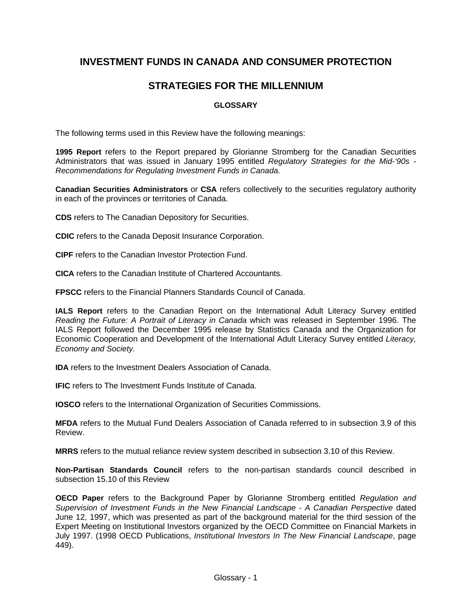# **INVESTMENT FUNDS IN CANADA AND CONSUMER PROTECTION**

# **STRATEGIES FOR THE MILLENNIUM**

## **GLOSSARY**

The following terms used in this Review have the following meanings:

**1995 Report** refers to the Report prepared by Glorianne Stromberg for the Canadian Securities Administrators that was issued in January 1995 entitled *Regulatory Strategies for the Mid-'90s - Recommendations for Regulating Investment Funds in Canada.*

**Canadian Securities Administrators** or **CSA** refers collectively to the securities regulatory authority in each of the provinces or territories of Canada.

**CDS** refers to The Canadian Depository for Securities.

**CDIC** refers to the Canada Deposit Insurance Corporation.

**CIPF** refers to the Canadian Investor Protection Fund.

**CICA** refers to the Canadian Institute of Chartered Accountants.

**FPSCC** refers to the Financial Planners Standards Council of Canada.

**IALS Report** refers to the Canadian Report on the International Adult Literacy Survey entitled *Reading the Future: A Portrait of Literacy in Canada* which was released in September 1996. The IALS Report followed the December 1995 release by Statistics Canada and the Organization for Economic Cooperation and Development of the International Adult Literacy Survey entitled *Literacy, Economy and Society.*

**IDA** refers to the Investment Dealers Association of Canada.

**IFIC** refers to The Investment Funds Institute of Canada.

**IOSCO** refers to the International Organization of Securities Commissions.

**MFDA** refers to the Mutual Fund Dealers Association of Canada referred to in subsection 3.9 of this Review.

**MRRS** refers to the mutual reliance review system described in subsection 3.10 of this Review.

**Non-Partisan Standards Council** refers to the non-partisan standards council described in subsection 15.10 of this Review

**OECD Paper** refers to the Background Paper by Glorianne Stromberg entitled *Regulation and Supervision of Investment Funds in the New Financial Landscape - A Canadian Perspective* dated June 12, 1997, which was presented as part of the background material for the third session of the Expert Meeting on Institutional Investors organized by the OECD Committee on Financial Markets in July 1997. (1998 OECD Publications, *Institutional Investors In The New Financial Landscape*, page 449).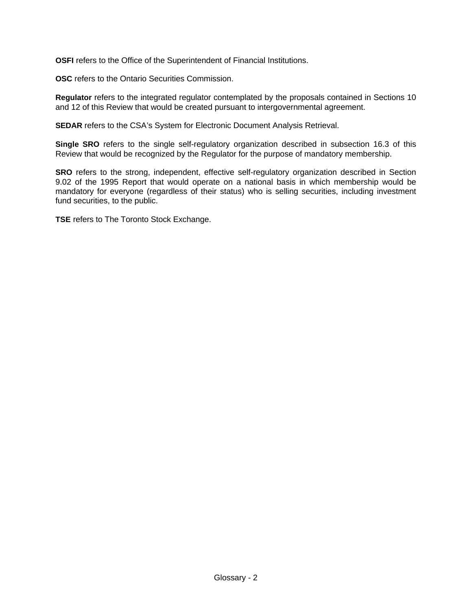**OSFI** refers to the Office of the Superintendent of Financial Institutions.

**OSC** refers to the Ontario Securities Commission.

**Regulator** refers to the integrated regulator contemplated by the proposals contained in Sections 10 and 12 of this Review that would be created pursuant to intergovernmental agreement.

**SEDAR** refers to the CSA's System for Electronic Document Analysis Retrieval.

**Single SRO** refers to the single self-regulatory organization described in subsection 16.3 of this Review that would be recognized by the Regulator for the purpose of mandatory membership.

**SRO** refers to the strong, independent, effective self-regulatory organization described in Section 9.02 of the 1995 Report that would operate on a national basis in which membership would be mandatory for everyone (regardless of their status) who is selling securities, including investment fund securities, to the public.

**TSE** refers to The Toronto Stock Exchange.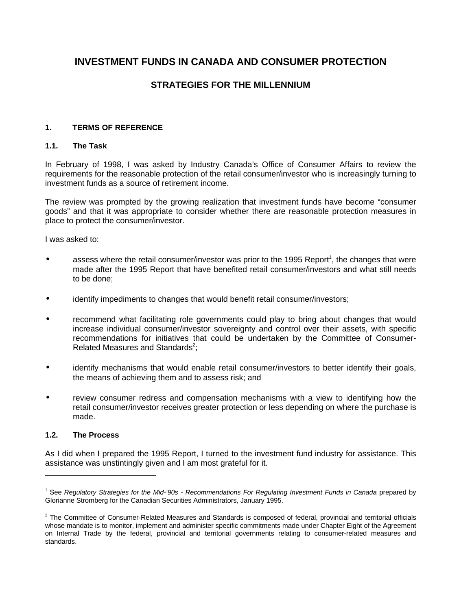# **INVESTMENT FUNDS IN CANADA AND CONSUMER PROTECTION**

# **STRATEGIES FOR THE MILLENNIUM**

#### **1. TERMS OF REFERENCE**

#### **1.1. The Task**

In February of 1998, I was asked by Industry Canada's Office of Consumer Affairs to review the requirements for the reasonable protection of the retail consumer/investor who is increasingly turning to investment funds as a source of retirement income.

The review was prompted by the growing realization that investment funds have become "consumer goods" and that it was appropriate to consider whether there are reasonable protection measures in place to protect the consumer/investor.

I was asked to:

- $\bullet$  assess where the retail consumer/investor was prior to the 1995 Report<sup>1</sup>, the changes that were made after the 1995 Report that have benefited retail consumer/investors and what still needs to be done;
- identify impediments to changes that would benefit retail consumer/investors;
- recommend what facilitating role governments could play to bring about changes that would increase individual consumer/investor sovereignty and control over their assets, with specific recommendations for initiatives that could be undertaken by the Committee of Consumer-Related Measures and Standards<sup>2</sup>;
- identify mechanisms that would enable retail consumer/investors to better identify their goals, the means of achieving them and to assess risk; and
- review consumer redress and compensation mechanisms with a view to identifying how the retail consumer/investor receives greater protection or less depending on where the purchase is made.

#### **1.2. The Process**

 $\overline{a}$ 

As I did when I prepared the 1995 Report, I turned to the investment fund industry for assistance. This assistance was unstintingly given and I am most grateful for it.

<sup>1</sup> See *Regulatory Strategies for the Mid-'90s - Recommendations For Regulating Investment Funds in Canada* prepared by Glorianne Stromberg for the Canadian Securities Administrators, January 1995.

 $<sup>2</sup>$  The Committee of Consumer-Related Measures and Standards is composed of federal, provincial and territorial officials</sup> whose mandate is to monitor, implement and administer specific commitments made under Chapter Eight of the Agreement on Internal Trade by the federal, provincial and territorial governments relating to consumer-related measures and standards.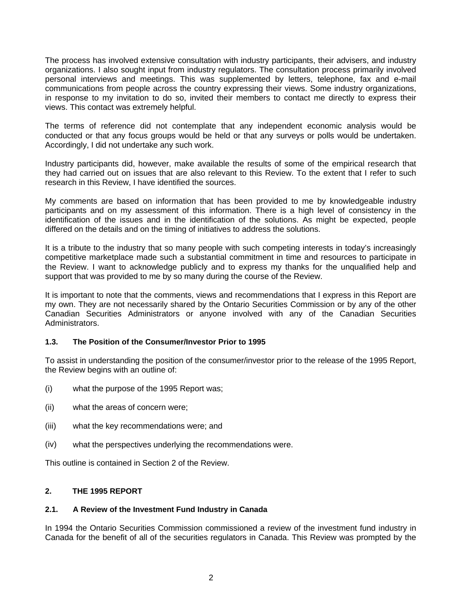The process has involved extensive consultation with industry participants, their advisers, and industry organizations. I also sought input from industry regulators. The consultation process primarily involved personal interviews and meetings. This was supplemented by letters, telephone, fax and e-mail communications from people across the country expressing their views. Some industry organizations, in response to my invitation to do so, invited their members to contact me directly to express their views. This contact was extremely helpful.

The terms of reference did not contemplate that any independent economic analysis would be conducted or that any focus groups would be held or that any surveys or polls would be undertaken. Accordingly, I did not undertake any such work.

Industry participants did, however, make available the results of some of the empirical research that they had carried out on issues that are also relevant to this Review. To the extent that I refer to such research in this Review, I have identified the sources.

My comments are based on information that has been provided to me by knowledgeable industry participants and on my assessment of this information. There is a high level of consistency in the identification of the issues and in the identification of the solutions. As might be expected, people differed on the details and on the timing of initiatives to address the solutions.

It is a tribute to the industry that so many people with such competing interests in today's increasingly competitive marketplace made such a substantial commitment in time and resources to participate in the Review. I want to acknowledge publicly and to express my thanks for the unqualified help and support that was provided to me by so many during the course of the Review.

It is important to note that the comments, views and recommendations that I express in this Report are my own. They are not necessarily shared by the Ontario Securities Commission or by any of the other Canadian Securities Administrators or anyone involved with any of the Canadian Securities Administrators.

#### **1.3. The Position of the Consumer/Investor Prior to 1995**

To assist in understanding the position of the consumer/investor prior to the release of the 1995 Report, the Review begins with an outline of:

- (i) what the purpose of the 1995 Report was;
- (ii) what the areas of concern were;
- (iii) what the key recommendations were; and
- (iv) what the perspectives underlying the recommendations were.

This outline is contained in Section 2 of the Review.

# **2. THE 1995 REPORT**

#### **2.1. A Review of the Investment Fund Industry in Canada**

In 1994 the Ontario Securities Commission commissioned a review of the investment fund industry in Canada for the benefit of all of the securities regulators in Canada. This Review was prompted by the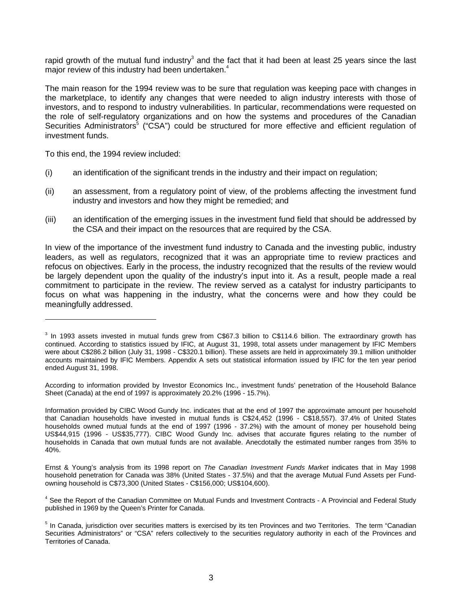rapid growth of the mutual fund industry<sup>3</sup> and the fact that it had been at least 25 years since the last major review of this industry had been undertaken.<sup>4</sup>

The main reason for the 1994 review was to be sure that regulation was keeping pace with changes in the marketplace, to identify any changes that were needed to align industry interests with those of investors, and to respond to industry vulnerabilities. In particular, recommendations were requested on the role of self-regulatory organizations and on how the systems and procedures of the Canadian Securities Administrators<sup>5</sup> ("CSA") could be structured for more effective and efficient regulation of investment funds.

To this end, the 1994 review included:

l

- (i) an identification of the significant trends in the industry and their impact on regulation;
- (ii) an assessment, from a regulatory point of view, of the problems affecting the investment fund industry and investors and how they might be remedied; and
- (iii) an identification of the emerging issues in the investment fund field that should be addressed by the CSA and their impact on the resources that are required by the CSA.

In view of the importance of the investment fund industry to Canada and the investing public, industry leaders, as well as regulators, recognized that it was an appropriate time to review practices and refocus on objectives. Early in the process, the industry recognized that the results of the review would be largely dependent upon the quality of the industry's input into it. As a result, people made a real commitment to participate in the review. The review served as a catalyst for industry participants to focus on what was happening in the industry, what the concerns were and how they could be meaningfully addressed.

According to information provided by Investor Economics Inc., investment funds' penetration of the Household Balance Sheet (Canada) at the end of 1997 is approximately 20.2% (1996 - 15.7%).

Information provided by CIBC Wood Gundy Inc. indicates that at the end of 1997 the approximate amount per household that Canadian households have invested in mutual funds is C\$24,452 (1996 - C\$18,557). 37.4% of United States households owned mutual funds at the end of 1997 (1996 - 37.2%) with the amount of money per household being US\$44,915 (1996 - US\$35,777). CIBC Wood Gundy Inc. advises that accurate figures relating to the number of households in Canada that own mutual funds are not available. Anecdotally the estimated number ranges from 35% to 40%.

Ernst & Young's analysis from its 1998 report on *The Canadian Investment Funds Market* indicates that in May 1998 household penetration for Canada was 38% (United States - 37.5%) and that the average Mutual Fund Assets per Fundowning household is C\$73,300 (United States - C\$156,000; US\$104,600).

<sup>4</sup> See the Report of the Canadian Committee on Mutual Funds and Investment Contracts - A Provincial and Federal Study published in 1969 by the Queen's Printer for Canada.

 $3$  In 1993 assets invested in mutual funds grew from C\$67.3 billion to C\$114.6 billion. The extraordinary growth has continued. According to statistics issued by IFIC, at August 31, 1998, total assets under management by IFIC Members were about C\$286.2 billion (July 31, 1998 - C\$320.1 billion). These assets are held in approximately 39.1 million unitholder accounts maintained by IFIC Members. Appendix A sets out statistical information issued by IFIC for the ten year period ended August 31, 1998.

<sup>&</sup>lt;sup>5</sup> In Canada, jurisdiction over securities matters is exercised by its ten Provinces and two Territories. The term "Canadian Securities Administrators" or "CSA" refers collectively to the securities regulatory authority in each of the Provinces and Territories of Canada.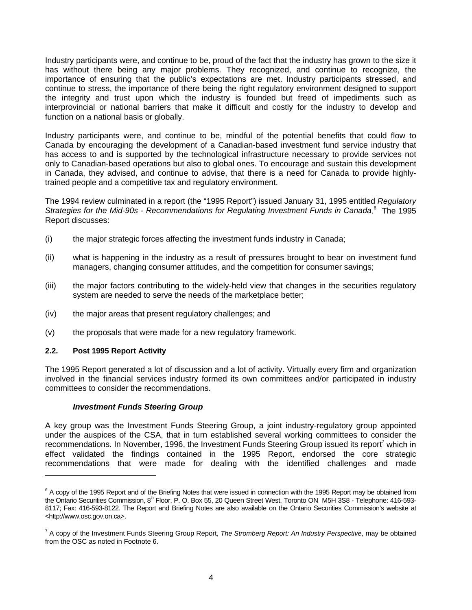Industry participants were, and continue to be, proud of the fact that the industry has grown to the size it has without there being any major problems. They recognized, and continue to recognize, the importance of ensuring that the public's expectations are met. Industry participants stressed, and continue to stress, the importance of there being the right regulatory environment designed to support the integrity and trust upon which the industry is founded but freed of impediments such as interprovincial or national barriers that make it difficult and costly for the industry to develop and function on a national basis or globally.

Industry participants were, and continue to be, mindful of the potential benefits that could flow to Canada by encouraging the development of a Canadian-based investment fund service industry that has access to and is supported by the technological infrastructure necessary to provide services not only to Canadian-based operations but also to global ones. To encourage and sustain this development in Canada, they advised, and continue to advise, that there is a need for Canada to provide highlytrained people and a competitive tax and regulatory environment.

The 1994 review culminated in a report (the "1995 Report") issued January 31, 1995 entitled *Regulatory* Strategies for the Mid-90s - Recommendations for Regulating Investment Funds in Canada.<sup>6</sup> The 1995 Report discusses:

- (i) the major strategic forces affecting the investment funds industry in Canada;
- (ii) what is happening in the industry as a result of pressures brought to bear on investment fund managers, changing consumer attitudes, and the competition for consumer savings;
- (iii) the major factors contributing to the widely-held view that changes in the securities regulatory system are needed to serve the needs of the marketplace better;
- (iv) the major areas that present regulatory challenges; and
- (v) the proposals that were made for a new regulatory framework.

#### **2.2. Post 1995 Report Activity**

 $\overline{a}$ 

The 1995 Report generated a lot of discussion and a lot of activity. Virtually every firm and organization involved in the financial services industry formed its own committees and/or participated in industry committees to consider the recommendations.

#### *Investment Funds Steering Group*

A key group was the Investment Funds Steering Group, a joint industry-regulatory group appointed under the auspices of the CSA, that in turn established several working committees to consider the recommendations. In November, 1996, the Investment Funds Steering Group issued its report<sup>7</sup> which in effect validated the findings contained in the 1995 Report, endorsed the core strategic recommendations that were made for dealing with the identified challenges and made

 $6$  A copy of the 1995 Report and of the Briefing Notes that were issued in connection with the 1995 Report may be obtained from the Ontario Securities Commission, 8<sup>th</sup> Floor, P. O. Box 55, 20 Queen Street West, Toronto ON M5H 3S8 - Telephone: 416-593-8117; Fax: 416-593-8122. The Report and Briefing Notes are also available on the Ontario Securities Commission's website at <http://www.osc.gov.on.ca>.

<sup>7</sup> A copy of the Investment Funds Steering Group Report, *The Stromberg Report: An Industry Perspective*, may be obtained from the OSC as noted in Footnote 6.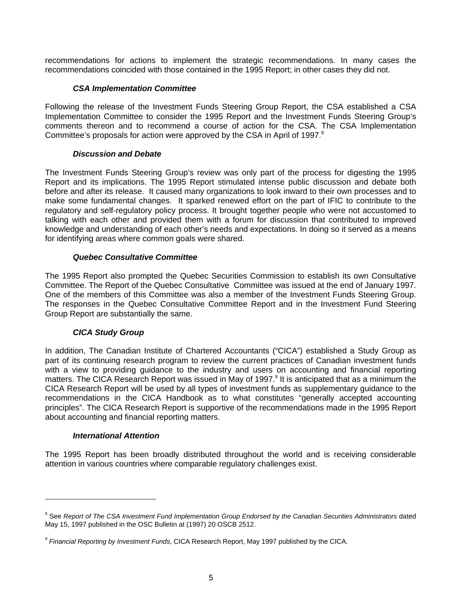recommendations for actions to implement the strategic recommendations. In many cases the recommendations coincided with those contained in the 1995 Report; in other cases they did not.

#### *CSA Implementation Committee*

Following the release of the Investment Funds Steering Group Report, the CSA established a CSA Implementation Committee to consider the 1995 Report and the Investment Funds Steering Group's comments thereon and to recommend a course of action for the CSA. The CSA Implementation Committee's proposals for action were approved by the CSA in April of 1997.<sup>8</sup>

#### *Discussion and Debate*

The Investment Funds Steering Group's review was only part of the process for digesting the 1995 Report and its implications. The 1995 Report stimulated intense public discussion and debate both before and after its release. It caused many organizations to look inward to their own processes and to make some fundamental changes. It sparked renewed effort on the part of IFIC to contribute to the regulatory and self-regulatory policy process. It brought together people who were not accustomed to talking with each other and provided them with a forum for discussion that contributed to improved knowledge and understanding of each other's needs and expectations. In doing so it served as a means for identifying areas where common goals were shared.

#### *Quebec Consultative Committee*

The 1995 Report also prompted the Quebec Securities Commission to establish its own Consultative Committee. The Report of the Quebec Consultative Committee was issued at the end of January 1997. One of the members of this Committee was also a member of the Investment Funds Steering Group. The responses in the Quebec Consultative Committee Report and in the Investment Fund Steering Group Report are substantially the same.

#### *CICA Study Group*

In addition, The Canadian Institute of Chartered Accountants ("CICA") established a Study Group as part of its continuing research program to review the current practices of Canadian investment funds with a view to providing guidance to the industry and users on accounting and financial reporting matters. The CICA Research Report was issued in May of 1997.<sup>9</sup> It is anticipated that as a minimum the CICA Research Report will be used by all types of investment funds as supplementary guidance to the recommendations in the CICA Handbook as to what constitutes "generally accepted accounting principles". The CICA Research Report is supportive of the recommendations made in the 1995 Report about accounting and financial reporting matters.

#### *International Attention*

 $\overline{a}$ 

The 1995 Report has been broadly distributed throughout the world and is receiving considerable attention in various countries where comparable regulatory challenges exist.

<sup>&</sup>lt;sup>8</sup> See *Report of The CSA Investment Fund Implementation Group Endorsed by the Canadian Securities Administrators dated* May 15, 1997 published in the OSC Bulletin at (1997) 20 OSCB 2512.

<sup>9</sup> *Financial Reporting by Investment Funds*, CICA Research Report, May 1997 published by the CICA.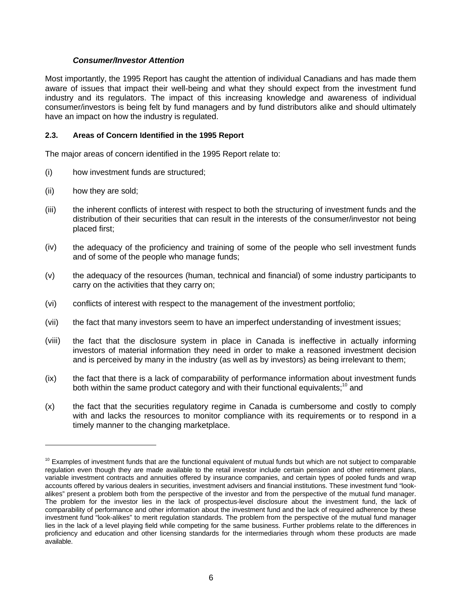#### *Consumer/Investor Attention*

Most importantly, the 1995 Report has caught the attention of individual Canadians and has made them aware of issues that impact their well-being and what they should expect from the investment fund industry and its regulators. The impact of this increasing knowledge and awareness of individual consumer/investors is being felt by fund managers and by fund distributors alike and should ultimately have an impact on how the industry is regulated.

#### **2.3. Areas of Concern Identified in the 1995 Report**

The major areas of concern identified in the 1995 Report relate to:

- (i) how investment funds are structured;
- (ii) how they are sold;

- (iii) the inherent conflicts of interest with respect to both the structuring of investment funds and the distribution of their securities that can result in the interests of the consumer/investor not being placed first;
- (iv) the adequacy of the proficiency and training of some of the people who sell investment funds and of some of the people who manage funds;
- (v) the adequacy of the resources (human, technical and financial) of some industry participants to carry on the activities that they carry on;
- (vi) conflicts of interest with respect to the management of the investment portfolio;
- (vii) the fact that many investors seem to have an imperfect understanding of investment issues;
- (viii) the fact that the disclosure system in place in Canada is ineffective in actually informing investors of material information they need in order to make a reasoned investment decision and is perceived by many in the industry (as well as by investors) as being irrelevant to them;
- (ix) the fact that there is a lack of comparability of performance information about investment funds both within the same product category and with their functional equivalents;<sup>10</sup> and
- (x) the fact that the securities regulatory regime in Canada is cumbersome and costly to comply with and lacks the resources to monitor compliance with its requirements or to respond in a timely manner to the changing marketplace.

 $10$  Examples of investment funds that are the functional equivalent of mutual funds but which are not subject to comparable regulation even though they are made available to the retail investor include certain pension and other retirement plans, variable investment contracts and annuities offered by insurance companies, and certain types of pooled funds and wrap accounts offered by various dealers in securities, investment advisers and financial institutions. These investment fund "lookalikes" present a problem both from the perspective of the investor and from the perspective of the mutual fund manager. The problem for the investor lies in the lack of prospectus-level disclosure about the investment fund, the lack of comparability of performance and other information about the investment fund and the lack of required adherence by these investment fund "look-alikes" to merit regulation standards. The problem from the perspective of the mutual fund manager lies in the lack of a level playing field while competing for the same business. Further problems relate to the differences in proficiency and education and other licensing standards for the intermediaries through whom these products are made available.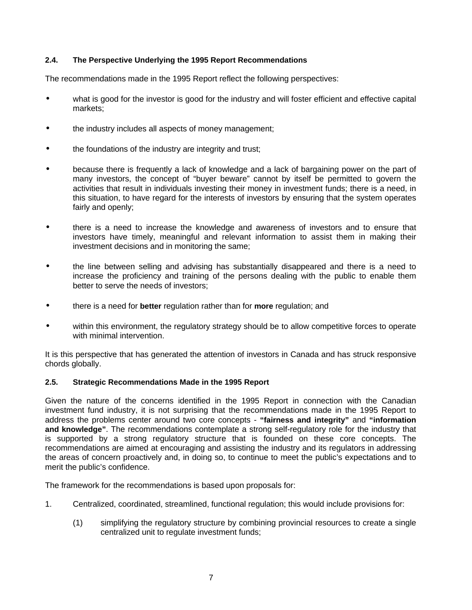#### **2.4. The Perspective Underlying the 1995 Report Recommendations**

The recommendations made in the 1995 Report reflect the following perspectives:

- what is good for the investor is good for the industry and will foster efficient and effective capital markets;
- the industry includes all aspects of money management;
- the foundations of the industry are integrity and trust;
- because there is frequently a lack of knowledge and a lack of bargaining power on the part of many investors, the concept of "buyer beware" cannot by itself be permitted to govern the activities that result in individuals investing their money in investment funds; there is a need, in this situation, to have regard for the interests of investors by ensuring that the system operates fairly and openly;
- there is a need to increase the knowledge and awareness of investors and to ensure that investors have timely, meaningful and relevant information to assist them in making their investment decisions and in monitoring the same;
- the line between selling and advising has substantially disappeared and there is a need to increase the proficiency and training of the persons dealing with the public to enable them better to serve the needs of investors;
- there is a need for **better** regulation rather than for **more** regulation; and
- within this environment, the regulatory strategy should be to allow competitive forces to operate with minimal intervention.

It is this perspective that has generated the attention of investors in Canada and has struck responsive chords globally.

#### **2.5. Strategic Recommendations Made in the 1995 Report**

Given the nature of the concerns identified in the 1995 Report in connection with the Canadian investment fund industry, it is not surprising that the recommendations made in the 1995 Report to address the problems center around two core concepts - **"fairness and integrity"** and **"information and knowledge"**. The recommendations contemplate a strong self-regulatory role for the industry that is supported by a strong regulatory structure that is founded on these core concepts. The recommendations are aimed at encouraging and assisting the industry and its regulators in addressing the areas of concern proactively and, in doing so, to continue to meet the public's expectations and to merit the public's confidence.

The framework for the recommendations is based upon proposals for:

- 1. Centralized, coordinated, streamlined, functional regulation; this would include provisions for:
	- (1) simplifying the regulatory structure by combining provincial resources to create a single centralized unit to regulate investment funds;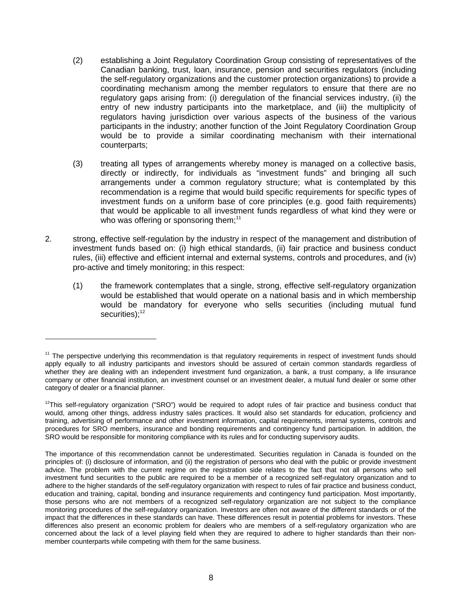- (2) establishing a Joint Regulatory Coordination Group consisting of representatives of the Canadian banking, trust, loan, insurance, pension and securities regulators (including the self-regulatory organizations and the customer protection organizations) to provide a coordinating mechanism among the member regulators to ensure that there are no regulatory gaps arising from: (i) deregulation of the financial services industry, (ii) the entry of new industry participants into the marketplace, and (iii) the multiplicity of regulators having jurisdiction over various aspects of the business of the various participants in the industry; another function of the Joint Regulatory Coordination Group would be to provide a similar coordinating mechanism with their international counterparts;
- (3) treating all types of arrangements whereby money is managed on a collective basis, directly or indirectly, for individuals as "investment funds" and bringing all such arrangements under a common regulatory structure; what is contemplated by this recommendation is a regime that would build specific requirements for specific types of investment funds on a uniform base of core principles (e.g. good faith requirements) that would be applicable to all investment funds regardless of what kind they were or who was offering or sponsoring them; $11$
- 2. strong, effective self-regulation by the industry in respect of the management and distribution of investment funds based on: (i) high ethical standards, (ii) fair practice and business conduct rules, (iii) effective and efficient internal and external systems, controls and procedures, and (iv) pro-active and timely monitoring; in this respect:
	- (1) the framework contemplates that a single, strong, effective self-regulatory organization would be established that would operate on a national basis and in which membership would be mandatory for everyone who sells securities (including mutual fund securities); $12$

<sup>&</sup>lt;sup>11</sup> The perspective underlying this recommendation is that regulatory requirements in respect of investment funds should apply equally to all industry participants and investors should be assured of certain common standards regardless of whether they are dealing with an independent investment fund organization, a bank, a trust company, a life insurance company or other financial institution, an investment counsel or an investment dealer, a mutual fund dealer or some other category of dealer or a financial planner.

 $12$ This self-regulatory organization ("SRO") would be required to adopt rules of fair practice and business conduct that would, among other things, address industry sales practices. It would also set standards for education, proficiency and training, advertising of performance and other investment information, capital requirements, internal systems, controls and procedures for SRO members, insurance and bonding requirements and contingency fund participation. In addition, the SRO would be responsible for monitoring compliance with its rules and for conducting supervisory audits.

The importance of this recommendation cannot be underestimated. Securities regulation in Canada is founded on the principles of: (i) disclosure of information, and (ii) the registration of persons who deal with the public or provide investment advice. The problem with the current regime on the registration side relates to the fact that not all persons who sell investment fund securities to the public are required to be a member of a recognized self-regulatory organization and to adhere to the higher standards of the self-regulatory organization with respect to rules of fair practice and business conduct, education and training, capital, bonding and insurance requirements and contingency fund participation. Most importantly, those persons who are not members of a recognized self-regulatory organization are not subject to the compliance monitoring procedures of the self-regulatory organization. Investors are often not aware of the different standards or of the impact that the differences in these standards can have. These differences result in potential problems for investors. These differences also present an economic problem for dealers who are members of a self-regulatory organization who are concerned about the lack of a level playing field when they are required to adhere to higher standards than their nonmember counterparts while competing with them for the same business.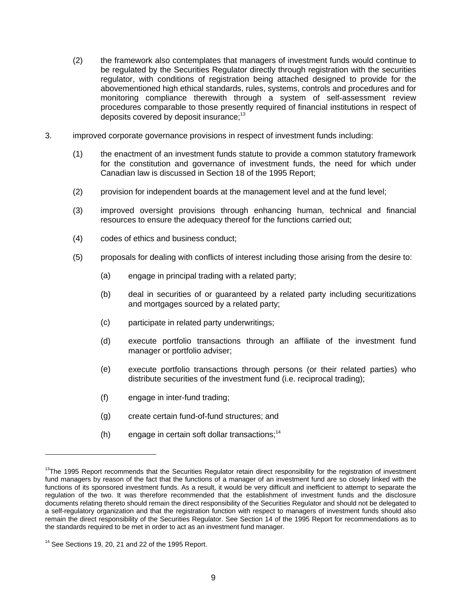- (2) the framework also contemplates that managers of investment funds would continue to be regulated by the Securities Regulator directly through registration with the securities regulator, with conditions of registration being attached designed to provide for the abovementioned high ethical standards, rules, systems, controls and procedures and for monitoring compliance therewith through a system of self-assessment review procedures comparable to those presently required of financial institutions in respect of deposits covered by deposit insurance;<sup>13</sup>
- 3. improved corporate governance provisions in respect of investment funds including:
	- (1) the enactment of an investment funds statute to provide a common statutory framework for the constitution and governance of investment funds, the need for which under Canadian law is discussed in Section 18 of the 1995 Report;
	- (2) provision for independent boards at the management level and at the fund level;
	- (3) improved oversight provisions through enhancing human, technical and financial resources to ensure the adequacy thereof for the functions carried out;
	- (4) codes of ethics and business conduct;
	- (5) proposals for dealing with conflicts of interest including those arising from the desire to:
		- (a) engage in principal trading with a related party;
		- (b) deal in securities of or guaranteed by a related party including securitizations and mortgages sourced by a related party;
		- (c) participate in related party underwritings;
		- (d) execute portfolio transactions through an affiliate of the investment fund manager or portfolio adviser;
		- (e) execute portfolio transactions through persons (or their related parties) who distribute securities of the investment fund (i.e. reciprocal trading);
		- (f) engage in inter-fund trading;
		- (g) create certain fund-of-fund structures; and
		- $(h)$  engage in certain soft dollar transactions;<sup>14</sup>

<sup>&</sup>lt;sup>13</sup>The 1995 Report recommends that the Securities Regulator retain direct responsibility for the registration of investment fund managers by reason of the fact that the functions of a manager of an investment fund are so closely linked with the functions of its sponsored investment funds. As a result, it would be very difficult and inefficient to attempt to separate the regulation of the two. It was therefore recommended that the establishment of investment funds and the disclosure documents relating thereto should remain the direct responsibility of the Securities Regulator and should not be delegated to a self-regulatory organization and that the registration function with respect to managers of investment funds should also remain the direct responsibility of the Securities Regulator. See Section 14 of the 1995 Report for recommendations as to the standards required to be met in order to act as an investment fund manager.

 $14$  See Sections 19, 20, 21 and 22 of the 1995 Report.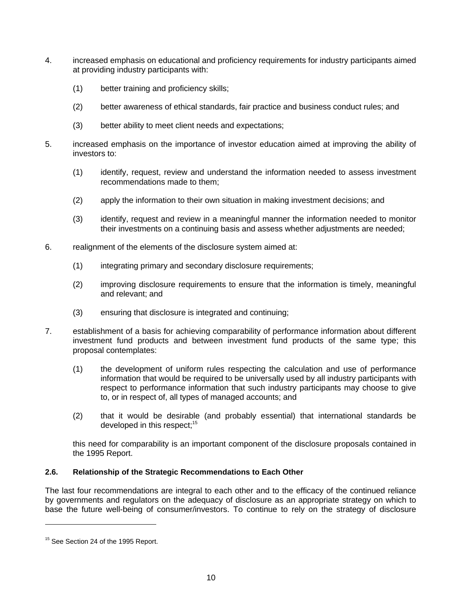- 4. increased emphasis on educational and proficiency requirements for industry participants aimed at providing industry participants with:
	- (1) better training and proficiency skills;
	- (2) better awareness of ethical standards, fair practice and business conduct rules; and
	- (3) better ability to meet client needs and expectations;
- 5. increased emphasis on the importance of investor education aimed at improving the ability of investors to:
	- (1) identify, request, review and understand the information needed to assess investment recommendations made to them;
	- (2) apply the information to their own situation in making investment decisions; and
	- (3) identify, request and review in a meaningful manner the information needed to monitor their investments on a continuing basis and assess whether adjustments are needed;
- 6. realignment of the elements of the disclosure system aimed at:
	- (1) integrating primary and secondary disclosure requirements;
	- (2) improving disclosure requirements to ensure that the information is timely, meaningful and relevant; and
	- (3) ensuring that disclosure is integrated and continuing;
- 7. establishment of a basis for achieving comparability of performance information about different investment fund products and between investment fund products of the same type; this proposal contemplates:
	- (1) the development of uniform rules respecting the calculation and use of performance information that would be required to be universally used by all industry participants with respect to performance information that such industry participants may choose to give to, or in respect of, all types of managed accounts; and
	- (2) that it would be desirable (and probably essential) that international standards be developed in this respect:<sup>15</sup>

this need for comparability is an important component of the disclosure proposals contained in the 1995 Report.

# **2.6. Relationship of the Strategic Recommendations to Each Other**

The last four recommendations are integral to each other and to the efficacy of the continued reliance by governments and regulators on the adequacy of disclosure as an appropriate strategy on which to base the future well-being of consumer/investors. To continue to rely on the strategy of disclosure

<sup>&</sup>lt;sup>15</sup> See Section 24 of the 1995 Report.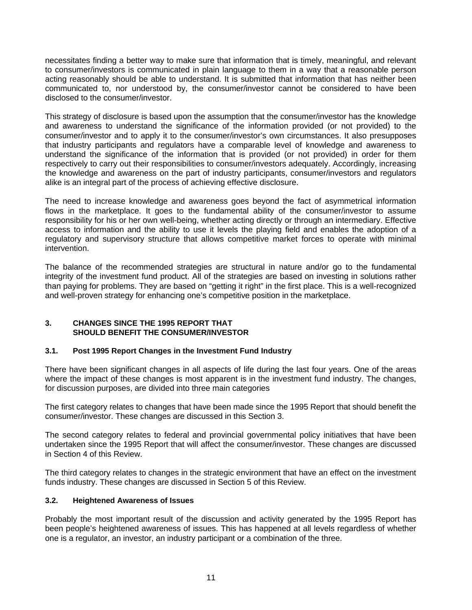necessitates finding a better way to make sure that information that is timely, meaningful, and relevant to consumer/investors is communicated in plain language to them in a way that a reasonable person acting reasonably should be able to understand. It is submitted that information that has neither been communicated to, nor understood by, the consumer/investor cannot be considered to have been disclosed to the consumer/investor.

This strategy of disclosure is based upon the assumption that the consumer/investor has the knowledge and awareness to understand the significance of the information provided (or not provided) to the consumer/investor and to apply it to the consumer/investor's own circumstances. It also presupposes that industry participants and regulators have a comparable level of knowledge and awareness to understand the significance of the information that is provided (or not provided) in order for them respectively to carry out their responsibilities to consumer/investors adequately. Accordingly, increasing the knowledge and awareness on the part of industry participants, consumer/investors and regulators alike is an integral part of the process of achieving effective disclosure.

The need to increase knowledge and awareness goes beyond the fact of asymmetrical information flows in the marketplace. It goes to the fundamental ability of the consumer/investor to assume responsibility for his or her own well-being, whether acting directly or through an intermediary. Effective access to information and the ability to use it levels the playing field and enables the adoption of a regulatory and supervisory structure that allows competitive market forces to operate with minimal intervention.

The balance of the recommended strategies are structural in nature and/or go to the fundamental integrity of the investment fund product. All of the strategies are based on investing in solutions rather than paying for problems. They are based on "getting it right" in the first place. This is a well-recognized and well-proven strategy for enhancing one's competitive position in the marketplace.

#### **3. CHANGES SINCE THE 1995 REPORT THAT SHOULD BENEFIT THE CONSUMER/INVESTOR**

# **3.1. Post 1995 Report Changes in the Investment Fund Industry**

There have been significant changes in all aspects of life during the last four years. One of the areas where the impact of these changes is most apparent is in the investment fund industry. The changes, for discussion purposes, are divided into three main categories

The first category relates to changes that have been made since the 1995 Report that should benefit the consumer/investor. These changes are discussed in this Section 3.

The second category relates to federal and provincial governmental policy initiatives that have been undertaken since the 1995 Report that will affect the consumer/investor. These changes are discussed in Section 4 of this Review.

The third category relates to changes in the strategic environment that have an effect on the investment funds industry. These changes are discussed in Section 5 of this Review.

#### **3.2. Heightened Awareness of Issues**

Probably the most important result of the discussion and activity generated by the 1995 Report has been people's heightened awareness of issues. This has happened at all levels regardless of whether one is a regulator, an investor, an industry participant or a combination of the three.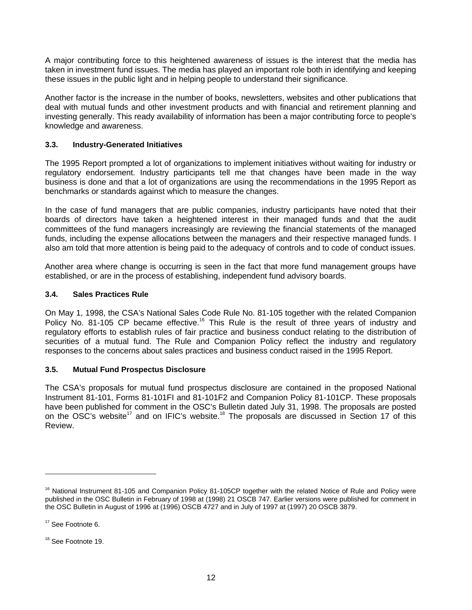A major contributing force to this heightened awareness of issues is the interest that the media has taken in investment fund issues. The media has played an important role both in identifying and keeping these issues in the public light and in helping people to understand their significance.

Another factor is the increase in the number of books, newsletters, websites and other publications that deal with mutual funds and other investment products and with financial and retirement planning and investing generally. This ready availability of information has been a major contributing force to people's knowledge and awareness.

# **3.3. Industry-Generated Initiatives**

The 1995 Report prompted a lot of organizations to implement initiatives without waiting for industry or regulatory endorsement. Industry participants tell me that changes have been made in the way business is done and that a lot of organizations are using the recommendations in the 1995 Report as benchmarks or standards against which to measure the changes.

In the case of fund managers that are public companies, industry participants have noted that their boards of directors have taken a heightened interest in their managed funds and that the audit committees of the fund managers increasingly are reviewing the financial statements of the managed funds, including the expense allocations between the managers and their respective managed funds. I also am told that more attention is being paid to the adequacy of controls and to code of conduct issues.

Another area where change is occurring is seen in the fact that more fund management groups have established, or are in the process of establishing, independent fund advisory boards.

#### **3.4. Sales Practices Rule**

On May 1, 1998, the CSA's National Sales Code Rule No. 81-105 together with the related Companion Policy No. 81-105 CP became effective.<sup>16</sup> This Rule is the result of three years of industry and regulatory efforts to establish rules of fair practice and business conduct relating to the distribution of securities of a mutual fund. The Rule and Companion Policy reflect the industry and regulatory responses to the concerns about sales practices and business conduct raised in the 1995 Report.

# **3.5. Mutual Fund Prospectus Disclosure**

The CSA's proposals for mutual fund prospectus disclosure are contained in the proposed National Instrument 81-101, Forms 81-101FI and 81-101F2 and Companion Policy 81-101CP. These proposals have been published for comment in the OSC's Bulletin dated July 31, 1998. The proposals are posted on the OSC's website<sup>17</sup> and on IFIC's website.<sup>18</sup> The proposals are discussed in Section 17 of this Review.

<sup>&</sup>lt;sup>16</sup> National Instrument 81-105 and Companion Policy 81-105CP together with the related Notice of Rule and Policy were published in the OSC Bulletin in February of 1998 at (1998) 21 OSCB 747. Earlier versions were published for comment in the OSC Bulletin in August of 1996 at (1996) OSCB 4727 and in July of 1997 at (1997) 20 OSCB 3879.

<sup>&</sup>lt;sup>17</sup> See Footnote 6.

<sup>&</sup>lt;sup>18</sup> See Footnote 19.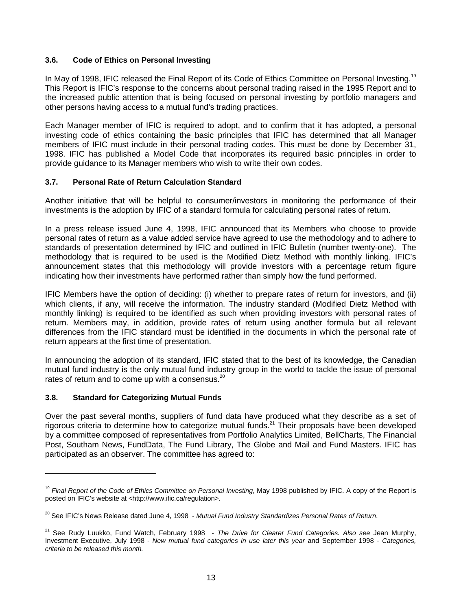#### **3.6. Code of Ethics on Personal Investing**

In May of 1998, IFIC released the Final Report of its Code of Ethics Committee on Personal Investing.<sup>19</sup> This Report is IFIC's response to the concerns about personal trading raised in the 1995 Report and to the increased public attention that is being focused on personal investing by portfolio managers and other persons having access to a mutual fund's trading practices.

Each Manager member of IFIC is required to adopt, and to confirm that it has adopted, a personal investing code of ethics containing the basic principles that IFIC has determined that all Manager members of IFIC must include in their personal trading codes. This must be done by December 31, 1998. IFIC has published a Model Code that incorporates its required basic principles in order to provide guidance to its Manager members who wish to write their own codes.

#### **3.7. Personal Rate of Return Calculation Standard**

Another initiative that will be helpful to consumer/investors in monitoring the performance of their investments is the adoption by IFIC of a standard formula for calculating personal rates of return.

In a press release issued June 4, 1998, IFIC announced that its Members who choose to provide personal rates of return as a value added service have agreed to use the methodology and to adhere to standards of presentation determined by IFIC and outlined in IFIC Bulletin (number twenty-one). The methodology that is required to be used is the Modified Dietz Method with monthly linking. IFIC's announcement states that this methodology will provide investors with a percentage return figure indicating how their investments have performed rather than simply how the fund performed.

IFIC Members have the option of deciding: (i) whether to prepare rates of return for investors, and (ii) which clients, if any, will receive the information. The industry standard (Modified Dietz Method with monthly linking) is required to be identified as such when providing investors with personal rates of return. Members may, in addition, provide rates of return using another formula but all relevant differences from the IFIC standard must be identified in the documents in which the personal rate of return appears at the first time of presentation.

In announcing the adoption of its standard, IFIC stated that to the best of its knowledge, the Canadian mutual fund industry is the only mutual fund industry group in the world to tackle the issue of personal rates of return and to come up with a consensus.<sup>20</sup>

#### **3.8. Standard for Categorizing Mutual Funds**

 $\overline{a}$ 

Over the past several months, suppliers of fund data have produced what they describe as a set of rigorous criteria to determine how to categorize mutual funds.<sup>21</sup> Their proposals have been developed by a committee composed of representatives from Portfolio Analytics Limited, BellCharts, The Financial Post, Southam News, FundData, The Fund Library, The Globe and Mail and Fund Masters. IFIC has participated as an observer. The committee has agreed to:

<sup>&</sup>lt;sup>19</sup> Final Report of the Code of Ethics Committee on Personal Investing, May 1998 published by IFIC. A copy of the Report is posted on IFIC's website at <http://www.ific.ca/regulation>.

<sup>20</sup> See IFIC's News Release dated June 4, 1998 - *Mutual Fund Industry Standardizes Personal Rates of Return*.

<sup>21</sup> See Rudy Luukko, Fund Watch, February 1998 - *The Drive for Clearer Fund Categories. Also see* Jean Murphy, Investment Executive, July 1998 - *New mutual fund categories in use later this year* and September 1998 - *Categories, criteria to be released this month.*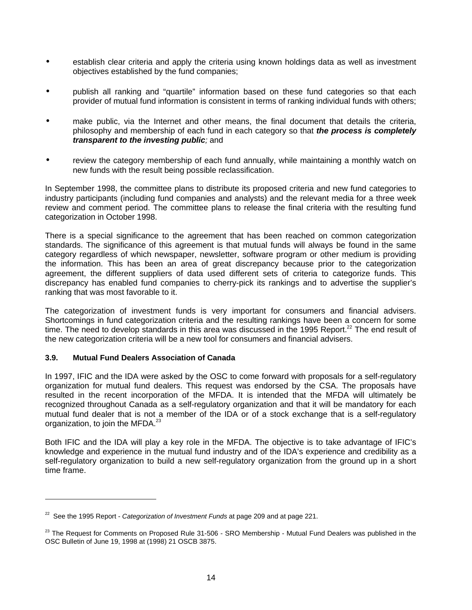- establish clear criteria and apply the criteria using known holdings data as well as investment objectives established by the fund companies;
- publish all ranking and "quartile" information based on these fund categories so that each provider of mutual fund information is consistent in terms of ranking individual funds with others;
- make public, via the Internet and other means, the final document that details the criteria, philosophy and membership of each fund in each category so that *the process is completely transparent to the investing public;* and
- review the category membership of each fund annually, while maintaining a monthly watch on new funds with the result being possible reclassification.

In September 1998, the committee plans to distribute its proposed criteria and new fund categories to industry participants (including fund companies and analysts) and the relevant media for a three week review and comment period. The committee plans to release the final criteria with the resulting fund categorization in October 1998.

There is a special significance to the agreement that has been reached on common categorization standards. The significance of this agreement is that mutual funds will always be found in the same category regardless of which newspaper, newsletter, software program or other medium is providing the information. This has been an area of great discrepancy because prior to the categorization agreement, the different suppliers of data used different sets of criteria to categorize funds. This discrepancy has enabled fund companies to cherry-pick its rankings and to advertise the supplier's ranking that was most favorable to it.

The categorization of investment funds is very important for consumers and financial advisers. Shortcomings in fund categorization criteria and the resulting rankings have been a concern for some time. The need to develop standards in this area was discussed in the 1995 Report.<sup>22</sup> The end result of the new categorization criteria will be a new tool for consumers and financial advisers.

#### **3.9. Mutual Fund Dealers Association of Canada**

 $\overline{a}$ 

In 1997, IFIC and the IDA were asked by the OSC to come forward with proposals for a self-regulatory organization for mutual fund dealers. This request was endorsed by the CSA. The proposals have resulted in the recent incorporation of the MFDA. It is intended that the MFDA will ultimately be recognized throughout Canada as a self-regulatory organization and that it will be mandatory for each mutual fund dealer that is not a member of the IDA or of a stock exchange that is a self-regulatory organization, to join the MFDA.<sup>23</sup>

Both IFIC and the IDA will play a key role in the MFDA. The objective is to take advantage of IFIC's knowledge and experience in the mutual fund industry and of the IDA's experience and credibility as a self-regulatory organization to build a new self-regulatory organization from the ground up in a short time frame.

<sup>22</sup> See the 1995 Report - *Categorization of Investment Funds* at page 209 and at page 221.

<sup>&</sup>lt;sup>23</sup> The Request for Comments on Proposed Rule 31-506 - SRO Membership - Mutual Fund Dealers was published in the OSC Bulletin of June 19, 1998 at (1998) 21 OSCB 3875.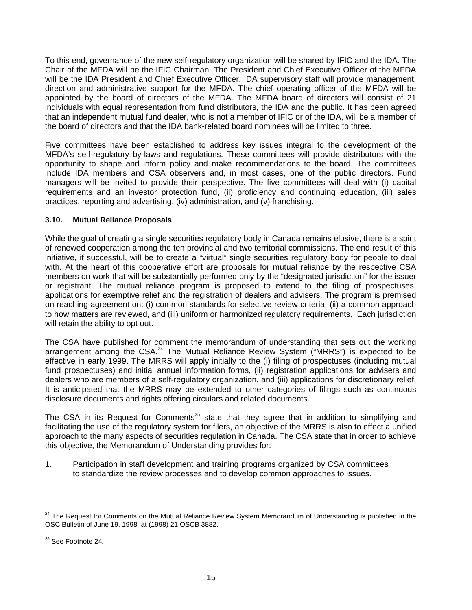To this end, governance of the new self-regulatory organization will be shared by IFIC and the IDA. The Chair of the MFDA will be the IFIC Chairman. The President and Chief Executive Officer of the MFDA will be the IDA President and Chief Executive Officer. IDA supervisory staff will provide management, direction and administrative support for the MFDA. The chief operating officer of the MFDA will be appointed by the board of directors of the MFDA. The MFDA board of directors will consist of 21 individuals with equal representation from fund distributors, the IDA and the public. It has been agreed that an independent mutual fund dealer, who is not a member of IFIC or of the IDA, will be a member of the board of directors and that the IDA bank-related board nominees will be limited to three.

Five committees have been established to address key issues integral to the development of the MFDA's self-regulatory by-laws and regulations. These committees will provide distributors with the opportunity to shape and inform policy and make recommendations to the board. The committees include IDA members and CSA observers and, in most cases, one of the public directors. Fund managers will be invited to provide their perspective. The five committees will deal with (i) capital requirements and an investor protection fund, (ii) proficiency and continuing education, (iii) sales practices, reporting and advertising, (iv) administration, and (v) franchising.

#### **3.10. Mutual Reliance Proposals**

While the goal of creating a single securities regulatory body in Canada remains elusive, there is a spirit of renewed cooperation among the ten provincial and two territorial commissions. The end result of this initiative, if successful, will be to create a "virtual" single securities regulatory body for people to deal with. At the heart of this cooperative effort are proposals for mutual reliance by the respective CSA members on work that will be substantially performed only by the "designated jurisdiction" for the issuer or registrant. The mutual reliance program is proposed to extend to the filing of prospectuses, applications for exemptive relief and the registration of dealers and advisers. The program is premised on reaching agreement on: (i) common standards for selective review criteria, (ii) a common approach to how matters are reviewed, and (iii) uniform or harmonized regulatory requirements. Each jurisdiction will retain the ability to opt out.

The CSA have published for comment the memorandum of understanding that sets out the working arrangement among the CSA.<sup>24</sup> The Mutual Reliance Review System ("MRRS") is expected to be effective in early 1999. The MRRS will apply initially to the (i) filing of prospectuses (including mutual fund prospectuses) and initial annual information forms, (ii) registration applications for advisers and dealers who are members of a self-regulatory organization, and (iii) applications for discretionary relief. It is anticipated that the MRRS may be extended to other categories of filings such as continuous disclosure documents and rights offering circulars and related documents.

The CSA in its Request for Comments<sup>25</sup> state that they agree that in addition to simplifying and facilitating the use of the regulatory system for filers, an objective of the MRRS is also to effect a unified approach to the many aspects of securities regulation in Canada. The CSA state that in order to achieve this objective, the Memorandum of Understanding provides for:

1. Participation in staff development and training programs organized by CSA committees to standardize the review processes and to develop common approaches to issues.

<sup>&</sup>lt;sup>24</sup> The Request for Comments on the Mutual Reliance Review System Memorandum of Understanding is published in the OSC Bulletin of June 19, 1998 at (1998) 21 OSCB 3882.

<sup>25</sup> See Footnote 24*.*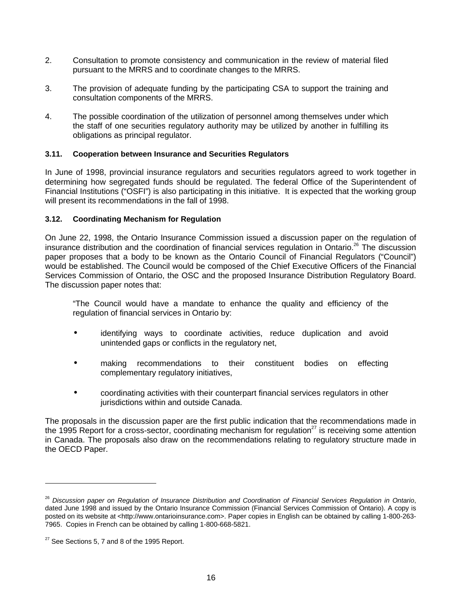- 2. Consultation to promote consistency and communication in the review of material filed pursuant to the MRRS and to coordinate changes to the MRRS.
- 3. The provision of adequate funding by the participating CSA to support the training and consultation components of the MRRS.
- 4. The possible coordination of the utilization of personnel among themselves under which the staff of one securities regulatory authority may be utilized by another in fulfilling its obligations as principal regulator.

#### **3.11. Cooperation between Insurance and Securities Regulators**

In June of 1998, provincial insurance regulators and securities regulators agreed to work together in determining how segregated funds should be regulated. The federal Office of the Superintendent of Financial Institutions ("OSFI") is also participating in this initiative. It is expected that the working group will present its recommendations in the fall of 1998.

#### **3.12. Coordinating Mechanism for Regulation**

On June 22, 1998, the Ontario Insurance Commission issued a discussion paper on the regulation of insurance distribution and the coordination of financial services regulation in Ontario.<sup>26</sup> The discussion paper proposes that a body to be known as the Ontario Council of Financial Regulators ("Council") would be established. The Council would be composed of the Chief Executive Officers of the Financial Services Commission of Ontario, the OSC and the proposed Insurance Distribution Regulatory Board. The discussion paper notes that:

"The Council would have a mandate to enhance the quality and efficiency of the regulation of financial services in Ontario by:

- identifying ways to coordinate activities, reduce duplication and avoid unintended gaps or conflicts in the regulatory net,
- making recommendations to their constituent bodies on effecting complementary regulatory initiatives,
- coordinating activities with their counterpart financial services regulators in other jurisdictions within and outside Canada.

The proposals in the discussion paper are the first public indication that the recommendations made in the 1995 Report for a cross-sector, coordinating mechanism for regulation<sup>27</sup> is receiving some attention in Canada. The proposals also draw on the recommendations relating to regulatory structure made in the OECD Paper.

<sup>26</sup> *Discussion paper on Regulation of Insurance Distribution and Coordination of Financial Services Regulation in Ontario*, dated June 1998 and issued by the Ontario Insurance Commission (Financial Services Commission of Ontario). A copy is posted on its website at <http://www.ontarioinsurance.com>. Paper copies in English can be obtained by calling 1-800-263- 7965. Copies in French can be obtained by calling 1-800-668-5821.

 $27$  See Sections 5, 7 and 8 of the 1995 Report.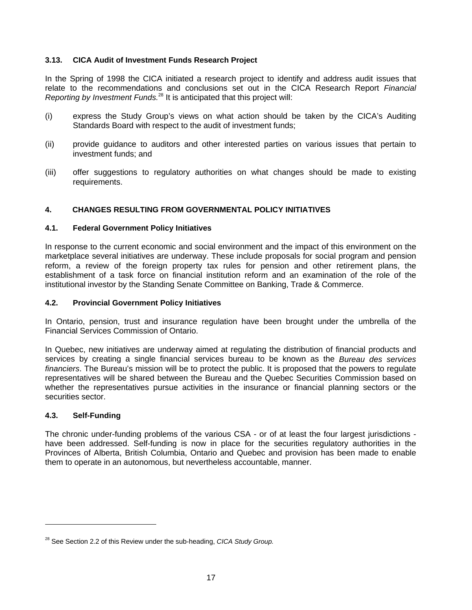#### **3.13. CICA Audit of Investment Funds Research Project**

In the Spring of 1998 the CICA initiated a research project to identify and address audit issues that relate to the recommendations and conclusions set out in the CICA Research Report *Financial Reporting by Investment Funds.*<sup>28</sup> It is anticipated that this project will:

- (i) express the Study Group's views on what action should be taken by the CICA's Auditing Standards Board with respect to the audit of investment funds;
- (ii) provide guidance to auditors and other interested parties on various issues that pertain to investment funds; and
- (iii) offer suggestions to regulatory authorities on what changes should be made to existing requirements.

# **4. CHANGES RESULTING FROM GOVERNMENTAL POLICY INITIATIVES**

#### **4.1. Federal Government Policy Initiatives**

In response to the current economic and social environment and the impact of this environment on the marketplace several initiatives are underway. These include proposals for social program and pension reform, a review of the foreign property tax rules for pension and other retirement plans, the establishment of a task force on financial institution reform and an examination of the role of the institutional investor by the Standing Senate Committee on Banking, Trade & Commerce.

#### **4.2. Provincial Government Policy Initiatives**

In Ontario, pension, trust and insurance regulation have been brought under the umbrella of the Financial Services Commission of Ontario.

In Quebec, new initiatives are underway aimed at regulating the distribution of financial products and services by creating a single financial services bureau to be known as the *Bureau des services financiers*. The Bureau's mission will be to protect the public. It is proposed that the powers to regulate representatives will be shared between the Bureau and the Quebec Securities Commission based on whether the representatives pursue activities in the insurance or financial planning sectors or the securities sector.

#### **4.3. Self-Funding**

 $\overline{a}$ 

The chronic under-funding problems of the various CSA - or of at least the four largest jurisdictions have been addressed. Self-funding is now in place for the securities regulatory authorities in the Provinces of Alberta, British Columbia, Ontario and Quebec and provision has been made to enable them to operate in an autonomous, but nevertheless accountable, manner.

<sup>28</sup> See Section 2.2 of this Review under the sub-heading, *CICA Study Group.*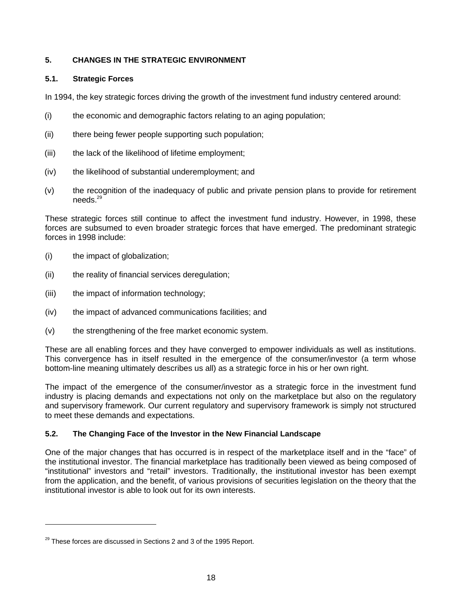## **5. CHANGES IN THE STRATEGIC ENVIRONMENT**

## **5.1. Strategic Forces**

In 1994, the key strategic forces driving the growth of the investment fund industry centered around:

- (i) the economic and demographic factors relating to an aging population;
- (ii) there being fewer people supporting such population;
- (iii) the lack of the likelihood of lifetime employment;
- (iv) the likelihood of substantial underemployment; and
- (v) the recognition of the inadequacy of public and private pension plans to provide for retirement needs.29

These strategic forces still continue to affect the investment fund industry. However, in 1998, these forces are subsumed to even broader strategic forces that have emerged. The predominant strategic forces in 1998 include:

- (i) the impact of globalization;
- (ii) the reality of financial services deregulation;
- (iii) the impact of information technology;
- (iv) the impact of advanced communications facilities; and
- (v) the strengthening of the free market economic system.

These are all enabling forces and they have converged to empower individuals as well as institutions. This convergence has in itself resulted in the emergence of the consumer/investor (a term whose bottom-line meaning ultimately describes us all) as a strategic force in his or her own right.

The impact of the emergence of the consumer/investor as a strategic force in the investment fund industry is placing demands and expectations not only on the marketplace but also on the regulatory and supervisory framework. Our current regulatory and supervisory framework is simply not structured to meet these demands and expectations.

### **5.2. The Changing Face of the Investor in the New Financial Landscape**

One of the major changes that has occurred is in respect of the marketplace itself and in the "face" of the institutional investor. The financial marketplace has traditionally been viewed as being composed of "institutional" investors and "retail" investors. Traditionally, the institutional investor has been exempt from the application, and the benefit, of various provisions of securities legislation on the theory that the institutional investor is able to look out for its own interests.

 $^{29}$  These forces are discussed in Sections 2 and 3 of the 1995 Report.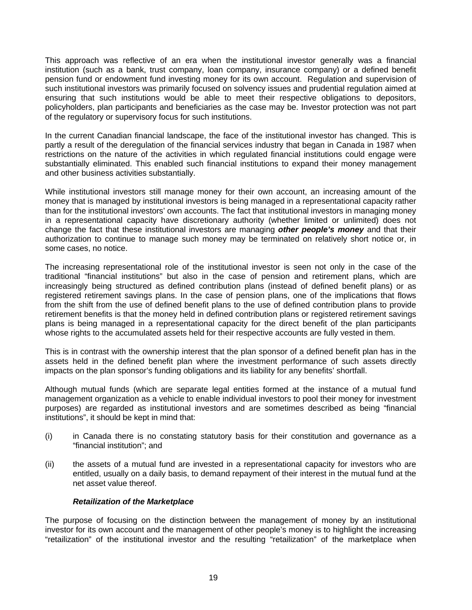This approach was reflective of an era when the institutional investor generally was a financial institution (such as a bank, trust company, loan company, insurance company) or a defined benefit pension fund or endowment fund investing money for its own account. Regulation and supervision of such institutional investors was primarily focused on solvency issues and prudential regulation aimed at ensuring that such institutions would be able to meet their respective obligations to depositors, policyholders, plan participants and beneficiaries as the case may be. Investor protection was not part of the regulatory or supervisory focus for such institutions.

In the current Canadian financial landscape, the face of the institutional investor has changed. This is partly a result of the deregulation of the financial services industry that began in Canada in 1987 when restrictions on the nature of the activities in which regulated financial institutions could engage were substantially eliminated. This enabled such financial institutions to expand their money management and other business activities substantially.

While institutional investors still manage money for their own account, an increasing amount of the money that is managed by institutional investors is being managed in a representational capacity rather than for the institutional investors' own accounts. The fact that institutional investors in managing money in a representational capacity have discretionary authority (whether limited or unlimited) does not change the fact that these institutional investors are managing *other people's money* and that their authorization to continue to manage such money may be terminated on relatively short notice or, in some cases, no notice.

The increasing representational role of the institutional investor is seen not only in the case of the traditional "financial institutions" but also in the case of pension and retirement plans, which are increasingly being structured as defined contribution plans (instead of defined benefit plans) or as registered retirement savings plans. In the case of pension plans, one of the implications that flows from the shift from the use of defined benefit plans to the use of defined contribution plans to provide retirement benefits is that the money held in defined contribution plans or registered retirement savings plans is being managed in a representational capacity for the direct benefit of the plan participants whose rights to the accumulated assets held for their respective accounts are fully vested in them.

This is in contrast with the ownership interest that the plan sponsor of a defined benefit plan has in the assets held in the defined benefit plan where the investment performance of such assets directly impacts on the plan sponsor's funding obligations and its liability for any benefits' shortfall.

Although mutual funds (which are separate legal entities formed at the instance of a mutual fund management organization as a vehicle to enable individual investors to pool their money for investment purposes) are regarded as institutional investors and are sometimes described as being "financial institutions", it should be kept in mind that:

- (i) in Canada there is no constating statutory basis for their constitution and governance as a "financial institution"; and
- (ii) the assets of a mutual fund are invested in a representational capacity for investors who are entitled, usually on a daily basis, to demand repayment of their interest in the mutual fund at the net asset value thereof.

### *Retailization of the Marketplace*

The purpose of focusing on the distinction between the management of money by an institutional investor for its own account and the management of other people's money is to highlight the increasing "retailization" of the institutional investor and the resulting "retailization" of the marketplace when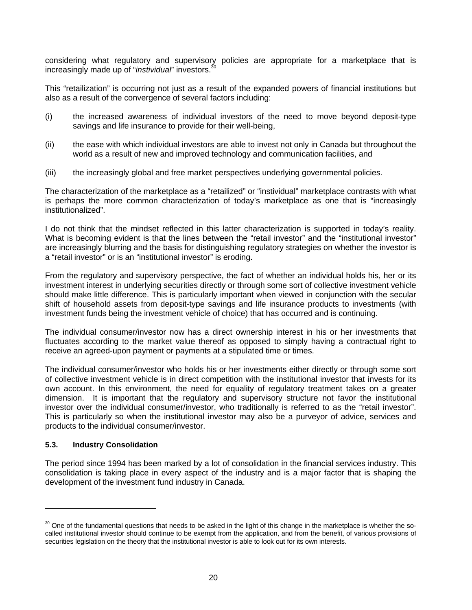considering what regulatory and supervisory policies are appropriate for a marketplace that is increasingly made up of "*instividual*" investors.<sup>30</sup>

This "retailization" is occurring not just as a result of the expanded powers of financial institutions but also as a result of the convergence of several factors including:

- (i) the increased awareness of individual investors of the need to move beyond deposit-type savings and life insurance to provide for their well-being,
- (ii) the ease with which individual investors are able to invest not only in Canada but throughout the world as a result of new and improved technology and communication facilities, and
- (iii) the increasingly global and free market perspectives underlying governmental policies.

The characterization of the marketplace as a "retailized" or "instividual" marketplace contrasts with what is perhaps the more common characterization of today's marketplace as one that is "increasingly institutionalized".

I do not think that the mindset reflected in this latter characterization is supported in today's reality. What is becoming evident is that the lines between the "retail investor" and the "institutional investor" are increasingly blurring and the basis for distinguishing regulatory strategies on whether the investor is a "retail investor" or is an "institutional investor" is eroding.

From the regulatory and supervisory perspective, the fact of whether an individual holds his, her or its investment interest in underlying securities directly or through some sort of collective investment vehicle should make little difference. This is particularly important when viewed in conjunction with the secular shift of household assets from deposit-type savings and life insurance products to investments (with investment funds being the investment vehicle of choice) that has occurred and is continuing.

The individual consumer/investor now has a direct ownership interest in his or her investments that fluctuates according to the market value thereof as opposed to simply having a contractual right to receive an agreed-upon payment or payments at a stipulated time or times.

The individual consumer/investor who holds his or her investments either directly or through some sort of collective investment vehicle is in direct competition with the institutional investor that invests for its own account. In this environment, the need for equality of regulatory treatment takes on a greater dimension. It is important that the regulatory and supervisory structure not favor the institutional investor over the individual consumer/investor, who traditionally is referred to as the "retail investor". This is particularly so when the institutional investor may also be a purveyor of advice, services and products to the individual consumer/investor.

### **5.3. Industry Consolidation**

 $\overline{a}$ 

The period since 1994 has been marked by a lot of consolidation in the financial services industry. This consolidation is taking place in every aspect of the industry and is a major factor that is shaping the development of the investment fund industry in Canada.

 $30$  One of the fundamental questions that needs to be asked in the light of this change in the marketplace is whether the socalled institutional investor should continue to be exempt from the application, and from the benefit, of various provisions of securities legislation on the theory that the institutional investor is able to look out for its own interests.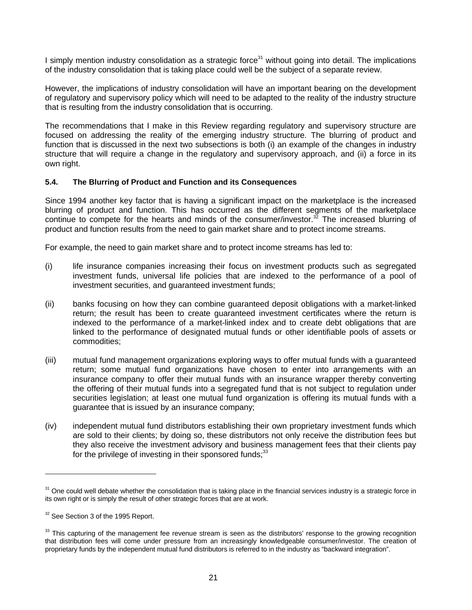I simply mention industry consolidation as a strategic force<sup>31</sup> without going into detail. The implications of the industry consolidation that is taking place could well be the subject of a separate review.

However, the implications of industry consolidation will have an important bearing on the development of regulatory and supervisory policy which will need to be adapted to the reality of the industry structure that is resulting from the industry consolidation that is occurring.

The recommendations that I make in this Review regarding regulatory and supervisory structure are focused on addressing the reality of the emerging industry structure. The blurring of product and function that is discussed in the next two subsections is both (i) an example of the changes in industry structure that will require a change in the regulatory and supervisory approach, and (ii) a force in its own right.

### **5.4. The Blurring of Product and Function and its Consequences**

Since 1994 another key factor that is having a significant impact on the marketplace is the increased blurring of product and function. This has occurred as the different segments of the marketplace continue to compete for the hearts and minds of the consumer/investor.<sup>32</sup> The increased blurring of product and function results from the need to gain market share and to protect income streams.

For example, the need to gain market share and to protect income streams has led to:

- (i) life insurance companies increasing their focus on investment products such as segregated investment funds, universal life policies that are indexed to the performance of a pool of investment securities, and guaranteed investment funds;
- (ii) banks focusing on how they can combine guaranteed deposit obligations with a market-linked return; the result has been to create guaranteed investment certificates where the return is indexed to the performance of a market-linked index and to create debt obligations that are linked to the performance of designated mutual funds or other identifiable pools of assets or commodities;
- (iii) mutual fund management organizations exploring ways to offer mutual funds with a guaranteed return; some mutual fund organizations have chosen to enter into arrangements with an insurance company to offer their mutual funds with an insurance wrapper thereby converting the offering of their mutual funds into a segregated fund that is not subject to regulation under securities legislation; at least one mutual fund organization is offering its mutual funds with a guarantee that is issued by an insurance company;
- (iv) independent mutual fund distributors establishing their own proprietary investment funds which are sold to their clients; by doing so, these distributors not only receive the distribution fees but they also receive the investment advisory and business management fees that their clients pay for the privilege of investing in their sponsored funds; $33$

 $31$  One could well debate whether the consolidation that is taking place in the financial services industry is a strategic force in its own right or is simply the result of other strategic forces that are at work.

<sup>&</sup>lt;sup>32</sup> See Section 3 of the 1995 Report.

 $33$  This capturing of the management fee revenue stream is seen as the distributors' response to the growing recognition that distribution fees will come under pressure from an increasingly knowledgeable consumer/investor. The creation of proprietary funds by the independent mutual fund distributors is referred to in the industry as "backward integration".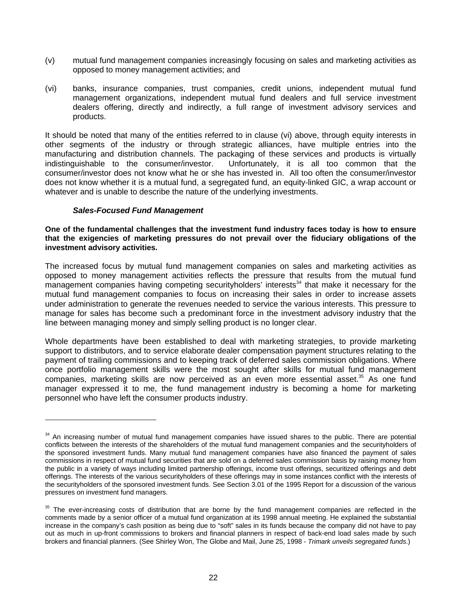- (v) mutual fund management companies increasingly focusing on sales and marketing activities as opposed to money management activities; and
- (vi) banks, insurance companies, trust companies, credit unions, independent mutual fund management organizations, independent mutual fund dealers and full service investment dealers offering, directly and indirectly, a full range of investment advisory services and products.

It should be noted that many of the entities referred to in clause (vi) above, through equity interests in other segments of the industry or through strategic alliances, have multiple entries into the manufacturing and distribution channels. The packaging of these services and products is virtually indistinguishable to the consumer/investor. Unfortunately, it is all too common that the consumer/investor does not know what he or she has invested in. All too often the consumer/investor does not know whether it is a mutual fund, a segregated fund, an equity-linked GIC, a wrap account or whatever and is unable to describe the nature of the underlying investments.

### *Sales-Focused Fund Management*

 $\overline{a}$ 

**One of the fundamental challenges that the investment fund industry faces today is how to ensure that the exigencies of marketing pressures do not prevail over the fiduciary obligations of the investment advisory activities.**

The increased focus by mutual fund management companies on sales and marketing activities as opposed to money management activities reflects the pressure that results from the mutual fund  $m$ anagement companies having competing securityholders' interests<sup>34</sup> that make it necessary for the mutual fund management companies to focus on increasing their sales in order to increase assets under administration to generate the revenues needed to service the various interests. This pressure to manage for sales has become such a predominant force in the investment advisory industry that the line between managing money and simply selling product is no longer clear.

Whole departments have been established to deal with marketing strategies, to provide marketing support to distributors, and to service elaborate dealer compensation payment structures relating to the payment of trailing commissions and to keeping track of deferred sales commission obligations. Where once portfolio management skills were the most sought after skills for mutual fund management companies, marketing skills are now perceived as an even more essential asset.<sup>35</sup> As one fund manager expressed it to me, the fund management industry is becoming a home for marketing personnel who have left the consumer products industry.

 $34$  An increasing number of mutual fund management companies have issued shares to the public. There are potential conflicts between the interests of the shareholders of the mutual fund management companies and the securityholders of the sponsored investment funds. Many mutual fund management companies have also financed the payment of sales commissions in respect of mutual fund securities that are sold on a deferred sales commission basis by raising money from the public in a variety of ways including limited partnership offerings, income trust offerings, securitized offerings and debt offerings. The interests of the various securityholders of these offerings may in some instances conflict with the interests of the securityholders of the sponsored investment funds. See Section 3.01 of the 1995 Report for a discussion of the various pressures on investment fund managers.

<sup>&</sup>lt;sup>35</sup> The ever-increasing costs of distribution that are borne by the fund management companies are reflected in the comments made by a senior officer of a mutual fund organization at its 1998 annual meeting. He explained the substantial increase in the company's cash position as being due to "soft" sales in its funds because the company did not have to pay out as much in up-front commissions to brokers and financial planners in respect of back-end load sales made by such brokers and financial planners. (See Shirley Won, The Globe and Mail, June 25, 1998 - *Trimark unveils segregated funds*.)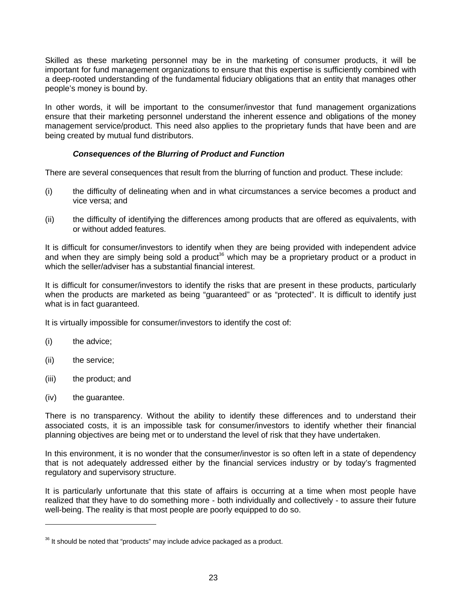Skilled as these marketing personnel may be in the marketing of consumer products, it will be important for fund management organizations to ensure that this expertise is sufficiently combined with a deep-rooted understanding of the fundamental fiduciary obligations that an entity that manages other people's money is bound by.

In other words, it will be important to the consumer/investor that fund management organizations ensure that their marketing personnel understand the inherent essence and obligations of the money management service/product. This need also applies to the proprietary funds that have been and are being created by mutual fund distributors.

### *Consequences of the Blurring of Product and Function*

There are several consequences that result from the blurring of function and product. These include:

- (i) the difficulty of delineating when and in what circumstances a service becomes a product and vice versa; and
- (ii) the difficulty of identifying the differences among products that are offered as equivalents, with or without added features.

It is difficult for consumer/investors to identify when they are being provided with independent advice and when they are simply being sold a product<sup>36</sup> which may be a proprietary product or a product in which the seller/adviser has a substantial financial interest.

It is difficult for consumer/investors to identify the risks that are present in these products, particularly when the products are marketed as being "guaranteed" or as "protected". It is difficult to identify just what is in fact guaranteed.

It is virtually impossible for consumer/investors to identify the cost of:

- (i) the advice;
- (ii) the service;
- (iii) the product; and
- (iv) the guarantee.

 $\overline{a}$ 

There is no transparency. Without the ability to identify these differences and to understand their associated costs, it is an impossible task for consumer/investors to identify whether their financial planning objectives are being met or to understand the level of risk that they have undertaken.

In this environment, it is no wonder that the consumer/investor is so often left in a state of dependency that is not adequately addressed either by the financial services industry or by today's fragmented regulatory and supervisory structure.

It is particularly unfortunate that this state of affairs is occurring at a time when most people have realized that they have to do something more - both individually and collectively - to assure their future well-being. The reality is that most people are poorly equipped to do so.

 $36$  It should be noted that "products" may include advice packaged as a product.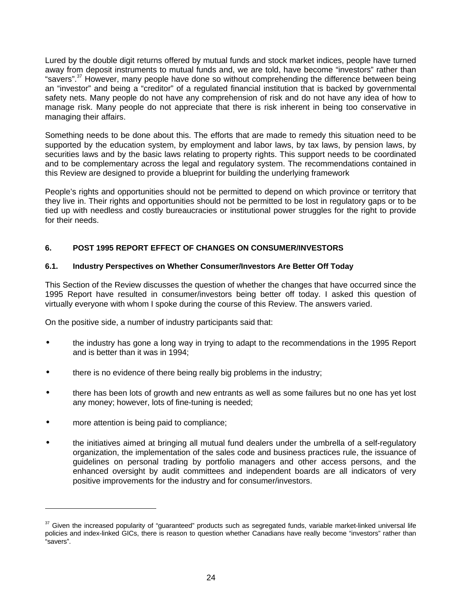Lured by the double digit returns offered by mutual funds and stock market indices, people have turned away from deposit instruments to mutual funds and, we are told, have become "investors" rather than "savers".<sup>37</sup> However, many people have done so without comprehending the difference between being an "investor" and being a "creditor" of a regulated financial institution that is backed by governmental safety nets. Many people do not have any comprehension of risk and do not have any idea of how to manage risk. Many people do not appreciate that there is risk inherent in being too conservative in managing their affairs.

Something needs to be done about this. The efforts that are made to remedy this situation need to be supported by the education system, by employment and labor laws, by tax laws, by pension laws, by securities laws and by the basic laws relating to property rights. This support needs to be coordinated and to be complementary across the legal and regulatory system. The recommendations contained in this Review are designed to provide a blueprint for building the underlying framework

People's rights and opportunities should not be permitted to depend on which province or territory that they live in. Their rights and opportunities should not be permitted to be lost in regulatory gaps or to be tied up with needless and costly bureaucracies or institutional power struggles for the right to provide for their needs.

# **6. POST 1995 REPORT EFFECT OF CHANGES ON CONSUMER/INVESTORS**

### **6.1. Industry Perspectives on Whether Consumer/Investors Are Better Off Today**

This Section of the Review discusses the question of whether the changes that have occurred since the 1995 Report have resulted in consumer/investors being better off today. I asked this question of virtually everyone with whom I spoke during the course of this Review. The answers varied.

On the positive side, a number of industry participants said that:

- the industry has gone a long way in trying to adapt to the recommendations in the 1995 Report and is better than it was in 1994;
- there is no evidence of there being really big problems in the industry;
- there has been lots of growth and new entrants as well as some failures but no one has yet lost any money; however, lots of fine-tuning is needed;
- more attention is being paid to compliance;

 $\overline{a}$ 

• the initiatives aimed at bringing all mutual fund dealers under the umbrella of a self-regulatory organization, the implementation of the sales code and business practices rule, the issuance of guidelines on personal trading by portfolio managers and other access persons, and the enhanced oversight by audit committees and independent boards are all indicators of very positive improvements for the industry and for consumer/investors.

 $37$  Given the increased popularity of "guaranteed" products such as segregated funds, variable market-linked universal life policies and index-linked GICs, there is reason to question whether Canadians have really become "investors" rather than "savers".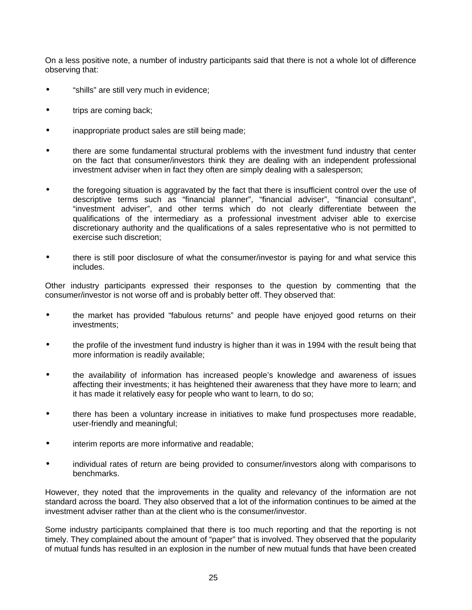On a less positive note, a number of industry participants said that there is not a whole lot of difference observing that:

- "shills" are still very much in evidence;
- trips are coming back;
- inappropriate product sales are still being made;
- there are some fundamental structural problems with the investment fund industry that center on the fact that consumer/investors think they are dealing with an independent professional investment adviser when in fact they often are simply dealing with a salesperson;
- the foregoing situation is aggravated by the fact that there is insufficient control over the use of descriptive terms such as "financial planner", "financial adviser", "financial consultant", "investment adviser", and other terms which do not clearly differentiate between the qualifications of the intermediary as a professional investment adviser able to exercise discretionary authority and the qualifications of a sales representative who is not permitted to exercise such discretion;
- there is still poor disclosure of what the consumer/investor is paying for and what service this includes.

Other industry participants expressed their responses to the question by commenting that the consumer/investor is not worse off and is probably better off. They observed that:

- the market has provided "fabulous returns" and people have enjoyed good returns on their investments;
- the profile of the investment fund industry is higher than it was in 1994 with the result being that more information is readily available;
- the availability of information has increased people's knowledge and awareness of issues affecting their investments; it has heightened their awareness that they have more to learn; and it has made it relatively easy for people who want to learn, to do so;
- there has been a voluntary increase in initiatives to make fund prospectuses more readable, user-friendly and meaningful;
- interim reports are more informative and readable;
- individual rates of return are being provided to consumer/investors along with comparisons to benchmarks.

However, they noted that the improvements in the quality and relevancy of the information are not standard across the board. They also observed that a lot of the information continues to be aimed at the investment adviser rather than at the client who is the consumer/investor.

Some industry participants complained that there is too much reporting and that the reporting is not timely. They complained about the amount of "paper" that is involved. They observed that the popularity of mutual funds has resulted in an explosion in the number of new mutual funds that have been created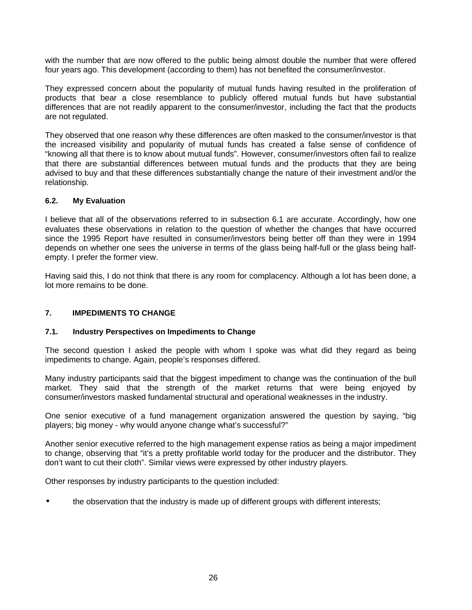with the number that are now offered to the public being almost double the number that were offered four years ago. This development (according to them) has not benefited the consumer/investor.

They expressed concern about the popularity of mutual funds having resulted in the proliferation of products that bear a close resemblance to publicly offered mutual funds but have substantial differences that are not readily apparent to the consumer/investor, including the fact that the products are not regulated.

They observed that one reason why these differences are often masked to the consumer/investor is that the increased visibility and popularity of mutual funds has created a false sense of confidence of "knowing all that there is to know about mutual funds". However, consumer/investors often fail to realize that there are substantial differences between mutual funds and the products that they are being advised to buy and that these differences substantially change the nature of their investment and/or the relationship.

### **6.2. My Evaluation**

I believe that all of the observations referred to in subsection 6.1 are accurate. Accordingly, how one evaluates these observations in relation to the question of whether the changes that have occurred since the 1995 Report have resulted in consumer/investors being better off than they were in 1994 depends on whether one sees the universe in terms of the glass being half-full or the glass being halfempty. I prefer the former view.

Having said this, I do not think that there is any room for complacency. Although a lot has been done, a lot more remains to be done.

## **7. IMPEDIMENTS TO CHANGE**

### **7.1. Industry Perspectives on Impediments to Change**

The second question I asked the people with whom I spoke was what did they regard as being impediments to change. Again, people's responses differed.

Many industry participants said that the biggest impediment to change was the continuation of the bull market. They said that the strength of the market returns that were being enjoyed by consumer/investors masked fundamental structural and operational weaknesses in the industry.

One senior executive of a fund management organization answered the question by saying, "big players; big money - why would anyone change what's successful?"

Another senior executive referred to the high management expense ratios as being a major impediment to change, observing that "it's a pretty profitable world today for the producer and the distributor. They don't want to cut their cloth". Similar views were expressed by other industry players.

Other responses by industry participants to the question included:

• the observation that the industry is made up of different groups with different interests;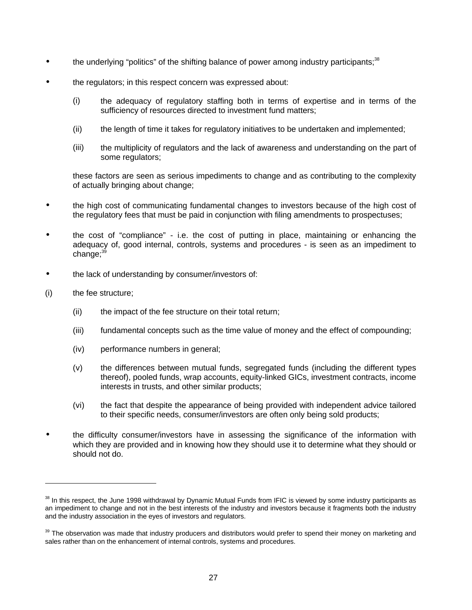- $\bullet$  the underlying "politics" of the shifting balance of power among industry participants;<sup>38</sup>
- the regulators; in this respect concern was expressed about:
	- (i) the adequacy of regulatory staffing both in terms of expertise and in terms of the sufficiency of resources directed to investment fund matters;
	- (ii) the length of time it takes for regulatory initiatives to be undertaken and implemented;
	- (iii) the multiplicity of regulators and the lack of awareness and understanding on the part of some regulators;

these factors are seen as serious impediments to change and as contributing to the complexity of actually bringing about change;

- the high cost of communicating fundamental changes to investors because of the high cost of the regulatory fees that must be paid in conjunction with filing amendments to prospectuses;
- the cost of "compliance" i.e. the cost of putting in place, maintaining or enhancing the adequacy of, good internal, controls, systems and procedures - is seen as an impediment to change: $39$
- the lack of understanding by consumer/investors of:
- (i) the fee structure;

- (ii) the impact of the fee structure on their total return;
- (iii) fundamental concepts such as the time value of money and the effect of compounding;
- (iv) performance numbers in general;
- (v) the differences between mutual funds, segregated funds (including the different types thereof), pooled funds, wrap accounts, equity-linked GICs, investment contracts, income interests in trusts, and other similar products;
- (vi) the fact that despite the appearance of being provided with independent advice tailored to their specific needs, consumer/investors are often only being sold products;
- the difficulty consumer/investors have in assessing the significance of the information with which they are provided and in knowing how they should use it to determine what they should or should not do.

 $38$  In this respect, the June 1998 withdrawal by Dynamic Mutual Funds from IFIC is viewed by some industry participants as an impediment to change and not in the best interests of the industry and investors because it fragments both the industry and the industry association in the eyes of investors and regulators.

<sup>&</sup>lt;sup>39</sup> The observation was made that industry producers and distributors would prefer to spend their money on marketing and sales rather than on the enhancement of internal controls, systems and procedures.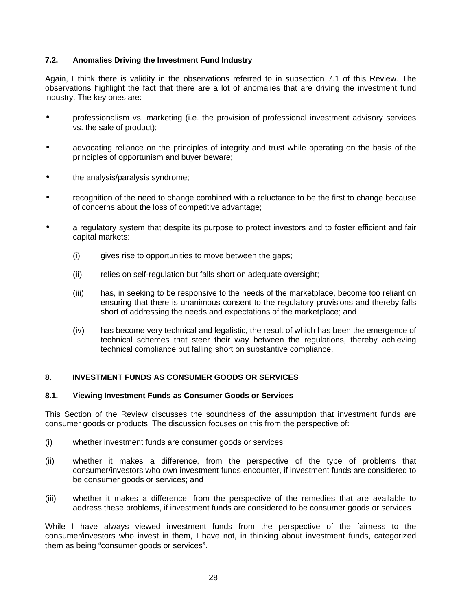### **7.2. Anomalies Driving the Investment Fund Industry**

Again, I think there is validity in the observations referred to in subsection 7.1 of this Review. The observations highlight the fact that there are a lot of anomalies that are driving the investment fund industry. The key ones are:

- professionalism vs. marketing (i.e. the provision of professional investment advisory services vs. the sale of product);
- advocating reliance on the principles of integrity and trust while operating on the basis of the principles of opportunism and buyer beware;
- the analysis/paralysis syndrome;
- recognition of the need to change combined with a reluctance to be the first to change because of concerns about the loss of competitive advantage;
- a regulatory system that despite its purpose to protect investors and to foster efficient and fair capital markets:
	- (i) gives rise to opportunities to move between the gaps;
	- (ii) relies on self-regulation but falls short on adequate oversight;
	- (iii) has, in seeking to be responsive to the needs of the marketplace, become too reliant on ensuring that there is unanimous consent to the regulatory provisions and thereby falls short of addressing the needs and expectations of the marketplace; and
	- (iv) has become very technical and legalistic, the result of which has been the emergence of technical schemes that steer their way between the regulations, thereby achieving technical compliance but falling short on substantive compliance.

# **8. INVESTMENT FUNDS AS CONSUMER GOODS OR SERVICES**

### **8.1. Viewing Investment Funds as Consumer Goods or Services**

This Section of the Review discusses the soundness of the assumption that investment funds are consumer goods or products. The discussion focuses on this from the perspective of:

- (i) whether investment funds are consumer goods or services;
- (ii) whether it makes a difference, from the perspective of the type of problems that consumer/investors who own investment funds encounter, if investment funds are considered to be consumer goods or services; and
- (iii) whether it makes a difference, from the perspective of the remedies that are available to address these problems, if investment funds are considered to be consumer goods or services

While I have always viewed investment funds from the perspective of the fairness to the consumer/investors who invest in them, I have not, in thinking about investment funds, categorized them as being "consumer goods or services".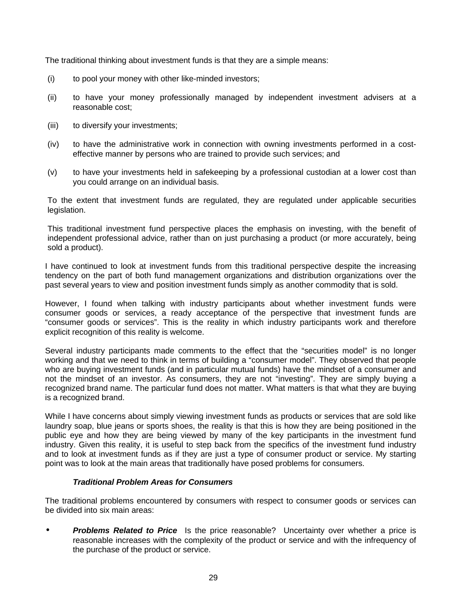The traditional thinking about investment funds is that they are a simple means:

- (i) to pool your money with other like-minded investors;
- (ii) to have your money professionally managed by independent investment advisers at a reasonable cost;
- (iii) to diversify your investments;
- (iv) to have the administrative work in connection with owning investments performed in a costeffective manner by persons who are trained to provide such services; and
- (v) to have your investments held in safekeeping by a professional custodian at a lower cost than you could arrange on an individual basis.

To the extent that investment funds are regulated, they are regulated under applicable securities legislation.

This traditional investment fund perspective places the emphasis on investing, with the benefit of independent professional advice, rather than on just purchasing a product (or more accurately, being sold a product).

I have continued to look at investment funds from this traditional perspective despite the increasing tendency on the part of both fund management organizations and distribution organizations over the past several years to view and position investment funds simply as another commodity that is sold.

However, I found when talking with industry participants about whether investment funds were consumer goods or services, a ready acceptance of the perspective that investment funds are "consumer goods or services". This is the reality in which industry participants work and therefore explicit recognition of this reality is welcome.

Several industry participants made comments to the effect that the "securities model" is no longer working and that we need to think in terms of building a "consumer model". They observed that people who are buying investment funds (and in particular mutual funds) have the mindset of a consumer and not the mindset of an investor. As consumers, they are not "investing". They are simply buying a recognized brand name. The particular fund does not matter. What matters is that what they are buying is a recognized brand.

While I have concerns about simply viewing investment funds as products or services that are sold like laundry soap, blue jeans or sports shoes, the reality is that this is how they are being positioned in the public eye and how they are being viewed by many of the key participants in the investment fund industry. Given this reality, it is useful to step back from the specifics of the investment fund industry and to look at investment funds as if they are just a type of consumer product or service. My starting point was to look at the main areas that traditionally have posed problems for consumers.

### *Traditional Problem Areas for Consumers*

The traditional problems encountered by consumers with respect to consumer goods or services can be divided into six main areas:

**Problems Related to Price** Is the price reasonable? Uncertainty over whether a price is reasonable increases with the complexity of the product or service and with the infrequency of the purchase of the product or service.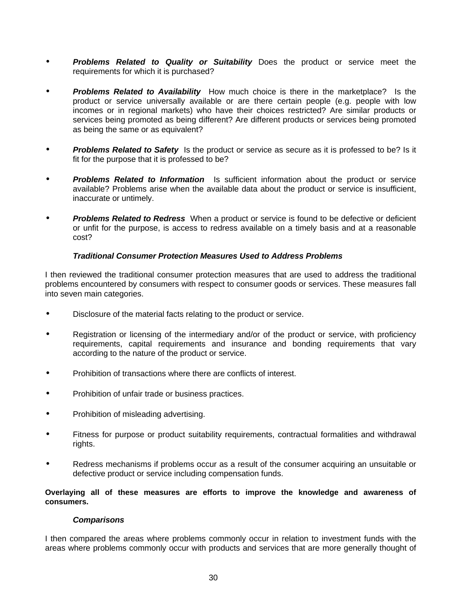- *Problems Related to Quality or Suitability* Does the product or service meet the requirements for which it is purchased?
- *Problems Related to Availability* How much choice is there in the marketplace? Is the product or service universally available or are there certain people (e.g. people with low incomes or in regional markets) who have their choices restricted? Are similar products or services being promoted as being different? Are different products or services being promoted as being the same or as equivalent?
- *Problems Related to Safety* Is the product or service as secure as it is professed to be? Is it fit for the purpose that it is professed to be?
- *Problems Related to Information* Is sufficient information about the product or service available? Problems arise when the available data about the product or service is insufficient, inaccurate or untimely.
- *Problems Related to Redress* When a product or service is found to be defective or deficient or unfit for the purpose, is access to redress available on a timely basis and at a reasonable cost?

#### *Traditional Consumer Protection Measures Used to Address Problems*

I then reviewed the traditional consumer protection measures that are used to address the traditional problems encountered by consumers with respect to consumer goods or services. These measures fall into seven main categories.

- Disclosure of the material facts relating to the product or service.
- Registration or licensing of the intermediary and/or of the product or service, with proficiency requirements, capital requirements and insurance and bonding requirements that vary according to the nature of the product or service.
- Prohibition of transactions where there are conflicts of interest.
- Prohibition of unfair trade or business practices.
- Prohibition of misleading advertising.
- Fitness for purpose or product suitability requirements, contractual formalities and withdrawal rights.
- Redress mechanisms if problems occur as a result of the consumer acquiring an unsuitable or defective product or service including compensation funds.

**Overlaying all of these measures are efforts to improve the knowledge and awareness of consumers.**

#### *Comparisons*

I then compared the areas where problems commonly occur in relation to investment funds with the areas where problems commonly occur with products and services that are more generally thought of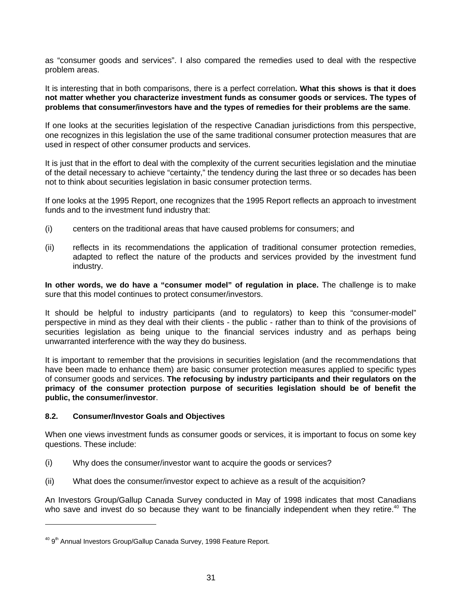as "consumer goods and services". I also compared the remedies used to deal with the respective problem areas.

It is interesting that in both comparisons, there is a perfect correlation**. What this shows is that it does not matter whether you characterize investment funds as consumer goods or services. The types of problems that consumer/investors have and the types of remedies for their problems are the same**.

If one looks at the securities legislation of the respective Canadian jurisdictions from this perspective, one recognizes in this legislation the use of the same traditional consumer protection measures that are used in respect of other consumer products and services.

It is just that in the effort to deal with the complexity of the current securities legislation and the minutiae of the detail necessary to achieve "certainty," the tendency during the last three or so decades has been not to think about securities legislation in basic consumer protection terms.

If one looks at the 1995 Report, one recognizes that the 1995 Report reflects an approach to investment funds and to the investment fund industry that:

- (i) centers on the traditional areas that have caused problems for consumers; and
- (ii) reflects in its recommendations the application of traditional consumer protection remedies, adapted to reflect the nature of the products and services provided by the investment fund industry.

**In other words, we do have a "consumer model" of regulation in place.** The challenge is to make sure that this model continues to protect consumer/investors.

It should be helpful to industry participants (and to regulators) to keep this "consumer-model" perspective in mind as they deal with their clients - the public - rather than to think of the provisions of securities legislation as being unique to the financial services industry and as perhaps being unwarranted interference with the way they do business.

It is important to remember that the provisions in securities legislation (and the recommendations that have been made to enhance them) are basic consumer protection measures applied to specific types of consumer goods and services. **The refocusing by industry participants and their regulators on the primacy of the consumer protection purpose of securities legislation should be of benefit the public, the consumer/investor**.

### **8.2. Consumer/Investor Goals and Objectives**

 $\overline{a}$ 

When one views investment funds as consumer goods or services, it is important to focus on some key questions. These include:

- (i) Why does the consumer/investor want to acquire the goods or services?
- (ii) What does the consumer/investor expect to achieve as a result of the acquisition?

An Investors Group/Gallup Canada Survey conducted in May of 1998 indicates that most Canadians who save and invest do so because they want to be financially independent when they retire.<sup>40</sup> The

<sup>&</sup>lt;sup>40</sup> 9<sup>th</sup> Annual Investors Group/Gallup Canada Survey, 1998 Feature Report.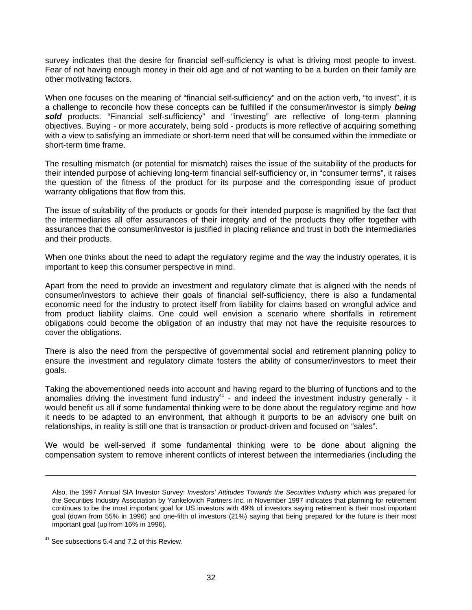survey indicates that the desire for financial self-sufficiency is what is driving most people to invest. Fear of not having enough money in their old age and of not wanting to be a burden on their family are other motivating factors.

When one focuses on the meaning of "financial self-sufficiency" and on the action verb, "to invest", it is a challenge to reconcile how these concepts can be fulfilled if the consumer/investor is simply *being* sold products. "Financial self-sufficiency" and "investing" are reflective of long-term planning objectives. Buying - or more accurately, being sold - products is more reflective of acquiring something with a view to satisfying an immediate or short-term need that will be consumed within the immediate or short-term time frame.

The resulting mismatch (or potential for mismatch) raises the issue of the suitability of the products for their intended purpose of achieving long-term financial self-sufficiency or, in "consumer terms", it raises the question of the fitness of the product for its purpose and the corresponding issue of product warranty obligations that flow from this.

The issue of suitability of the products or goods for their intended purpose is magnified by the fact that the intermediaries all offer assurances of their integrity and of the products they offer together with assurances that the consumer/investor is justified in placing reliance and trust in both the intermediaries and their products.

When one thinks about the need to adapt the regulatory regime and the way the industry operates, it is important to keep this consumer perspective in mind.

Apart from the need to provide an investment and regulatory climate that is aligned with the needs of consumer/investors to achieve their goals of financial self-sufficiency, there is also a fundamental economic need for the industry to protect itself from liability for claims based on wrongful advice and from product liability claims. One could well envision a scenario where shortfalls in retirement obligations could become the obligation of an industry that may not have the requisite resources to cover the obligations.

There is also the need from the perspective of governmental social and retirement planning policy to ensure the investment and regulatory climate fosters the ability of consumer/investors to meet their goals.

Taking the abovementioned needs into account and having regard to the blurring of functions and to the anomalies driving the investment fund industry<sup>41</sup> - and indeed the investment industry generally - it would benefit us all if some fundamental thinking were to be done about the regulatory regime and how it needs to be adapted to an environment, that although it purports to be an advisory one built on relationships, in reality is still one that is transaction or product-driven and focused on "sales".

We would be well-served if some fundamental thinking were to be done about aligning the compensation system to remove inherent conflicts of interest between the intermediaries (including the

Also, the 1997 Annual SIA Investor Survey: *Investors' Attitudes Towards the Securities Industry* which was prepared for the Securities Industry Association by Yankelovich Partners Inc. in November 1997 indicates that planning for retirement continues to be the most important goal for US investors with 49% of investors saying retirement is their most important goal (down from 55% in 1996) and one-fifth of investors (21%) saying that being prepared for the future is their most important goal (up from 16% in 1996).

<sup>&</sup>lt;sup>41</sup> See subsections 5.4 and 7.2 of this Review.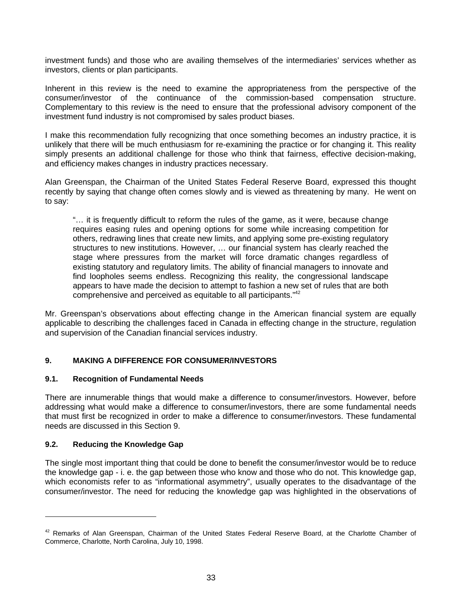investment funds) and those who are availing themselves of the intermediaries' services whether as investors, clients or plan participants.

Inherent in this review is the need to examine the appropriateness from the perspective of the consumer/investor of the continuance of the commission-based compensation structure. Complementary to this review is the need to ensure that the professional advisory component of the investment fund industry is not compromised by sales product biases.

I make this recommendation fully recognizing that once something becomes an industry practice, it is unlikely that there will be much enthusiasm for re-examining the practice or for changing it. This reality simply presents an additional challenge for those who think that fairness, effective decision-making, and efficiency makes changes in industry practices necessary.

Alan Greenspan, the Chairman of the United States Federal Reserve Board, expressed this thought recently by saying that change often comes slowly and is viewed as threatening by many. He went on to say:

"… it is frequently difficult to reform the rules of the game, as it were, because change requires easing rules and opening options for some while increasing competition for others, redrawing lines that create new limits, and applying some pre-existing regulatory structures to new institutions. However, … our financial system has clearly reached the stage where pressures from the market will force dramatic changes regardless of existing statutory and regulatory limits. The ability of financial managers to innovate and find loopholes seems endless. Recognizing this reality, the congressional landscape appears to have made the decision to attempt to fashion a new set of rules that are both comprehensive and perceived as equitable to all participants."<sup>42</sup>

Mr. Greenspan's observations about effecting change in the American financial system are equally applicable to describing the challenges faced in Canada in effecting change in the structure, regulation and supervision of the Canadian financial services industry.

### **9. MAKING A DIFFERENCE FOR CONSUMER/INVESTORS**

### **9.1. Recognition of Fundamental Needs**

There are innumerable things that would make a difference to consumer/investors. However, before addressing what would make a difference to consumer/investors, there are some fundamental needs that must first be recognized in order to make a difference to consumer/investors. These fundamental needs are discussed in this Section 9.

### **9.2. Reducing the Knowledge Gap**

 $\overline{a}$ 

The single most important thing that could be done to benefit the consumer/investor would be to reduce the knowledge gap - i. e. the gap between those who know and those who do not. This knowledge gap, which economists refer to as "informational asymmetry", usually operates to the disadvantage of the consumer/investor. The need for reducing the knowledge gap was highlighted in the observations of

 $42$  Remarks of Alan Greenspan, Chairman of the United States Federal Reserve Board, at the Charlotte Chamber of Commerce, Charlotte, North Carolina, July 10, 1998.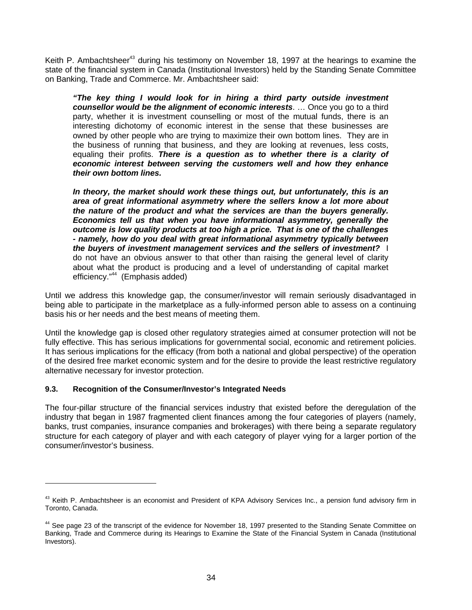Keith P. Ambachtsheer<sup>43</sup> during his testimony on November 18, 1997 at the hearings to examine the state of the financial system in Canada (Institutional Investors) held by the Standing Senate Committee on Banking, Trade and Commerce. Mr. Ambachtsheer said:

*"The key thing I would look for in hiring a third party outside investment counsellor would be the alignment of economic interests*. … Once you go to a third party, whether it is investment counselling or most of the mutual funds, there is an interesting dichotomy of economic interest in the sense that these businesses are owned by other people who are trying to maximize their own bottom lines. They are in the business of running that business, and they are looking at revenues, less costs, equaling their profits. *There is a question as to whether there is a clarity of economic interest between serving the customers well and how they enhance their own bottom lines.*

*In theory, the market should work these things out, but unfortunately, this is an area of great informational asymmetry where the sellers know a lot more about the nature of the product and what the services are than the buyers generally. Economics tell us that when you have informational asymmetry, generally the outcome is low quality products at too high a price. That is one of the challenges - namely, how do you deal with great informational asymmetry typically between the buyers of investment management services and the sellers of investment?* I do not have an obvious answer to that other than raising the general level of clarity about what the product is producing and a level of understanding of capital market efficiency."<sup>44</sup> (Emphasis added)

Until we address this knowledge gap, the consumer/investor will remain seriously disadvantaged in being able to participate in the marketplace as a fully-informed person able to assess on a continuing basis his or her needs and the best means of meeting them.

Until the knowledge gap is closed other regulatory strategies aimed at consumer protection will not be fully effective. This has serious implications for governmental social, economic and retirement policies. It has serious implications for the efficacy (from both a national and global perspective) of the operation of the desired free market economic system and for the desire to provide the least restrictive regulatory alternative necessary for investor protection.

### **9.3. Recognition of the Consumer/Investor's Integrated Needs**

 $\overline{a}$ 

The four-pillar structure of the financial services industry that existed before the deregulation of the industry that began in 1987 fragmented client finances among the four categories of players (namely, banks, trust companies, insurance companies and brokerages) with there being a separate regulatory structure for each category of player and with each category of player vying for a larger portion of the consumer/investor's business.

 $43$  Keith P. Ambachtsheer is an economist and President of KPA Advisory Services Inc., a pension fund advisory firm in Toronto, Canada.

<sup>&</sup>lt;sup>44</sup> See page 23 of the transcript of the evidence for November 18, 1997 presented to the Standing Senate Committee on Banking, Trade and Commerce during its Hearings to Examine the State of the Financial System in Canada (Institutional Investors).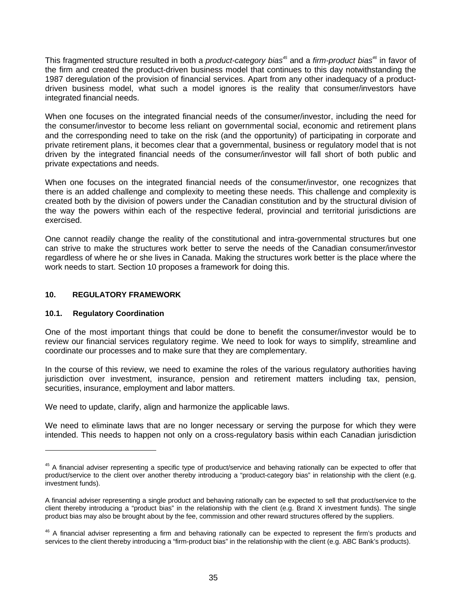This fragmented structure resulted in both a *product-category bias<sup>45</sup>* and a *firm-product bias<sup>46</sup>* in favor of the firm and created the product-driven business model that continues to this day notwithstanding the 1987 deregulation of the provision of financial services. Apart from any other inadequacy of a productdriven business model, what such a model ignores is the reality that consumer/investors have integrated financial needs.

When one focuses on the integrated financial needs of the consumer/investor, including the need for the consumer/investor to become less reliant on governmental social, economic and retirement plans and the corresponding need to take on the risk (and the opportunity) of participating in corporate and private retirement plans, it becomes clear that a governmental, business or regulatory model that is not driven by the integrated financial needs of the consumer/investor will fall short of both public and private expectations and needs.

When one focuses on the integrated financial needs of the consumer/investor, one recognizes that there is an added challenge and complexity to meeting these needs. This challenge and complexity is created both by the division of powers under the Canadian constitution and by the structural division of the way the powers within each of the respective federal, provincial and territorial jurisdictions are exercised.

One cannot readily change the reality of the constitutional and intra-governmental structures but one can strive to make the structures work better to serve the needs of the Canadian consumer/investor regardless of where he or she lives in Canada. Making the structures work better is the place where the work needs to start. Section 10 proposes a framework for doing this.

## **10. REGULATORY FRAMEWORK**

### **10.1. Regulatory Coordination**

 $\overline{a}$ 

One of the most important things that could be done to benefit the consumer/investor would be to review our financial services regulatory regime. We need to look for ways to simplify, streamline and coordinate our processes and to make sure that they are complementary.

In the course of this review, we need to examine the roles of the various regulatory authorities having jurisdiction over investment, insurance, pension and retirement matters including tax, pension, securities, insurance, employment and labor matters.

We need to update, clarify, align and harmonize the applicable laws.

We need to eliminate laws that are no longer necessary or serving the purpose for which they were intended. This needs to happen not only on a cross-regulatory basis within each Canadian jurisdiction

<sup>&</sup>lt;sup>45</sup> A financial adviser representing a specific type of product/service and behaving rationally can be expected to offer that product/service to the client over another thereby introducing a "product-category bias" in relationship with the client (e.g. investment funds).

A financial adviser representing a single product and behaving rationally can be expected to sell that product/service to the client thereby introducing a "product bias" in the relationship with the client (e.g. Brand X investment funds). The single product bias may also be brought about by the fee, commission and other reward structures offered by the suppliers.

<sup>&</sup>lt;sup>46</sup> A financial adviser representing a firm and behaving rationally can be expected to represent the firm's products and services to the client thereby introducing a "firm-product bias" in the relationship with the client (e.g. ABC Bank's products).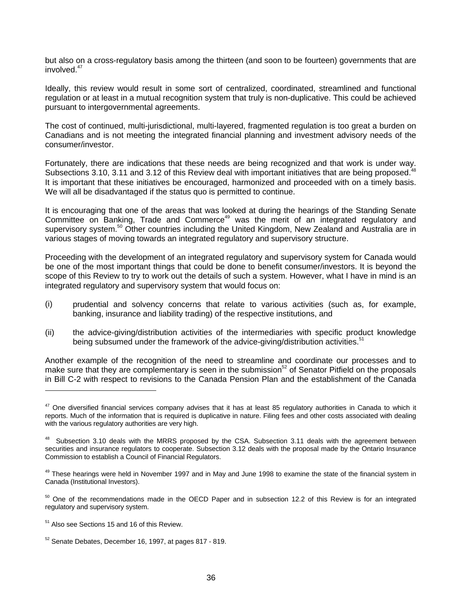but also on a cross-regulatory basis among the thirteen (and soon to be fourteen) governments that are involved $47$ 

Ideally, this review would result in some sort of centralized, coordinated, streamlined and functional regulation or at least in a mutual recognition system that truly is non-duplicative. This could be achieved pursuant to intergovernmental agreements.

The cost of continued, multi-jurisdictional, multi-layered, fragmented regulation is too great a burden on Canadians and is not meeting the integrated financial planning and investment advisory needs of the consumer/investor.

Fortunately, there are indications that these needs are being recognized and that work is under way. Subsections 3.10, 3.11 and 3.12 of this Review deal with important initiatives that are being proposed.<sup>48</sup> It is important that these initiatives be encouraged, harmonized and proceeded with on a timely basis. We will all be disadvantaged if the status quo is permitted to continue.

It is encouraging that one of the areas that was looked at during the hearings of the Standing Senate Committee on Banking, Trade and Commerce<sup>49</sup> was the merit of an integrated regulatory and supervisory system.<sup>50</sup> Other countries including the United Kingdom, New Zealand and Australia are in various stages of moving towards an integrated regulatory and supervisory structure.

Proceeding with the development of an integrated regulatory and supervisory system for Canada would be one of the most important things that could be done to benefit consumer/investors. It is beyond the scope of this Review to try to work out the details of such a system. However, what I have in mind is an integrated regulatory and supervisory system that would focus on:

- (i) prudential and solvency concerns that relate to various activities (such as, for example, banking, insurance and liability trading) of the respective institutions, and
- (ii) the advice-giving/distribution activities of the intermediaries with specific product knowledge being subsumed under the framework of the advice-giving/distribution activities.<sup>51</sup>

Another example of the recognition of the need to streamline and coordinate our processes and to make sure that they are complementary is seen in the submission<sup>52</sup> of Senator Pitfield on the proposals in Bill C-2 with respect to revisions to the Canada Pension Plan and the establishment of the Canada

 $47$  One diversified financial services company advises that it has at least 85 regulatory authorities in Canada to which it reports. Much of the information that is required is duplicative in nature. Filing fees and other costs associated with dealing with the various regulatory authorities are very high.

<sup>&</sup>lt;sup>48</sup> Subsection 3.10 deals with the MRRS proposed by the CSA. Subsection 3.11 deals with the agreement between securities and insurance regulators to cooperate. Subsection 3.12 deals with the proposal made by the Ontario Insurance Commission to establish a Council of Financial Regulators.

<sup>&</sup>lt;sup>49</sup> These hearings were held in November 1997 and in May and June 1998 to examine the state of the financial system in Canada (Institutional Investors).

 $50$  One of the recommendations made in the OECD Paper and in subsection 12.2 of this Review is for an integrated regulatory and supervisory system.

<sup>&</sup>lt;sup>51</sup> Also see Sections 15 and 16 of this Review.

 $52$  Senate Debates, December 16, 1997, at pages 817 - 819.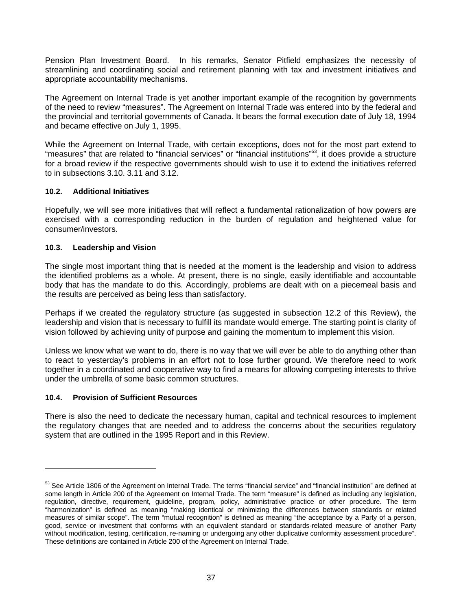Pension Plan Investment Board. In his remarks, Senator Pitfield emphasizes the necessity of streamlining and coordinating social and retirement planning with tax and investment initiatives and appropriate accountability mechanisms.

The Agreement on Internal Trade is yet another important example of the recognition by governments of the need to review "measures". The Agreement on Internal Trade was entered into by the federal and the provincial and territorial governments of Canada. It bears the formal execution date of July 18, 1994 and became effective on July 1, 1995.

While the Agreement on Internal Trade, with certain exceptions, does not for the most part extend to "measures" that are related to "financial services" or "financial institutions"53, it does provide a structure for a broad review if the respective governments should wish to use it to extend the initiatives referred to in subsections 3.10. 3.11 and 3.12.

### **10.2. Additional Initiatives**

Hopefully, we will see more initiatives that will reflect a fundamental rationalization of how powers are exercised with a corresponding reduction in the burden of regulation and heightened value for consumer/investors.

## **10.3. Leadership and Vision**

The single most important thing that is needed at the moment is the leadership and vision to address the identified problems as a whole. At present, there is no single, easily identifiable and accountable body that has the mandate to do this. Accordingly, problems are dealt with on a piecemeal basis and the results are perceived as being less than satisfactory.

Perhaps if we created the regulatory structure (as suggested in subsection 12.2 of this Review), the leadership and vision that is necessary to fulfill its mandate would emerge. The starting point is clarity of vision followed by achieving unity of purpose and gaining the momentum to implement this vision.

Unless we know what we want to do, there is no way that we will ever be able to do anything other than to react to yesterday's problems in an effort not to lose further ground. We therefore need to work together in a coordinated and cooperative way to find a means for allowing competing interests to thrive under the umbrella of some basic common structures.

### **10.4. Provision of Sufficient Resources**

 $\overline{a}$ 

There is also the need to dedicate the necessary human, capital and technical resources to implement the regulatory changes that are needed and to address the concerns about the securities regulatory system that are outlined in the 1995 Report and in this Review.

<sup>&</sup>lt;sup>53</sup> See Article 1806 of the Agreement on Internal Trade. The terms "financial service" and "financial institution" are defined at some length in Article 200 of the Agreement on Internal Trade. The term "measure" is defined as including any legislation, regulation, directive, requirement, guideline, program, policy, administrative practice or other procedure. The term "harmonization" is defined as meaning "making identical or minimizing the differences between standards or related measures of similar scope". The term "mutual recognition" is defined as meaning "the acceptance by a Party of a person, good, service or investment that conforms with an equivalent standard or standards-related measure of another Party without modification, testing, certification, re-naming or undergoing any other duplicative conformity assessment procedure". These definitions are contained in Article 200 of the Agreement on Internal Trade.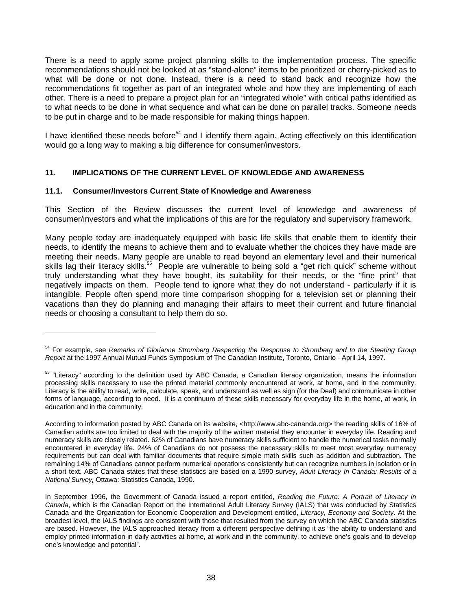There is a need to apply some project planning skills to the implementation process. The specific recommendations should not be looked at as "stand-alone" items to be prioritized or cherry-picked as to what will be done or not done. Instead, there is a need to stand back and recognize how the recommendations fit together as part of an integrated whole and how they are implementing of each other. There is a need to prepare a project plan for an "integrated whole" with critical paths identified as to what needs to be done in what sequence and what can be done on parallel tracks. Someone needs to be put in charge and to be made responsible for making things happen.

I have identified these needs before<sup>54</sup> and I identify them again. Acting effectively on this identification would go a long way to making a big difference for consumer/investors.

## **11. IMPLICATIONS OF THE CURRENT LEVEL OF KNOWLEDGE AND AWARENESS**

### **11.1. Consumer/Investors Current State of Knowledge and Awareness**

 $\overline{a}$ 

This Section of the Review discusses the current level of knowledge and awareness of consumer/investors and what the implications of this are for the regulatory and supervisory framework.

Many people today are inadequately equipped with basic life skills that enable them to identify their needs, to identify the means to achieve them and to evaluate whether the choices they have made are meeting their needs. Many people are unable to read beyond an elementary level and their numerical skills lag their literacy skills.<sup>55</sup> People are vulnerable to being sold a "get rich quick" scheme without truly understanding what they have bought, its suitability for their needs, or the "fine print" that negatively impacts on them. People tend to ignore what they do not understand - particularly if it is intangible. People often spend more time comparison shopping for a television set or planning their vacations than they do planning and managing their affairs to meet their current and future financial needs or choosing a consultant to help them do so.

<sup>54</sup> For example, see *Remarks of Glorianne Stromberg Respecting the Response to Stromberg and to the Steering Group Report* at the 1997 Annual Mutual Funds Symposium of The Canadian Institute, Toronto, Ontario - April 14, 1997.

<sup>&</sup>lt;sup>55</sup> "Literacy" according to the definition used by ABC Canada, a Canadian literacy organization, means the information processing skills necessary to use the printed material commonly encountered at work, at home, and in the community. Literacy is the ability to read, write, calculate, speak, and understand as well as sign (for the Deaf) and communicate in other forms of language, according to need. It is a continuum of these skills necessary for everyday life in the home, at work, in education and in the community.

According to information posted by ABC Canada on its website, <http://www.abc-cananda.org> the reading skills of 16% of Canadian adults are too limited to deal with the majority of the written material they encounter in everyday life. Reading and numeracy skills are closely related. 62% of Canadians have numeracy skills sufficient to handle the numerical tasks normally encountered in everyday life. 24% of Canadians do not possess the necessary skills to meet most everyday numeracy requirements but can deal with familiar documents that require simple math skills such as addition and subtraction. The remaining 14% of Canadians cannot perform numerical operations consistently but can recognize numbers in isolation or in a short text. ABC Canada states that these statistics are based on a 1990 survey, *Adult Literacy In Canada: Results of a National Survey,* Ottawa: Statistics Canada, 1990.

In September 1996, the Government of Canada issued a report entitled, *Reading the Future: A Portrait of Literacy in Canada*, which is the Canadian Report on the International Adult Literacy Survey (IALS) that was conducted by Statistics Canada and the Organization for Economic Cooperation and Development entitled, *Literacy, Economy and Society*. At the broadest level, the IALS findings are consistent with those that resulted from the survey on which the ABC Canada statistics are based. However, the IALS approached literacy from a different perspective defining it as "the ability to understand and employ printed information in daily activities at home, at work and in the community, to achieve one's goals and to develop one's knowledge and potential".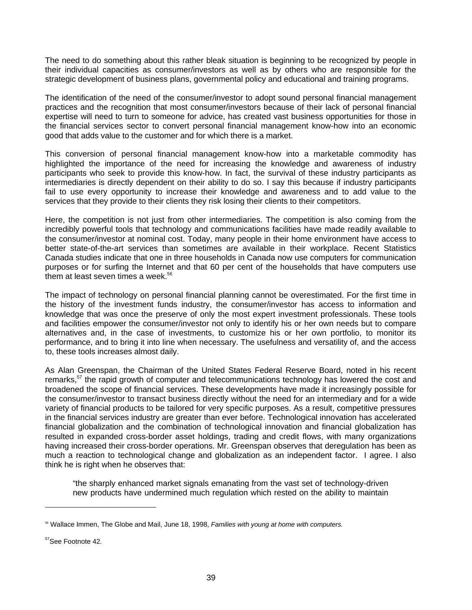The need to do something about this rather bleak situation is beginning to be recognized by people in their individual capacities as consumer/investors as well as by others who are responsible for the strategic development of business plans, governmental policy and educational and training programs.

The identification of the need of the consumer/investor to adopt sound personal financial management practices and the recognition that most consumer/investors because of their lack of personal financial expertise will need to turn to someone for advice, has created vast business opportunities for those in the financial services sector to convert personal financial management know-how into an economic good that adds value to the customer and for which there is a market.

This conversion of personal financial management know-how into a marketable commodity has highlighted the importance of the need for increasing the knowledge and awareness of industry participants who seek to provide this know-how. In fact, the survival of these industry participants as intermediaries is directly dependent on their ability to do so. I say this because if industry participants fail to use every opportunity to increase their knowledge and awareness and to add value to the services that they provide to their clients they risk losing their clients to their competitors.

Here, the competition is not just from other intermediaries. The competition is also coming from the incredibly powerful tools that technology and communications facilities have made readily available to the consumer/investor at nominal cost. Today, many people in their home environment have access to better state-of-the-art services than sometimes are available in their workplace. Recent Statistics Canada studies indicate that one in three households in Canada now use computers for communication purposes or for surfing the Internet and that 60 per cent of the households that have computers use them at least seven times a week.<sup>56</sup>

The impact of technology on personal financial planning cannot be overestimated. For the first time in the history of the investment funds industry, the consumer/investor has access to information and knowledge that was once the preserve of only the most expert investment professionals. These tools and facilities empower the consumer/investor not only to identify his or her own needs but to compare alternatives and, in the case of investments, to customize his or her own portfolio, to monitor its performance, and to bring it into line when necessary. The usefulness and versatility of, and the access to, these tools increases almost daily.

As Alan Greenspan, the Chairman of the United States Federal Reserve Board, noted in his recent remarks,<sup>57</sup> the rapid growth of computer and telecommunications technology has lowered the cost and broadened the scope of financial services. These developments have made it increasingly possible for the consumer/investor to transact business directly without the need for an intermediary and for a wide variety of financial products to be tailored for very specific purposes. As a result, competitive pressures in the financial services industry are greater than ever before. Technological innovation has accelerated financial globalization and the combination of technological innovation and financial globalization has resulted in expanded cross-border asset holdings, trading and credit flows, with many organizations having increased their cross-border operations. Mr. Greenspan observes that deregulation has been as much a reaction to technological change and globalization as an independent factor. I agree. I also think he is right when he observes that:

"the sharply enhanced market signals emanating from the vast set of technology-driven new products have undermined much regulation which rested on the ability to maintain

<sup>56</sup> Wallace Immen, The Globe and Mail, June 18, 1998, *Families with young at home with computers.*

<sup>57</sup>See Footnote 42*.*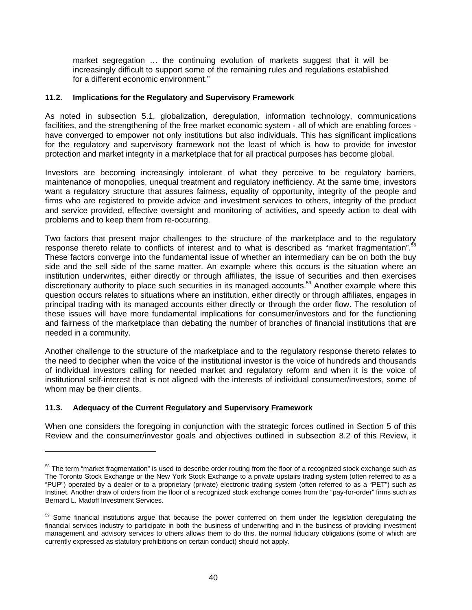market segregation … the continuing evolution of markets suggest that it will be increasingly difficult to support some of the remaining rules and regulations established for a different economic environment."

### **11.2. Implications for the Regulatory and Supervisory Framework**

As noted in subsection 5.1, globalization, deregulation, information technology, communications facilities, and the strengthening of the free market economic system - all of which are enabling forces have converged to empower not only institutions but also individuals. This has significant implications for the regulatory and supervisory framework not the least of which is how to provide for investor protection and market integrity in a marketplace that for all practical purposes has become global.

Investors are becoming increasingly intolerant of what they perceive to be regulatory barriers, maintenance of monopolies, unequal treatment and regulatory inefficiency. At the same time, investors want a regulatory structure that assures fairness, equality of opportunity, integrity of the people and firms who are registered to provide advice and investment services to others, integrity of the product and service provided, effective oversight and monitoring of activities, and speedy action to deal with problems and to keep them from re-occurring.

Two factors that present major challenges to the structure of the marketplace and to the regulatory response thereto relate to conflicts of interest and to what is described as "market fragmentation".<sup>58</sup> These factors converge into the fundamental issue of whether an intermediary can be on both the buy side and the sell side of the same matter. An example where this occurs is the situation where an institution underwrites, either directly or through affiliates, the issue of securities and then exercises discretionary authority to place such securities in its managed accounts.59 Another example where this question occurs relates to situations where an institution, either directly or through affiliates, engages in principal trading with its managed accounts either directly or through the order flow. The resolution of these issues will have more fundamental implications for consumer/investors and for the functioning and fairness of the marketplace than debating the number of branches of financial institutions that are needed in a community.

Another challenge to the structure of the marketplace and to the regulatory response thereto relates to the need to decipher when the voice of the institutional investor is the voice of hundreds and thousands of individual investors calling for needed market and regulatory reform and when it is the voice of institutional self-interest that is not aligned with the interests of individual consumer/investors, some of whom may be their clients.

### **11.3. Adequacy of the Current Regulatory and Supervisory Framework**

 $\overline{a}$ 

When one considers the foregoing in conjunction with the strategic forces outlined in Section 5 of this Review and the consumer/investor goals and objectives outlined in subsection 8.2 of this Review, it

<sup>&</sup>lt;sup>58</sup> The term "market fragmentation" is used to describe order routing from the floor of a recognized stock exchange such as The Toronto Stock Exchange or the New York Stock Exchange to a private upstairs trading system (often referred to as a "PUP") operated by a dealer or to a proprietary (private) electronic trading system (often referred to as a "PET") such as Instinet. Another draw of orders from the floor of a recognized stock exchange comes from the "pay-for-order" firms such as Bernard L. Madoff Investment Services.

<sup>&</sup>lt;sup>59</sup> Some financial institutions argue that because the power conferred on them under the legislation deregulating the financial services industry to participate in both the business of underwriting and in the business of providing investment management and advisory services to others allows them to do this, the normal fiduciary obligations (some of which are currently expressed as statutory prohibitions on certain conduct) should not apply.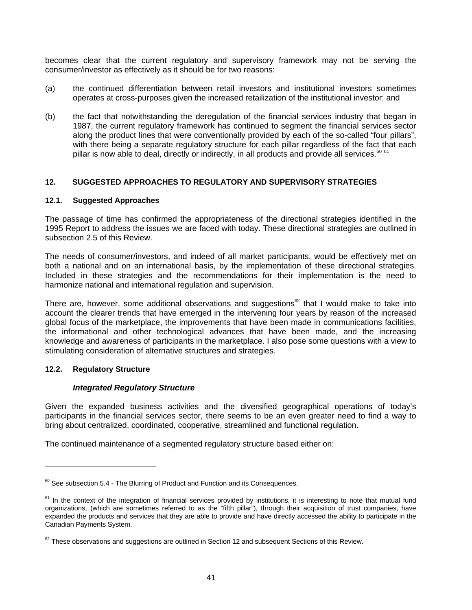becomes clear that the current regulatory and supervisory framework may not be serving the consumer/investor as effectively as it should be for two reasons:

- (a) the continued differentiation between retail investors and institutional investors sometimes operates at cross-purposes given the increased retailization of the institutional investor; and
- (b) the fact that notwithstanding the deregulation of the financial services industry that began in 1987, the current regulatory framework has continued to segment the financial services sector along the product lines that were conventionally provided by each of the so-called "four pillars", with there being a separate regulatory structure for each pillar regardless of the fact that each pillar is now able to deal, directly or indirectly, in all products and provide all services.<sup>60 61</sup>

### **12. SUGGESTED APPROACHES TO REGULATORY AND SUPERVISORY STRATEGIES**

#### **12.1. Suggested Approaches**

The passage of time has confirmed the appropriateness of the directional strategies identified in the 1995 Report to address the issues we are faced with today. These directional strategies are outlined in subsection 2.5 of this Review.

The needs of consumer/investors, and indeed of all market participants, would be effectively met on both a national and on an international basis, by the implementation of these directional strategies. Included in these strategies and the recommendations for their implementation is the need to harmonize national and international regulation and supervision.

There are, however, some additional observations and suggestions<sup>62</sup> that I would make to take into account the clearer trends that have emerged in the intervening four years by reason of the increased global focus of the marketplace, the improvements that have been made in communications facilities, the informational and other technological advances that have been made, and the increasing knowledge and awareness of participants in the marketplace. I also pose some questions with a view to stimulating consideration of alternative structures and strategies.

### **12.2. Regulatory Structure**

 $\overline{a}$ 

### *Integrated Regulatory Structure*

Given the expanded business activities and the diversified geographical operations of today's participants in the financial services sector, there seems to be an even greater need to find a way to bring about centralized, coordinated, cooperative, streamlined and functional regulation.

The continued maintenance of a segmented regulatory structure based either on:

 $60$  See subsection 5.4 - The Blurring of Product and Function and its Consequences.

 $61$  In the context of the integration of financial services provided by institutions, it is interesting to note that mutual fund organizations, (which are sometimes referred to as the "fifth pillar"), through their acquisition of trust companies, have expanded the products and services that they are able to provide and have directly accessed the ability to participate in the Canadian Payments System.

 $62$  These observations and suggestions are outlined in Section 12 and subsequent Sections of this Review.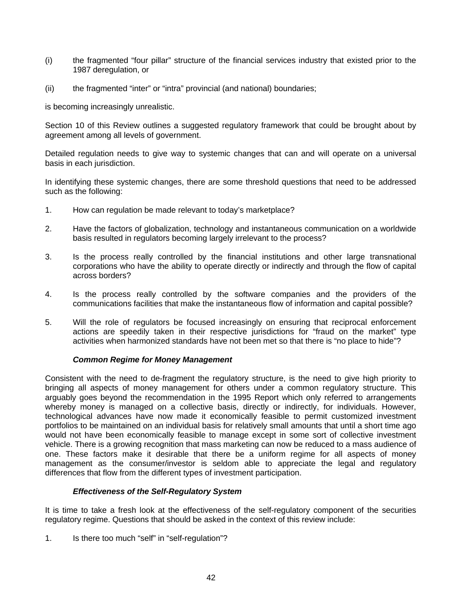- (i) the fragmented "four pillar" structure of the financial services industry that existed prior to the 1987 deregulation, or
- (ii) the fragmented "inter" or "intra" provincial (and national) boundaries;

is becoming increasingly unrealistic.

Section 10 of this Review outlines a suggested regulatory framework that could be brought about by agreement among all levels of government.

Detailed regulation needs to give way to systemic changes that can and will operate on a universal basis in each jurisdiction.

In identifying these systemic changes, there are some threshold questions that need to be addressed such as the following:

- 1. How can regulation be made relevant to today's marketplace?
- 2. Have the factors of globalization, technology and instantaneous communication on a worldwide basis resulted in regulators becoming largely irrelevant to the process?
- 3. Is the process really controlled by the financial institutions and other large transnational corporations who have the ability to operate directly or indirectly and through the flow of capital across borders?
- 4. Is the process really controlled by the software companies and the providers of the communications facilities that make the instantaneous flow of information and capital possible?
- 5. Will the role of regulators be focused increasingly on ensuring that reciprocal enforcement actions are speedily taken in their respective jurisdictions for "fraud on the market" type activities when harmonized standards have not been met so that there is "no place to hide"?

### *Common Regime for Money Management*

Consistent with the need to de-fragment the regulatory structure, is the need to give high priority to bringing all aspects of money management for others under a common regulatory structure. This arguably goes beyond the recommendation in the 1995 Report which only referred to arrangements whereby money is managed on a collective basis, directly or indirectly, for individuals. However, technological advances have now made it economically feasible to permit customized investment portfolios to be maintained on an individual basis for relatively small amounts that until a short time ago would not have been economically feasible to manage except in some sort of collective investment vehicle. There is a growing recognition that mass marketing can now be reduced to a mass audience of one. These factors make it desirable that there be a uniform regime for all aspects of money management as the consumer/investor is seldom able to appreciate the legal and regulatory differences that flow from the different types of investment participation.

### *Effectiveness of the Self-Regulatory System*

It is time to take a fresh look at the effectiveness of the self-regulatory component of the securities regulatory regime. Questions that should be asked in the context of this review include:

1. Is there too much "self" in "self-regulation"?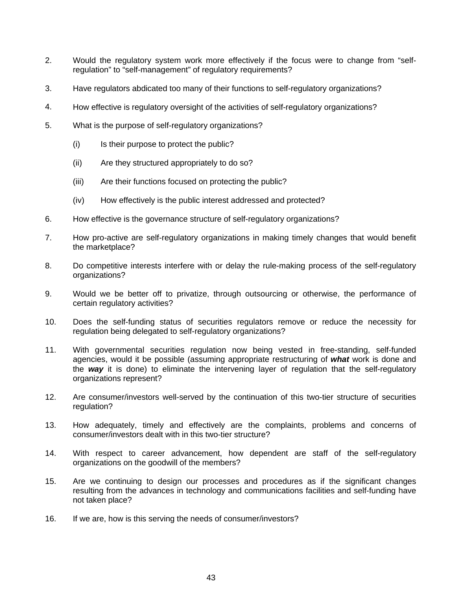- 2. Would the regulatory system work more effectively if the focus were to change from "selfregulation" to "self-management" of regulatory requirements?
- 3. Have regulators abdicated too many of their functions to self-regulatory organizations?
- 4. How effective is regulatory oversight of the activities of self-regulatory organizations?
- 5. What is the purpose of self-regulatory organizations?
	- (i) Is their purpose to protect the public?
	- (ii) Are they structured appropriately to do so?
	- (iii) Are their functions focused on protecting the public?
	- (iv) How effectively is the public interest addressed and protected?
- 6. How effective is the governance structure of self-regulatory organizations?
- 7. How pro-active are self-regulatory organizations in making timely changes that would benefit the marketplace?
- 8. Do competitive interests interfere with or delay the rule-making process of the self-regulatory organizations?
- 9. Would we be better off to privatize, through outsourcing or otherwise, the performance of certain regulatory activities?
- 10. Does the self-funding status of securities regulators remove or reduce the necessity for regulation being delegated to self-regulatory organizations?
- 11. With governmental securities regulation now being vested in free-standing, self-funded agencies, would it be possible (assuming appropriate restructuring of *what* work is done and the *way* it is done) to eliminate the intervening layer of regulation that the self-regulatory organizations represent?
- 12. Are consumer/investors well-served by the continuation of this two-tier structure of securities regulation?
- 13. How adequately, timely and effectively are the complaints, problems and concerns of consumer/investors dealt with in this two-tier structure?
- 14. With respect to career advancement, how dependent are staff of the self-regulatory organizations on the goodwill of the members?
- 15. Are we continuing to design our processes and procedures as if the significant changes resulting from the advances in technology and communications facilities and self-funding have not taken place?
- 16. If we are, how is this serving the needs of consumer/investors?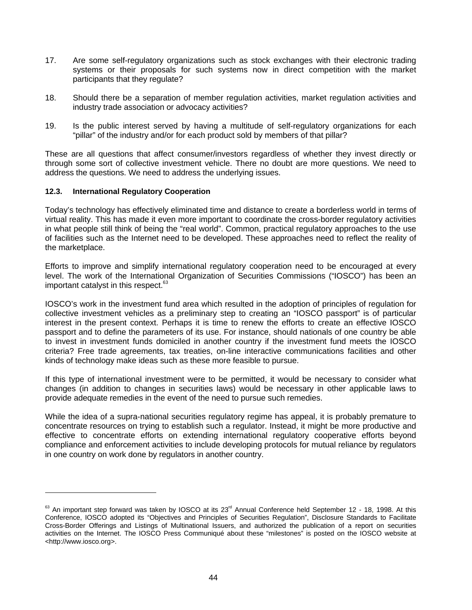- 17. Are some self-regulatory organizations such as stock exchanges with their electronic trading systems or their proposals for such systems now in direct competition with the market participants that they regulate?
- 18. Should there be a separation of member regulation activities, market regulation activities and industry trade association or advocacy activities?
- 19. Is the public interest served by having a multitude of self-regulatory organizations for each "pillar" of the industry and/or for each product sold by members of that pillar?

These are all questions that affect consumer/investors regardless of whether they invest directly or through some sort of collective investment vehicle. There no doubt are more questions. We need to address the questions. We need to address the underlying issues.

#### **12.3. International Regulatory Cooperation**

 $\overline{a}$ 

Today's technology has effectively eliminated time and distance to create a borderless world in terms of virtual reality. This has made it even more important to coordinate the cross-border regulatory activities in what people still think of being the "real world". Common, practical regulatory approaches to the use of facilities such as the Internet need to be developed. These approaches need to reflect the reality of the marketplace.

Efforts to improve and simplify international regulatory cooperation need to be encouraged at every level. The work of the International Organization of Securities Commissions ("IOSCO") has been an important catalyst in this respect.<sup>63</sup>

IOSCO's work in the investment fund area which resulted in the adoption of principles of regulation for collective investment vehicles as a preliminary step to creating an "IOSCO passport" is of particular interest in the present context. Perhaps it is time to renew the efforts to create an effective IOSCO passport and to define the parameters of its use. For instance, should nationals of one country be able to invest in investment funds domiciled in another country if the investment fund meets the IOSCO criteria? Free trade agreements, tax treaties, on-line interactive communications facilities and other kinds of technology make ideas such as these more feasible to pursue.

If this type of international investment were to be permitted, it would be necessary to consider what changes (in addition to changes in securities laws) would be necessary in other applicable laws to provide adequate remedies in the event of the need to pursue such remedies.

While the idea of a supra-national securities regulatory regime has appeal, it is probably premature to concentrate resources on trying to establish such a regulator. Instead, it might be more productive and effective to concentrate efforts on extending international regulatory cooperative efforts beyond compliance and enforcement activities to include developing protocols for mutual reliance by regulators in one country on work done by regulators in another country.

 $^{63}$  An important step forward was taken by IOSCO at its 23<sup>rd</sup> Annual Conference held September 12 - 18, 1998. At this Conference, IOSCO adopted its "Objectives and Principles of Securities Regulation", Disclosure Standards to Facilitate Cross-Border Offerings and Listings of Multinational Issuers, and authorized the publication of a report on securities activities on the Internet. The IOSCO Press Communiqué about these "milestones" is posted on the IOSCO website at <http://www.iosco.org>.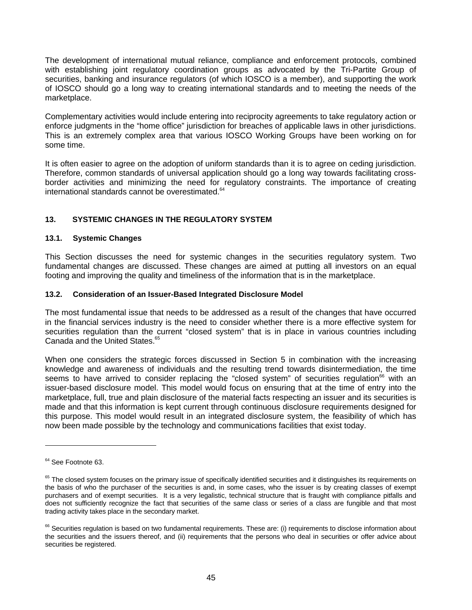The development of international mutual reliance, compliance and enforcement protocols, combined with establishing joint regulatory coordination groups as advocated by the Tri-Partite Group of securities, banking and insurance regulators (of which IOSCO is a member), and supporting the work of IOSCO should go a long way to creating international standards and to meeting the needs of the marketplace.

Complementary activities would include entering into reciprocity agreements to take regulatory action or enforce judgments in the "home office" jurisdiction for breaches of applicable laws in other jurisdictions. This is an extremely complex area that various IOSCO Working Groups have been working on for some time.

It is often easier to agree on the adoption of uniform standards than it is to agree on ceding jurisdiction. Therefore, common standards of universal application should go a long way towards facilitating crossborder activities and minimizing the need for regulatory constraints. The importance of creating international standards cannot be overestimated.<sup>64</sup>

# **13. SYSTEMIC CHANGES IN THE REGULATORY SYSTEM**

## **13.1. Systemic Changes**

This Section discusses the need for systemic changes in the securities regulatory system. Two fundamental changes are discussed. These changes are aimed at putting all investors on an equal footing and improving the quality and timeliness of the information that is in the marketplace.

## **13.2. Consideration of an Issuer-Based Integrated Disclosure Model**

The most fundamental issue that needs to be addressed as a result of the changes that have occurred in the financial services industry is the need to consider whether there is a more effective system for securities regulation than the current "closed system" that is in place in various countries including Canada and the United States.<sup>65</sup>

When one considers the strategic forces discussed in Section 5 in combination with the increasing knowledge and awareness of individuals and the resulting trend towards disintermediation, the time seems to have arrived to consider replacing the "closed system" of securities regulation<sup>66</sup> with an issuer-based disclosure model. This model would focus on ensuring that at the time of entry into the marketplace, full, true and plain disclosure of the material facts respecting an issuer and its securities is made and that this information is kept current through continuous disclosure requirements designed for this purpose. This model would result in an integrated disclosure system, the feasibility of which has now been made possible by the technology and communications facilities that exist today.

<sup>&</sup>lt;sup>64</sup> See Footnote 63.

<sup>&</sup>lt;sup>65</sup> The closed system focuses on the primary issue of specifically identified securities and it distinguishes its requirements on the basis of who the purchaser of the securities is and, in some cases, who the issuer is by creating classes of exempt purchasers and of exempt securities. It is a very legalistic, technical structure that is fraught with compliance pitfalls and does not sufficiently recognize the fact that securities of the same class or series of a class are fungible and that most trading activity takes place in the secondary market.

<sup>&</sup>lt;sup>66</sup> Securities regulation is based on two fundamental requirements. These are: (i) requirements to disclose information about the securities and the issuers thereof, and (ii) requirements that the persons who deal in securities or offer advice about securities be registered.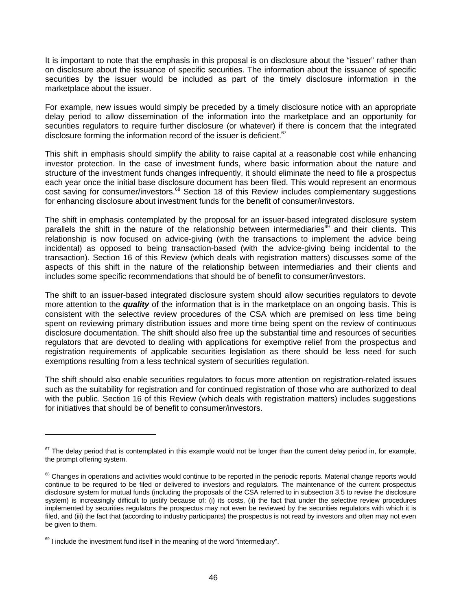It is important to note that the emphasis in this proposal is on disclosure about the "issuer" rather than on disclosure about the issuance of specific securities. The information about the issuance of specific securities by the issuer would be included as part of the timely disclosure information in the marketplace about the issuer.

For example, new issues would simply be preceded by a timely disclosure notice with an appropriate delay period to allow dissemination of the information into the marketplace and an opportunity for securities regulators to require further disclosure (or whatever) if there is concern that the integrated disclosure forming the information record of the issuer is deficient.<sup>67</sup>

This shift in emphasis should simplify the ability to raise capital at a reasonable cost while enhancing investor protection. In the case of investment funds, where basic information about the nature and structure of the investment funds changes infrequently, it should eliminate the need to file a prospectus each year once the initial base disclosure document has been filed. This would represent an enormous cost saving for consumer/investors.<sup>68</sup> Section 18 of this Review includes complementary suggestions for enhancing disclosure about investment funds for the benefit of consumer/investors.

The shift in emphasis contemplated by the proposal for an issuer-based integrated disclosure system parallels the shift in the nature of the relationship between intermediaries $\delta$ <sup>9</sup> and their clients. This relationship is now focused on advice-giving (with the transactions to implement the advice being incidental) as opposed to being transaction-based (with the advice-giving being incidental to the transaction). Section 16 of this Review (which deals with registration matters) discusses some of the aspects of this shift in the nature of the relationship between intermediaries and their clients and includes some specific recommendations that should be of benefit to consumer/investors.

The shift to an issuer-based integrated disclosure system should allow securities regulators to devote more attention to the *quality* of the information that is in the marketplace on an ongoing basis. This is consistent with the selective review procedures of the CSA which are premised on less time being spent on reviewing primary distribution issues and more time being spent on the review of continuous disclosure documentation. The shift should also free up the substantial time and resources of securities regulators that are devoted to dealing with applications for exemptive relief from the prospectus and registration requirements of applicable securities legislation as there should be less need for such exemptions resulting from a less technical system of securities regulation.

The shift should also enable securities regulators to focus more attention on registration-related issues such as the suitability for registration and for continued registration of those who are authorized to deal with the public. Section 16 of this Review (which deals with registration matters) includes suggestions for initiatives that should be of benefit to consumer/investors.

<sup>&</sup>lt;sup>67</sup> The delay period that is contemplated in this example would not be longer than the current delay period in, for example, the prompt offering system.

<sup>&</sup>lt;sup>68</sup> Changes in operations and activities would continue to be reported in the periodic reports. Material change reports would continue to be required to be filed or delivered to investors and regulators. The maintenance of the current prospectus disclosure system for mutual funds (including the proposals of the CSA referred to in subsection 3.5 to revise the disclosure system) is increasingly difficult to justify because of: (i) its costs, (ii) the fact that under the selective review procedures implemented by securities regulators the prospectus may not even be reviewed by the securities regulators with which it is filed, and (iii) the fact that (according to industry participants) the prospectus is not read by investors and often may not even be given to them.

 $69$  I include the investment fund itself in the meaning of the word "intermediary".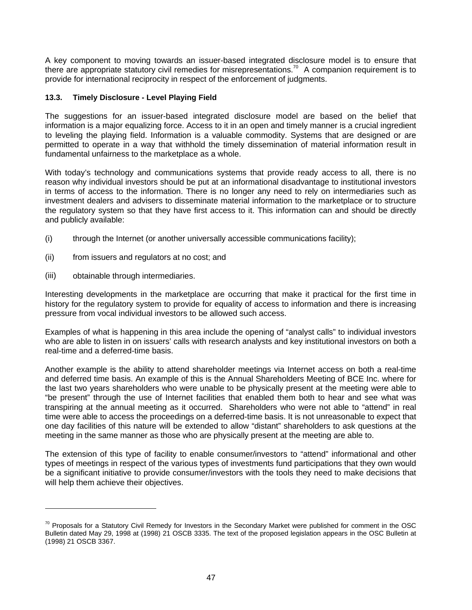A key component to moving towards an issuer-based integrated disclosure model is to ensure that there are appropriate statutory civil remedies for misrepresentations.<sup>70</sup> A companion requirement is to provide for international reciprocity in respect of the enforcement of judgments.

## **13.3. Timely Disclosure - Level Playing Field**

The suggestions for an issuer-based integrated disclosure model are based on the belief that information is a major equalizing force. Access to it in an open and timely manner is a crucial ingredient to leveling the playing field. Information is a valuable commodity. Systems that are designed or are permitted to operate in a way that withhold the timely dissemination of material information result in fundamental unfairness to the marketplace as a whole.

With today's technology and communications systems that provide ready access to all, there is no reason why individual investors should be put at an informational disadvantage to institutional investors in terms of access to the information. There is no longer any need to rely on intermediaries such as investment dealers and advisers to disseminate material information to the marketplace or to structure the regulatory system so that they have first access to it. This information can and should be directly and publicly available:

- (i) through the Internet (or another universally accessible communications facility);
- (ii) from issuers and regulators at no cost; and
- (iii) obtainable through intermediaries.

 $\overline{a}$ 

Interesting developments in the marketplace are occurring that make it practical for the first time in history for the regulatory system to provide for equality of access to information and there is increasing pressure from vocal individual investors to be allowed such access.

Examples of what is happening in this area include the opening of "analyst calls" to individual investors who are able to listen in on issuers' calls with research analysts and key institutional investors on both a real-time and a deferred-time basis.

Another example is the ability to attend shareholder meetings via Internet access on both a real-time and deferred time basis. An example of this is the Annual Shareholders Meeting of BCE Inc. where for the last two years shareholders who were unable to be physically present at the meeting were able to "be present" through the use of Internet facilities that enabled them both to hear and see what was transpiring at the annual meeting as it occurred. Shareholders who were not able to "attend" in real time were able to access the proceedings on a deferred-time basis. It is not unreasonable to expect that one day facilities of this nature will be extended to allow "distant" shareholders to ask questions at the meeting in the same manner as those who are physically present at the meeting are able to.

The extension of this type of facility to enable consumer/investors to "attend" informational and other types of meetings in respect of the various types of investments fund participations that they own would be a significant initiative to provide consumer/investors with the tools they need to make decisions that will help them achieve their objectives.

 $70$  Proposals for a Statutory Civil Remedy for Investors in the Secondary Market were published for comment in the OSC Bulletin dated May 29, 1998 at (1998) 21 OSCB 3335. The text of the proposed legislation appears in the OSC Bulletin at (1998) 21 OSCB 3367.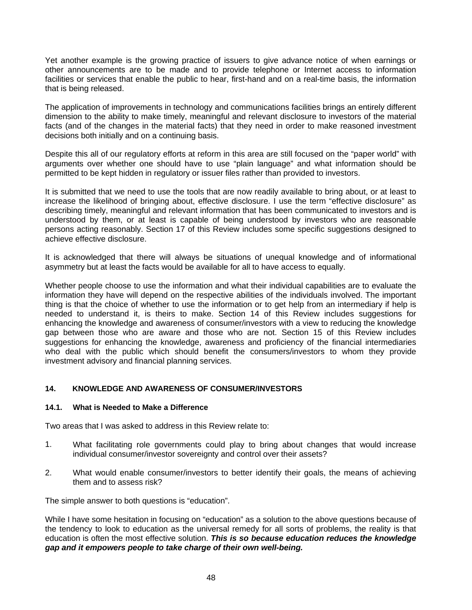Yet another example is the growing practice of issuers to give advance notice of when earnings or other announcements are to be made and to provide telephone or Internet access to information facilities or services that enable the public to hear, first-hand and on a real-time basis, the information that is being released.

The application of improvements in technology and communications facilities brings an entirely different dimension to the ability to make timely, meaningful and relevant disclosure to investors of the material facts (and of the changes in the material facts) that they need in order to make reasoned investment decisions both initially and on a continuing basis.

Despite this all of our regulatory efforts at reform in this area are still focused on the "paper world" with arguments over whether one should have to use "plain language" and what information should be permitted to be kept hidden in regulatory or issuer files rather than provided to investors.

It is submitted that we need to use the tools that are now readily available to bring about, or at least to increase the likelihood of bringing about, effective disclosure. I use the term "effective disclosure" as describing timely, meaningful and relevant information that has been communicated to investors and is understood by them, or at least is capable of being understood by investors who are reasonable persons acting reasonably. Section 17 of this Review includes some specific suggestions designed to achieve effective disclosure.

It is acknowledged that there will always be situations of unequal knowledge and of informational asymmetry but at least the facts would be available for all to have access to equally.

Whether people choose to use the information and what their individual capabilities are to evaluate the information they have will depend on the respective abilities of the individuals involved. The important thing is that the choice of whether to use the information or to get help from an intermediary if help is needed to understand it, is theirs to make. Section 14 of this Review includes suggestions for enhancing the knowledge and awareness of consumer/investors with a view to reducing the knowledge gap between those who are aware and those who are not. Section 15 of this Review includes suggestions for enhancing the knowledge, awareness and proficiency of the financial intermediaries who deal with the public which should benefit the consumers/investors to whom they provide investment advisory and financial planning services.

### **14. KNOWLEDGE AND AWARENESS OF CONSUMER/INVESTORS**

#### **14.1. What is Needed to Make a Difference**

Two areas that I was asked to address in this Review relate to:

- 1. What facilitating role governments could play to bring about changes that would increase individual consumer/investor sovereignty and control over their assets?
- 2. What would enable consumer/investors to better identify their goals, the means of achieving them and to assess risk?

The simple answer to both questions is "education".

While I have some hesitation in focusing on "education" as a solution to the above questions because of the tendency to look to education as the universal remedy for all sorts of problems, the reality is that education is often the most effective solution. *This is so because education reduces the knowledge gap and it empowers people to take charge of their own well-being.*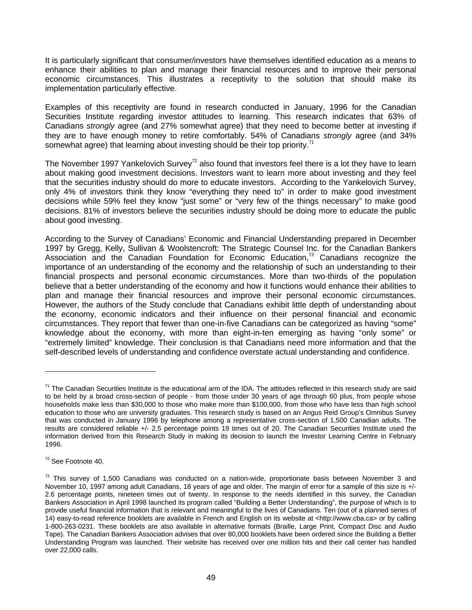It is particularly significant that consumer/investors have themselves identified education as a means to enhance their abilities to plan and manage their financial resources and to improve their personal economic circumstances. This illustrates a receptivity to the solution that should make its implementation particularly effective.

Examples of this receptivity are found in research conducted in January, 1996 for the Canadian Securities Institute regarding investor attitudes to learning. This research indicates that 63% of Canadians *strongly* agree (and 27% somewhat agree) that they need to become better at investing if they are to have enough money to retire comfortably. 54% of Canadians *strongly* agree (and 34% somewhat agree) that learning about investing should be their top priority.<sup>71</sup>

The November 1997 Yankelovich Survey<sup>72</sup> also found that investors feel there is a lot they have to learn about making good investment decisions. Investors want to learn more about investing and they feel that the securities industry should do more to educate investors. According to the Yankelovich Survey, only 4% of investors think they know "everything they need to" in order to make good investment decisions while 59% feel they know "just some" or "very few of the things necessary" to make good decisions. 81% of investors believe the securities industry should be doing more to educate the public about good investing.

According to the Survey of Canadians' Economic and Financial Understanding prepared in December 1997 by Gregg, Kelly, Sullivan & Woolstencroft: The Strategic Counsel Inc. for the Canadian Bankers Association and the Canadian Foundation for Economic Education,<sup>73</sup> Canadians recognize the importance of an understanding of the economy and the relationship of such an understanding to their financial prospects and personal economic circumstances. More than two-thirds of the population believe that a better understanding of the economy and how it functions would enhance their abilities to plan and manage their financial resources and improve their personal economic circumstances. However, the authors of the Study conclude that Canadians exhibit little depth of understanding about the economy, economic indicators and their influence on their personal financial and economic circumstances. They report that fewer than one-in-five Canadians can be categorized as having "some" knowledge about the economy, with more than eight-in-ten emerging as having "only some" or "extremely limited" knowledge. Their conclusion is that Canadians need more information and that the self-described levels of understanding and confidence overstate actual understanding and confidence.

 $72$  See Footnote 40.

 $71$  The Canadian Securities Institute is the educational arm of the IDA. The attitudes reflected in this research study are said to be held by a broad cross-section of people - from those under 30 years of age through 60 plus, from people whose households make less than \$30,000 to those who make more than \$100,000, from those who have less than high school education to those who are university graduates. This research study is based on an Angus Reid Group's Omnibus Survey that was conducted in January 1996 by telephone among a representative cross-section of 1,500 Canadian adults. The results are considered reliable +/- 2.5 percentage points 19 times out of 20. The Canadian Securities Institute used the information derived from this Research Study in making its decision to launch the Investor Learning Centre in February 1996.

 $73$  This survey of 1,500 Canadians was conducted on a nation-wide, proportionate basis between November 3 and November 10, 1997 among adult Canadians, 18 years of age and older. The margin of error for a sample of this size is +/- 2.6 percentage points, nineteen times out of twenty. In response to the needs identified in this survey, the Canadian Bankers Association in April 1998 launched its program called "Building a Better Understanding", the purpose of which is to provide useful financial information that is relevant and meaningful to the lives of Canadians. Ten (out of a planned series of 14) easy-to-read reference booklets are available in French and English on its website at <http://www.cba.ca> or by calling 1-800-263-0231. These booklets are also available in alternative formats (Braille, Large Print, Compact Disc and Audio Tape). The Canadian Bankers Association advises that over 80,000 booklets have been ordered since the Building a Better Understanding Program was launched. Their website has received over one million hits and their call center has handled over 22,000 calls.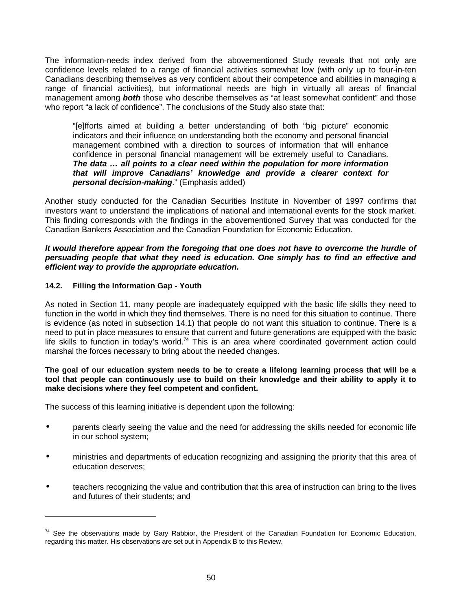The information-needs index derived from the abovementioned Study reveals that not only are confidence levels related to a range of financial activities somewhat low (with only up to four-in-ten Canadians describing themselves as very confident about their competence and abilities in managing a range of financial activities), but informational needs are high in virtually all areas of financial management among *both* those who describe themselves as "at least somewhat confident" and those who report "a lack of confidence". The conclusions of the Study also state that:

"[e]fforts aimed at building a better understanding of both "big picture" economic indicators and their influence on understanding both the economy and personal financial management combined with a direction to sources of information that will enhance confidence in personal financial management will be extremely useful to Canadians. *The data … all points to a clear need within the population for more information that will improve Canadians' knowledge and provide a clearer context for personal decision-making*." (Emphasis added)

Another study conducted for the Canadian Securities Institute in November of 1997 confirms that investors want to understand the implications of national and international events for the stock market. This finding corresponds with the findings in the abovementioned Survey that was conducted for the Canadian Bankers Association and the Canadian Foundation for Economic Education.

#### *It would therefore appear from the foregoing that one does not have to overcome the hurdle of persuading people that what they need is education. One simply has to find an effective and efficient way to provide the appropriate education.*

## **14.2. Filling the Information Gap - Youth**

 $\overline{a}$ 

As noted in Section 11, many people are inadequately equipped with the basic life skills they need to function in the world in which they find themselves. There is no need for this situation to continue. There is evidence (as noted in subsection 14.1) that people do not want this situation to continue. There is a need to put in place measures to ensure that current and future generations are equipped with the basic life skills to function in today's world.<sup>74</sup> This is an area where coordinated government action could marshal the forces necessary to bring about the needed changes.

**The goal of our education system needs to be to create a lifelong learning process that will be a tool that people can continuously use to build on their knowledge and their ability to apply it to make decisions where they feel competent and confident.**

The success of this learning initiative is dependent upon the following:

- parents clearly seeing the value and the need for addressing the skills needed for economic life in our school system;
- ministries and departments of education recognizing and assigning the priority that this area of education deserves;
- teachers recognizing the value and contribution that this area of instruction can bring to the lives and futures of their students; and

<sup>&</sup>lt;sup>74</sup> See the observations made by Gary Rabbior, the President of the Canadian Foundation for Economic Education, regarding this matter. His observations are set out in Appendix B to this Review.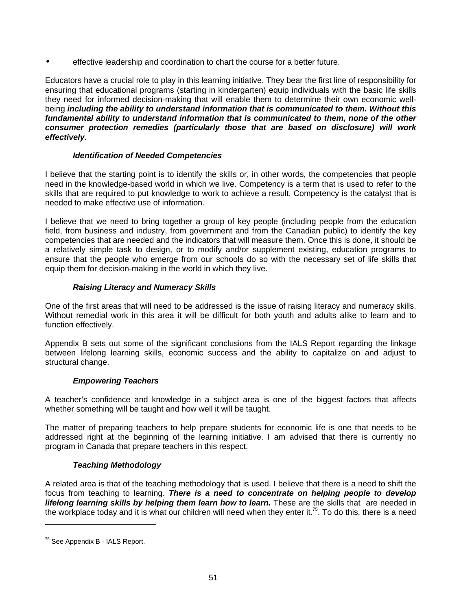• effective leadership and coordination to chart the course for a better future.

Educators have a crucial role to play in this learning initiative. They bear the first line of responsibility for ensuring that educational programs (starting in kindergarten) equip individuals with the basic life skills they need for informed decision-making that will enable them to determine their own economic wellbeing *including the ability to understand information that is communicated to them. Without this fundamental ability to understand information that is communicated to them, none of the other consumer protection remedies (particularly those that are based on disclosure) will work effectively.*

### *Identification of Needed Competencies*

I believe that the starting point is to identify the skills or, in other words, the competencies that people need in the knowledge-based world in which we live. Competency is a term that is used to refer to the skills that are required to put knowledge to work to achieve a result. Competency is the catalyst that is needed to make effective use of information.

I believe that we need to bring together a group of key people (including people from the education field, from business and industry, from government and from the Canadian public) to identify the key competencies that are needed and the indicators that will measure them. Once this is done, it should be a relatively simple task to design, or to modify and/or supplement existing, education programs to ensure that the people who emerge from our schools do so with the necessary set of life skills that equip them for decision-making in the world in which they live.

# *Raising Literacy and Numeracy Skills*

One of the first areas that will need to be addressed is the issue of raising literacy and numeracy skills. Without remedial work in this area it will be difficult for both youth and adults alike to learn and to function effectively.

Appendix B sets out some of the significant conclusions from the IALS Report regarding the linkage between lifelong learning skills, economic success and the ability to capitalize on and adjust to structural change.

# *Empowering Teachers*

A teacher's confidence and knowledge in a subject area is one of the biggest factors that affects whether something will be taught and how well it will be taught.

The matter of preparing teachers to help prepare students for economic life is one that needs to be addressed right at the beginning of the learning initiative. I am advised that there is currently no program in Canada that prepare teachers in this respect.

### *Teaching Methodology*

A related area is that of the teaching methodology that is used. I believe that there is a need to shift the focus from teaching to learning. *There is a need to concentrate on helping people to develop lifelong learning skills by helping them learn how to learn.* These are the skills that are needed in the workplace today and it is what our children will need when they enter it.<sup>75</sup>. To do this, there is a need

<sup>75</sup> See Appendix B - IALS Report.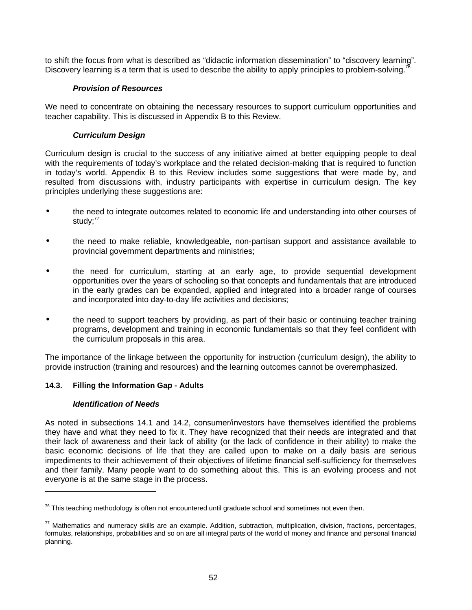to shift the focus from what is described as "didactic information dissemination" to "discovery learning". Discovery learning is a term that is used to describe the ability to apply principles to problem-solving.<sup>7</sup>

## *Provision of Resources*

We need to concentrate on obtaining the necessary resources to support curriculum opportunities and teacher capability. This is discussed in Appendix B to this Review.

## *Curriculum Design*

Curriculum design is crucial to the success of any initiative aimed at better equipping people to deal with the requirements of today's workplace and the related decision-making that is required to function in today's world. Appendix B to this Review includes some suggestions that were made by, and resulted from discussions with, industry participants with expertise in curriculum design. The key principles underlying these suggestions are:

- the need to integrate outcomes related to economic life and understanding into other courses of study: $77$
- the need to make reliable, knowledgeable, non-partisan support and assistance available to provincial government departments and ministries;
- the need for curriculum, starting at an early age, to provide sequential development opportunities over the years of schooling so that concepts and fundamentals that are introduced in the early grades can be expanded, applied and integrated into a broader range of courses and incorporated into day-to-day life activities and decisions;
- the need to support teachers by providing, as part of their basic or continuing teacher training programs, development and training in economic fundamentals so that they feel confident with the curriculum proposals in this area.

The importance of the linkage between the opportunity for instruction (curriculum design), the ability to provide instruction (training and resources) and the learning outcomes cannot be overemphasized.

### **14.3. Filling the Information Gap - Adults**

### *Identification of Needs*

 $\overline{a}$ 

As noted in subsections 14.1 and 14.2, consumer/investors have themselves identified the problems they have and what they need to fix it. They have recognized that their needs are integrated and that their lack of awareness and their lack of ability (or the lack of confidence in their ability) to make the basic economic decisions of life that they are called upon to make on a daily basis are serious impediments to their achievement of their objectives of lifetime financial self-sufficiency for themselves and their family. Many people want to do something about this. This is an evolving process and not everyone is at the same stage in the process.

 $76$  This teaching methodology is often not encountered until graduate school and sometimes not even then.

 $77$  Mathematics and numeracy skills are an example. Addition, subtraction, multiplication, division, fractions, percentages, formulas, relationships, probabilities and so on are all integral parts of the world of money and finance and personal financial planning.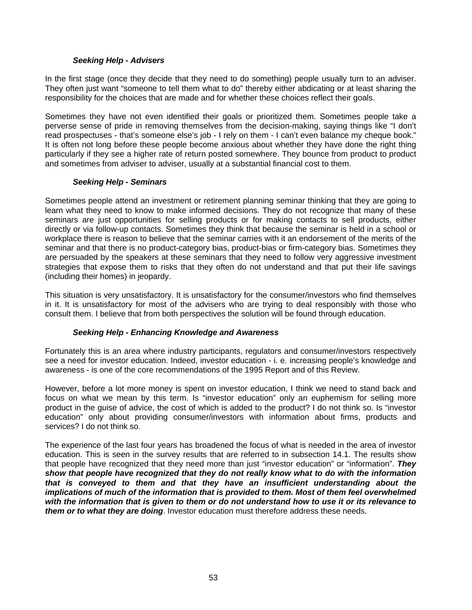### *Seeking Help - Advisers*

In the first stage (once they decide that they need to do something) people usually turn to an adviser. They often just want "someone to tell them what to do" thereby either abdicating or at least sharing the responsibility for the choices that are made and for whether these choices reflect their goals.

Sometimes they have not even identified their goals or prioritized them. Sometimes people take a perverse sense of pride in removing themselves from the decision-making, saying things like "I don't read prospectuses - that's someone else's job - I rely on them - I can't even balance my cheque book." It is often not long before these people become anxious about whether they have done the right thing particularly if they see a higher rate of return posted somewhere. They bounce from product to product and sometimes from adviser to adviser, usually at a substantial financial cost to them.

### *Seeking Help - Seminars*

Sometimes people attend an investment or retirement planning seminar thinking that they are going to learn what they need to know to make informed decisions. They do not recognize that many of these seminars are just opportunities for selling products or for making contacts to sell products, either directly or via follow-up contacts. Sometimes they think that because the seminar is held in a school or workplace there is reason to believe that the seminar carries with it an endorsement of the merits of the seminar and that there is no product-category bias, product-bias or firm-category bias. Sometimes they are persuaded by the speakers at these seminars that they need to follow very aggressive investment strategies that expose them to risks that they often do not understand and that put their life savings (including their homes) in jeopardy.

This situation is very unsatisfactory. It is unsatisfactory for the consumer/investors who find themselves in it. It is unsatisfactory for most of the advisers who are trying to deal responsibly with those who consult them. I believe that from both perspectives the solution will be found through education.

### *Seeking Help - Enhancing Knowledge and Awareness*

Fortunately this is an area where industry participants, regulators and consumer/investors respectively see a need for investor education. Indeed, investor education - i. e. increasing people's knowledge and awareness - is one of the core recommendations of the 1995 Report and of this Review.

However, before a lot more money is spent on investor education, I think we need to stand back and focus on what we mean by this term. Is "investor education" only an euphemism for selling more product in the guise of advice, the cost of which is added to the product? I do not think so. Is "investor education" only about providing consumer/investors with information about firms, products and services? I do not think so.

The experience of the last four years has broadened the focus of what is needed in the area of investor education. This is seen in the survey results that are referred to in subsection 14.1. The results show that people have recognized that they need more than just "investor education" or "information". *They show that people have recognized that they do not really know what to do with the information that is conveyed to them and that they have an insufficient understanding about the implications of much of the information that is provided to them. Most of them feel overwhelmed with the information that is given to them or do not understand how to use it or its relevance to them or to what they are doing*. Investor education must therefore address these needs.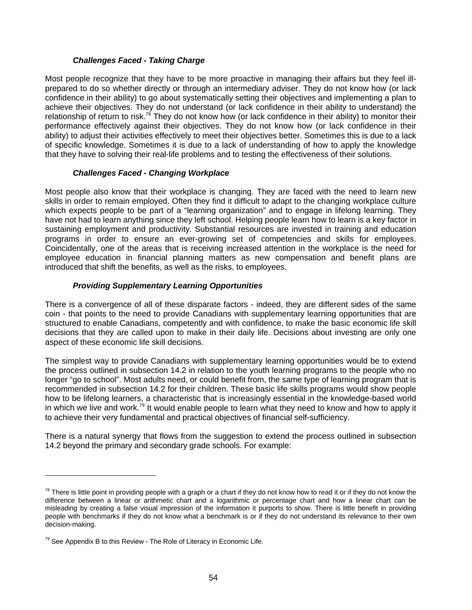## *Challenges Faced - Taking Charge*

Most people recognize that they have to be more proactive in managing their affairs but they feel illprepared to do so whether directly or through an intermediary adviser. They do not know how (or lack confidence in their ability) to go about systematically setting their objectives and implementing a plan to achieve their objectives. They do not understand (or lack confidence in their ability to understand) the relationship of return to risk.<sup>78</sup> They do not know how (or lack confidence in their ability) to monitor their performance effectively against their objectives. They do not know how (or lack confidence in their ability) to adjust their activities effectively to meet their objectives better. Sometimes this is due to a lack of specific knowledge. Sometimes it is due to a lack of understanding of how to apply the knowledge that they have to solving their real-life problems and to testing the effectiveness of their solutions.

## *Challenges Faced - Changing Workplace*

Most people also know that their workplace is changing. They are faced with the need to learn new skills in order to remain employed. Often they find it difficult to adapt to the changing workplace culture which expects people to be part of a "learning organization" and to engage in lifelong learning. They have not had to learn anything since they left school. Helping people learn how to learn is a key factor in sustaining employment and productivity. Substantial resources are invested in training and education programs in order to ensure an ever-growing set of competencies and skills for employees. Coincidentally, one of the areas that is receiving increased attention in the workplace is the need for employee education in financial planning matters as new compensation and benefit plans are introduced that shift the benefits, as well as the risks, to employees.

## *Providing Supplementary Learning Opportunities*

There is a convergence of all of these disparate factors - indeed, they are different sides of the same coin - that points to the need to provide Canadians with supplementary learning opportunities that are structured to enable Canadians, competently and with confidence, to make the basic economic life skill decisions that they are called upon to make in their daily life. Decisions about investing are only one aspect of these economic life skill decisions.

The simplest way to provide Canadians with supplementary learning opportunities would be to extend the process outlined in subsection 14.2 in relation to the youth learning programs to the people who no longer "go to school". Most adults need, or could benefit from, the same type of learning program that is recommended in subsection 14.2 for their children. These basic life skills programs would show people how to be lifelong learners, a characteristic that is increasingly essential in the knowledge-based world in which we live and work.<sup>79</sup> It would enable people to learn what they need to know and how to apply it to achieve their very fundamental and practical objectives of financial self-sufficiency.

There is a natural synergy that flows from the suggestion to extend the process outlined in subsection 14.2 beyond the primary and secondary grade schools. For example:

 $78$  There is little point in providing people with a graph or a chart if they do not know how to read it or if they do not know the difference between a linear or arithmetic chart and a logarithmic or percentage chart and how a linear chart can be misleading by creating a false visual impression of the information it purports to show. There is little benefit in providing people with benchmarks if they do not know what a benchmark is or if they do not understand its relevance to their own decision-making.

 $79$  See Appendix B to this Review - The Role of Literacy in Economic Life.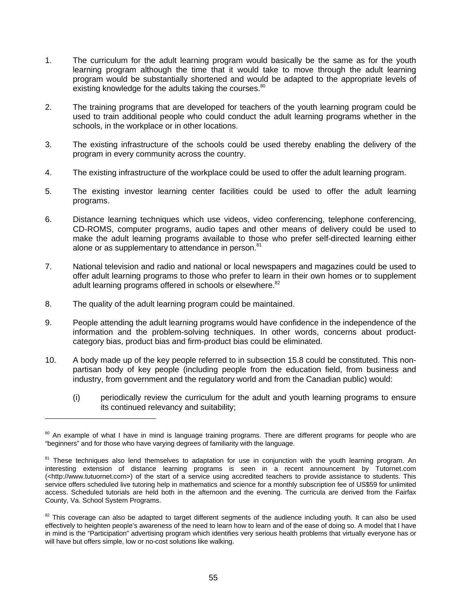- 1. The curriculum for the adult learning program would basically be the same as for the youth learning program although the time that it would take to move through the adult learning program would be substantially shortened and would be adapted to the appropriate levels of existing knowledge for the adults taking the courses.<sup>80</sup>
- 2. The training programs that are developed for teachers of the youth learning program could be used to train additional people who could conduct the adult learning programs whether in the schools, in the workplace or in other locations.
- 3. The existing infrastructure of the schools could be used thereby enabling the delivery of the program in every community across the country.
- 4. The existing infrastructure of the workplace could be used to offer the adult learning program.
- 5. The existing investor learning center facilities could be used to offer the adult learning programs.
- 6. Distance learning techniques which use videos, video conferencing, telephone conferencing, CD-ROMS, computer programs, audio tapes and other means of delivery could be used to make the adult learning programs available to those who prefer self-directed learning either alone or as supplementary to attendance in person.<sup>81</sup>
- 7. National television and radio and national or local newspapers and magazines could be used to offer adult learning programs to those who prefer to learn in their own homes or to supplement adult learning programs offered in schools or elsewhere.<sup>82</sup>
- 8. The quality of the adult learning program could be maintained.

- 9. People attending the adult learning programs would have confidence in the independence of the information and the problem-solving techniques. In other words, concerns about productcategory bias, product bias and firm-product bias could be eliminated.
- 10. A body made up of the key people referred to in subsection 15.8 could be constituted. This nonpartisan body of key people (including people from the education field, from business and industry, from government and the regulatory world and from the Canadian public) would:
	- (i) periodically review the curriculum for the adult and youth learning programs to ensure its continued relevancy and suitability;

<sup>&</sup>lt;sup>80</sup> An example of what I have in mind is language training programs. There are different programs for people who are "beginners" and for those who have varying degrees of familiarity with the language.

<sup>&</sup>lt;sup>81</sup> These techniques also lend themselves to adaptation for use in conjunction with the youth learning program. An interesting extension of distance learning programs is seen in a recent announcement by Tutornet.com (<http://www.tutuornet.com>) of the start of a service using accredited teachers to provide assistance to students. This service offers scheduled live tutoring help in mathematics and science for a monthly subscription fee of US\$59 for unlimited access. Scheduled tutorials are held both in the afternoon and the evening. The curricula are derived from the Fairfax County, Va. School System Programs.

<sup>&</sup>lt;sup>82</sup> This coverage can also be adapted to target different segments of the audience including youth. It can also be used effectively to heighten people's awareness of the need to learn how to learn and of the ease of doing so. A model that I have in mind is the "Participation" advertising program which identifies very serious health problems that virtually everyone has or will have but offers simple, low or no-cost solutions like walking.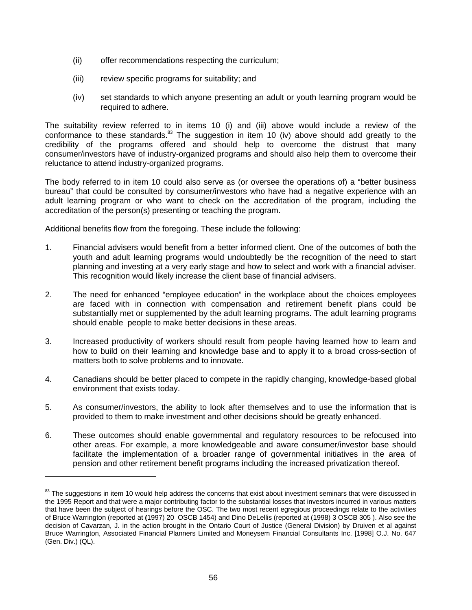- (ii) offer recommendations respecting the curriculum;
- (iii) review specific programs for suitability; and
- (iv) set standards to which anyone presenting an adult or youth learning program would be required to adhere.

The suitability review referred to in items 10 (i) and (iii) above would include a review of the conformance to these standards.<sup>83</sup> The suggestion in item 10 (iv) above should add greatly to the credibility of the programs offered and should help to overcome the distrust that many consumer/investors have of industry-organized programs and should also help them to overcome their reluctance to attend industry-organized programs.

The body referred to in item 10 could also serve as (or oversee the operations of) a "better business bureau" that could be consulted by consumer/investors who have had a negative experience with an adult learning program or who want to check on the accreditation of the program, including the accreditation of the person(s) presenting or teaching the program.

Additional benefits flow from the foregoing. These include the following:

- 1. Financial advisers would benefit from a better informed client. One of the outcomes of both the youth and adult learning programs would undoubtedly be the recognition of the need to start planning and investing at a very early stage and how to select and work with a financial adviser. This recognition would likely increase the client base of financial advisers.
- 2. The need for enhanced "employee education" in the workplace about the choices employees are faced with in connection with compensation and retirement benefit plans could be substantially met or supplemented by the adult learning programs. The adult learning programs should enable people to make better decisions in these areas.
- 3. Increased productivity of workers should result from people having learned how to learn and how to build on their learning and knowledge base and to apply it to a broad cross-section of matters both to solve problems and to innovate.
- 4. Canadians should be better placed to compete in the rapidly changing, knowledge-based global environment that exists today.
- 5. As consumer/investors, the ability to look after themselves and to use the information that is provided to them to make investment and other decisions should be greatly enhanced.
- 6. These outcomes should enable governmental and regulatory resources to be refocused into other areas. For example, a more knowledgeable and aware consumer/investor base should facilitate the implementation of a broader range of governmental initiatives in the area of pension and other retirement benefit programs including the increased privatization thereof.

<sup>83</sup> The suggestions in item 10 would help address the concerns that exist about investment seminars that were discussed in the 1995 Report and that were a major contributing factor to the substantial losses that investors incurred in various matters that have been the subject of hearings before the OSC. The two most recent egregious proceedings relate to the activities of Bruce Warrington (reported at **(**1997) 20 OSCB 1454) and Dino DeLellis (reported at (1998) 3 OSCB 305 ). Also see the decision of Cavarzan, J. in the action brought in the Ontario Court of Justice (General Division) by Druiven et al against Bruce Warrington, Associated Financial Planners Limited and Moneysem Financial Consultants Inc. [1998] O.J. No. 647 (Gen. Div.) (QL).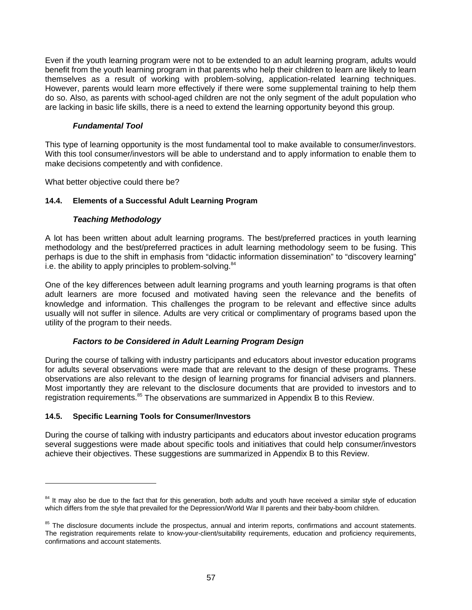Even if the youth learning program were not to be extended to an adult learning program, adults would benefit from the youth learning program in that parents who help their children to learn are likely to learn themselves as a result of working with problem-solving, application-related learning techniques. However, parents would learn more effectively if there were some supplemental training to help them do so. Also, as parents with school-aged children are not the only segment of the adult population who are lacking in basic life skills, there is a need to extend the learning opportunity beyond this group.

## *Fundamental Tool*

This type of learning opportunity is the most fundamental tool to make available to consumer/investors. With this tool consumer/investors will be able to understand and to apply information to enable them to make decisions competently and with confidence.

What better objective could there be?

## **14.4. Elements of a Successful Adult Learning Program**

## *Teaching Methodology*

A lot has been written about adult learning programs. The best/preferred practices in youth learning methodology and the best/preferred practices in adult learning methodology seem to be fusing. This perhaps is due to the shift in emphasis from "didactic information dissemination" to "discovery learning" i.e. the ability to apply principles to problem-solving. $84$ 

One of the key differences between adult learning programs and youth learning programs is that often adult learners are more focused and motivated having seen the relevance and the benefits of knowledge and information. This challenges the program to be relevant and effective since adults usually will not suffer in silence. Adults are very critical or complimentary of programs based upon the utility of the program to their needs.

# *Factors to be Considered in Adult Learning Program Design*

During the course of talking with industry participants and educators about investor education programs for adults several observations were made that are relevant to the design of these programs. These observations are also relevant to the design of learning programs for financial advisers and planners. Most importantly they are relevant to the disclosure documents that are provided to investors and to registration requirements.<sup>85</sup> The observations are summarized in Appendix B to this Review.

## **14.5. Specific Learning Tools for Consumer/Investors**

 $\overline{a}$ 

During the course of talking with industry participants and educators about investor education programs several suggestions were made about specific tools and initiatives that could help consumer/investors achieve their objectives. These suggestions are summarized in Appendix B to this Review.

<sup>&</sup>lt;sup>84</sup> It may also be due to the fact that for this generation, both adults and youth have received a similar style of education which differs from the style that prevailed for the Depression/World War II parents and their baby-boom children.

<sup>&</sup>lt;sup>85</sup> The disclosure documents include the prospectus, annual and interim reports, confirmations and account statements. The registration requirements relate to know-your-client/suitability requirements, education and proficiency requirements, confirmations and account statements.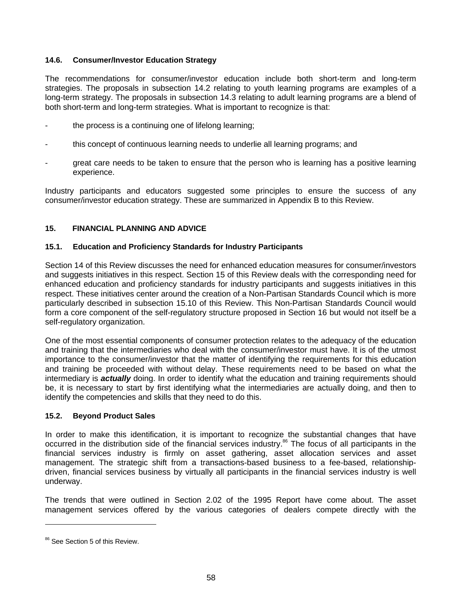#### **14.6. Consumer/Investor Education Strategy**

The recommendations for consumer/investor education include both short-term and long-term strategies. The proposals in subsection 14.2 relating to youth learning programs are examples of a long-term strategy. The proposals in subsection 14.3 relating to adult learning programs are a blend of both short-term and long-term strategies. What is important to recognize is that:

- the process is a continuing one of lifelong learning;
- this concept of continuous learning needs to underlie all learning programs; and
- great care needs to be taken to ensure that the person who is learning has a positive learning experience.

Industry participants and educators suggested some principles to ensure the success of any consumer/investor education strategy. These are summarized in Appendix B to this Review.

#### **15. FINANCIAL PLANNING AND ADVICE**

#### **15.1. Education and Proficiency Standards for Industry Participants**

Section 14 of this Review discusses the need for enhanced education measures for consumer/investors and suggests initiatives in this respect. Section 15 of this Review deals with the corresponding need for enhanced education and proficiency standards for industry participants and suggests initiatives in this respect. These initiatives center around the creation of a Non-Partisan Standards Council which is more particularly described in subsection 15.10 of this Review. This Non-Partisan Standards Council would form a core component of the self-regulatory structure proposed in Section 16 but would not itself be a self-regulatory organization.

One of the most essential components of consumer protection relates to the adequacy of the education and training that the intermediaries who deal with the consumer/investor must have. It is of the utmost importance to the consumer/investor that the matter of identifying the requirements for this education and training be proceeded with without delay. These requirements need to be based on what the intermediary is *actually* doing. In order to identify what the education and training requirements should be, it is necessary to start by first identifying what the intermediaries are actually doing, and then to identify the competencies and skills that they need to do this.

#### **15.2. Beyond Product Sales**

In order to make this identification, it is important to recognize the substantial changes that have occurred in the distribution side of the financial services industry.<sup>86</sup> The focus of all participants in the financial services industry is firmly on asset gathering, asset allocation services and asset management. The strategic shift from a transactions-based business to a fee-based, relationshipdriven, financial services business by virtually all participants in the financial services industry is well underway.

The trends that were outlined in Section 2.02 of the 1995 Report have come about. The asset management services offered by the various categories of dealers compete directly with the

<sup>&</sup>lt;sup>86</sup> See Section 5 of this Review.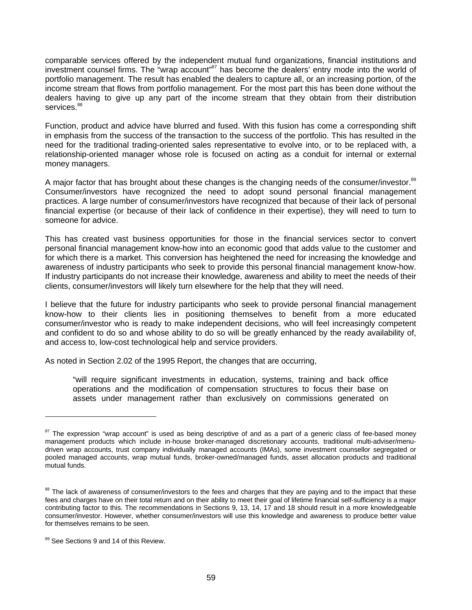comparable services offered by the independent mutual fund organizations, financial institutions and investment counsel firms. The "wrap account"<sup>87</sup> has become the dealers' entry mode into the world of portfolio management. The result has enabled the dealers to capture all, or an increasing portion, of the income stream that flows from portfolio management. For the most part this has been done without the dealers having to give up any part of the income stream that they obtain from their distribution services.<sup>88</sup>

Function, product and advice have blurred and fused. With this fusion has come a corresponding shift in emphasis from the success of the transaction to the success of the portfolio. This has resulted in the need for the traditional trading-oriented sales representative to evolve into, or to be replaced with, a relationship-oriented manager whose role is focused on acting as a conduit for internal or external money managers.

A major factor that has brought about these changes is the changing needs of the consumer/investor.<sup>89</sup> Consumer/investors have recognized the need to adopt sound personal financial management practices. A large number of consumer/investors have recognized that because of their lack of personal financial expertise (or because of their lack of confidence in their expertise), they will need to turn to someone for advice.

This has created vast business opportunities for those in the financial services sector to convert personal financial management know-how into an economic good that adds value to the customer and for which there is a market. This conversion has heightened the need for increasing the knowledge and awareness of industry participants who seek to provide this personal financial management know-how. If industry participants do not increase their knowledge, awareness and ability to meet the needs of their clients, consumer/investors will likely turn elsewhere for the help that they will need.

I believe that the future for industry participants who seek to provide personal financial management know-how to their clients lies in positioning themselves to benefit from a more educated consumer/investor who is ready to make independent decisions, who will feel increasingly competent and confident to do so and whose ability to do so will be greatly enhanced by the ready availability of, and access to, low-cost technological help and service providers.

As noted in Section 2.02 of the 1995 Report, the changes that are occurring,

"will require significant investments in education, systems, training and back office operations and the modification of compensation structures to focus their base on assets under management rather than exclusively on commissions generated on

<sup>&</sup>lt;sup>87</sup> The expression "wrap account" is used as being descriptive of and as a part of a generic class of fee-based money management products which include in-house broker-managed discretionary accounts, traditional multi-adviser/menudriven wrap accounts, trust company individually managed accounts (IMAs), some investment counsellor segregated or pooled managed accounts, wrap mutual funds, broker-owned/managed funds, asset allocation products and traditional mutual funds.

<sup>&</sup>lt;sup>88</sup> The lack of awareness of consumer/investors to the fees and charges that they are paying and to the impact that these fees and charges have on their total return and on their ability to meet their goal of lifetime financial self-sufficiency is a major contributing factor to this. The recommendations in Sections 9, 13, 14, 17 and 18 should result in a more knowledgeable consumer/investor. However, whether consumer/investors will use this knowledge and awareness to produce better value for themselves remains to be seen.

<sup>89</sup> See Sections 9 and 14 of this Review.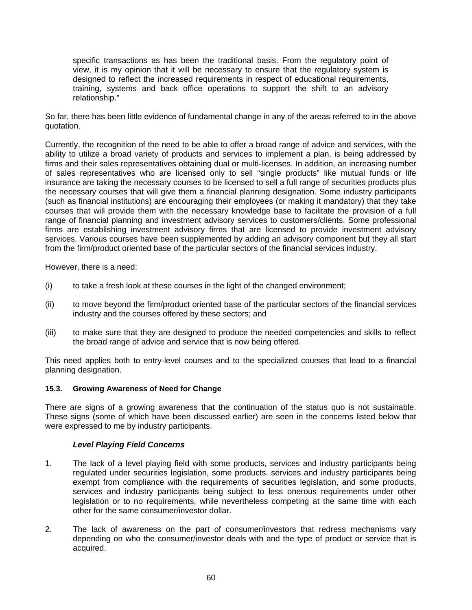specific transactions as has been the traditional basis. From the regulatory point of view, it is my opinion that it will be necessary to ensure that the regulatory system is designed to reflect the increased requirements in respect of educational requirements, training, systems and back office operations to support the shift to an advisory relationship."

So far, there has been little evidence of fundamental change in any of the areas referred to in the above quotation.

Currently, the recognition of the need to be able to offer a broad range of advice and services, with the ability to utilize a broad variety of products and services to implement a plan, is being addressed by firms and their sales representatives obtaining dual or multi-licenses. In addition, an increasing number of sales representatives who are licensed only to sell "single products" like mutual funds or life insurance are taking the necessary courses to be licensed to sell a full range of securities products plus the necessary courses that will give them a financial planning designation. Some industry participants (such as financial institutions) are encouraging their employees (or making it mandatory) that they take courses that will provide them with the necessary knowledge base to facilitate the provision of a full range of financial planning and investment advisory services to customers/clients. Some professional firms are establishing investment advisory firms that are licensed to provide investment advisory services. Various courses have been supplemented by adding an advisory component but they all start from the firm/product oriented base of the particular sectors of the financial services industry.

However, there is a need:

- (i) to take a fresh look at these courses in the light of the changed environment;
- (ii) to move beyond the firm/product oriented base of the particular sectors of the financial services industry and the courses offered by these sectors; and
- (iii) to make sure that they are designed to produce the needed competencies and skills to reflect the broad range of advice and service that is now being offered.

This need applies both to entry-level courses and to the specialized courses that lead to a financial planning designation.

## **15.3. Growing Awareness of Need for Change**

There are signs of a growing awareness that the continuation of the status quo is not sustainable. These signs (some of which have been discussed earlier) are seen in the concerns listed below that were expressed to me by industry participants.

## *Level Playing Field Concerns*

- 1. The lack of a level playing field with some products, services and industry participants being regulated under securities legislation, some products. services and industry participants being exempt from compliance with the requirements of securities legislation, and some products, services and industry participants being subject to less onerous requirements under other legislation or to no requirements, while nevertheless competing at the same time with each other for the same consumer/investor dollar.
- 2. The lack of awareness on the part of consumer/investors that redress mechanisms vary depending on who the consumer/investor deals with and the type of product or service that is acquired.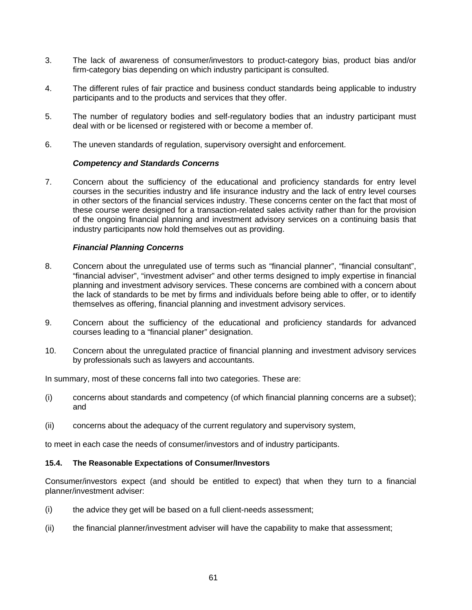- 3. The lack of awareness of consumer/investors to product-category bias, product bias and/or firm-category bias depending on which industry participant is consulted.
- 4. The different rules of fair practice and business conduct standards being applicable to industry participants and to the products and services that they offer.
- 5. The number of regulatory bodies and self-regulatory bodies that an industry participant must deal with or be licensed or registered with or become a member of.
- 6. The uneven standards of regulation, supervisory oversight and enforcement.

#### *Competency and Standards Concerns*

7. Concern about the sufficiency of the educational and proficiency standards for entry level courses in the securities industry and life insurance industry and the lack of entry level courses in other sectors of the financial services industry. These concerns center on the fact that most of these course were designed for a transaction-related sales activity rather than for the provision of the ongoing financial planning and investment advisory services on a continuing basis that industry participants now hold themselves out as providing.

#### *Financial Planning Concerns*

- 8. Concern about the unregulated use of terms such as "financial planner", "financial consultant", "financial adviser", "investment adviser" and other terms designed to imply expertise in financial planning and investment advisory services. These concerns are combined with a concern about the lack of standards to be met by firms and individuals before being able to offer, or to identify themselves as offering, financial planning and investment advisory services.
- 9. Concern about the sufficiency of the educational and proficiency standards for advanced courses leading to a "financial planer" designation.
- 10. Concern about the unregulated practice of financial planning and investment advisory services by professionals such as lawyers and accountants.

In summary, most of these concerns fall into two categories. These are:

- (i) concerns about standards and competency (of which financial planning concerns are a subset); and
- (ii) concerns about the adequacy of the current regulatory and supervisory system,

to meet in each case the needs of consumer/investors and of industry participants.

#### **15.4. The Reasonable Expectations of Consumer/Investors**

Consumer/investors expect (and should be entitled to expect) that when they turn to a financial planner/investment adviser:

- (i) the advice they get will be based on a full client-needs assessment;
- (ii) the financial planner/investment adviser will have the capability to make that assessment;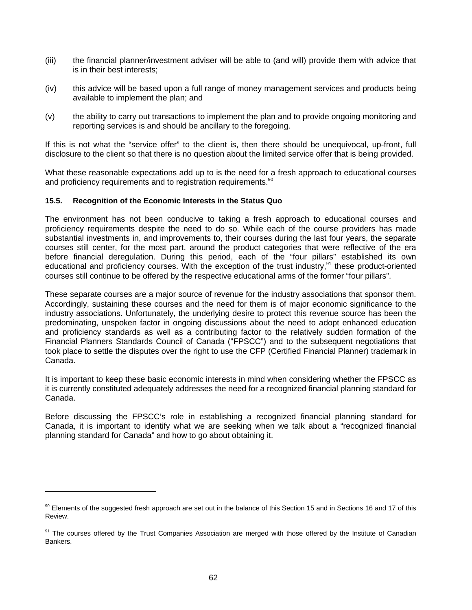- (iii) the financial planner/investment adviser will be able to (and will) provide them with advice that is in their best interests;
- (iv) this advice will be based upon a full range of money management services and products being available to implement the plan; and
- (v) the ability to carry out transactions to implement the plan and to provide ongoing monitoring and reporting services is and should be ancillary to the foregoing.

If this is not what the "service offer" to the client is, then there should be unequivocal, up-front, full disclosure to the client so that there is no question about the limited service offer that is being provided.

What these reasonable expectations add up to is the need for a fresh approach to educational courses and proficiency requirements and to registration requirements.<sup>90</sup>

## **15.5. Recognition of the Economic Interests in the Status Quo**

 $\overline{a}$ 

The environment has not been conducive to taking a fresh approach to educational courses and proficiency requirements despite the need to do so. While each of the course providers has made substantial investments in, and improvements to, their courses during the last four years, the separate courses still center, for the most part, around the product categories that were reflective of the era before financial deregulation. During this period, each of the "four pillars" established its own educational and proficiency courses. With the exception of the trust industry,<sup>91</sup> these product-oriented courses still continue to be offered by the respective educational arms of the former "four pillars".

These separate courses are a major source of revenue for the industry associations that sponsor them. Accordingly, sustaining these courses and the need for them is of major economic significance to the industry associations. Unfortunately, the underlying desire to protect this revenue source has been the predominating, unspoken factor in ongoing discussions about the need to adopt enhanced education and proficiency standards as well as a contributing factor to the relatively sudden formation of the Financial Planners Standards Council of Canada ("FPSCC") and to the subsequent negotiations that took place to settle the disputes over the right to use the CFP (Certified Financial Planner) trademark in Canada.

It is important to keep these basic economic interests in mind when considering whether the FPSCC as it is currently constituted adequately addresses the need for a recognized financial planning standard for Canada.

Before discussing the FPSCC's role in establishing a recognized financial planning standard for Canada, it is important to identify what we are seeking when we talk about a "recognized financial planning standard for Canada" and how to go about obtaining it.

 $90$  Elements of the suggested fresh approach are set out in the balance of this Section 15 and in Sections 16 and 17 of this Review.

<sup>&</sup>lt;sup>91</sup> The courses offered by the Trust Companies Association are merged with those offered by the Institute of Canadian **Bankers**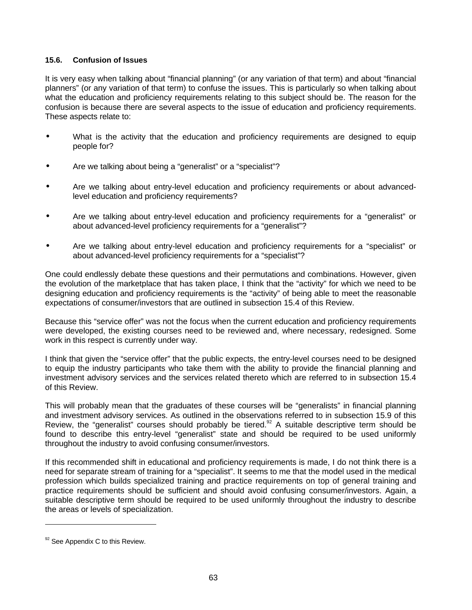## **15.6. Confusion of Issues**

It is very easy when talking about "financial planning" (or any variation of that term) and about "financial planners" (or any variation of that term) to confuse the issues. This is particularly so when talking about what the education and proficiency requirements relating to this subject should be. The reason for the confusion is because there are several aspects to the issue of education and proficiency requirements. These aspects relate to:

- What is the activity that the education and proficiency requirements are designed to equip people for?
- Are we talking about being a "generalist" or a "specialist"?
- Are we talking about entry-level education and proficiency requirements or about advancedlevel education and proficiency requirements?
- Are we talking about entry-level education and proficiency requirements for a "generalist" or about advanced-level proficiency requirements for a "generalist"?
- Are we talking about entry-level education and proficiency requirements for a "specialist" or about advanced-level proficiency requirements for a "specialist"?

One could endlessly debate these questions and their permutations and combinations. However, given the evolution of the marketplace that has taken place, I think that the "activity" for which we need to be designing education and proficiency requirements is the "activity" of being able to meet the reasonable expectations of consumer/investors that are outlined in subsection 15.4 of this Review.

Because this "service offer" was not the focus when the current education and proficiency requirements were developed, the existing courses need to be reviewed and, where necessary, redesigned. Some work in this respect is currently under way.

I think that given the "service offer" that the public expects, the entry-level courses need to be designed to equip the industry participants who take them with the ability to provide the financial planning and investment advisory services and the services related thereto which are referred to in subsection 15.4 of this Review.

This will probably mean that the graduates of these courses will be "generalists" in financial planning and investment advisory services. As outlined in the observations referred to in subsection 15.9 of this Review, the "generalist" courses should probably be tiered.<sup>92</sup> A suitable descriptive term should be found to describe this entry-level "generalist" state and should be required to be used uniformly throughout the industry to avoid confusing consumer/investors.

If this recommended shift in educational and proficiency requirements is made, I do not think there is a need for separate stream of training for a "specialist". It seems to me that the model used in the medical profession which builds specialized training and practice requirements on top of general training and practice requirements should be sufficient and should avoid confusing consumer/investors. Again, a suitable descriptive term should be required to be used uniformly throughout the industry to describe the areas or levels of specialization.

 $92$  See Appendix C to this Review.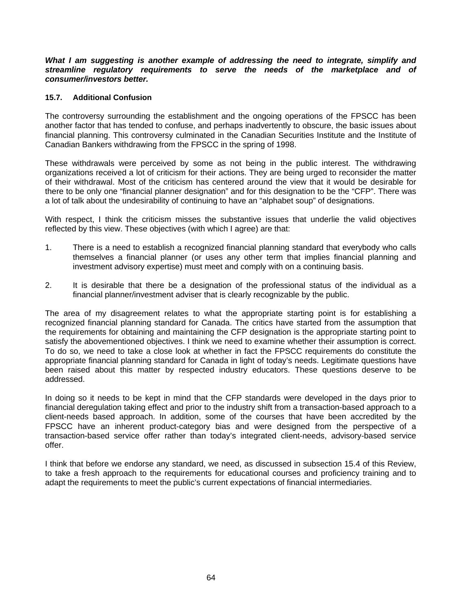*What I am suggesting is another example of addressing the need to integrate, simplify and streamline regulatory requirements to serve the needs of the marketplace and of consumer/investors better.*

#### **15.7. Additional Confusion**

The controversy surrounding the establishment and the ongoing operations of the FPSCC has been another factor that has tended to confuse, and perhaps inadvertently to obscure, the basic issues about financial planning. This controversy culminated in the Canadian Securities Institute and the Institute of Canadian Bankers withdrawing from the FPSCC in the spring of 1998.

These withdrawals were perceived by some as not being in the public interest. The withdrawing organizations received a lot of criticism for their actions. They are being urged to reconsider the matter of their withdrawal. Most of the criticism has centered around the view that it would be desirable for there to be only one "financial planner designation" and for this designation to be the "CFP". There was a lot of talk about the undesirability of continuing to have an "alphabet soup" of designations.

With respect, I think the criticism misses the substantive issues that underlie the valid objectives reflected by this view. These objectives (with which I agree) are that:

- 1. There is a need to establish a recognized financial planning standard that everybody who calls themselves a financial planner (or uses any other term that implies financial planning and investment advisory expertise) must meet and comply with on a continuing basis.
- 2. It is desirable that there be a designation of the professional status of the individual as a financial planner/investment adviser that is clearly recognizable by the public.

The area of my disagreement relates to what the appropriate starting point is for establishing a recognized financial planning standard for Canada. The critics have started from the assumption that the requirements for obtaining and maintaining the CFP designation is the appropriate starting point to satisfy the abovementioned objectives. I think we need to examine whether their assumption is correct. To do so, we need to take a close look at whether in fact the FPSCC requirements do constitute the appropriate financial planning standard for Canada in light of today's needs. Legitimate questions have been raised about this matter by respected industry educators. These questions deserve to be addressed.

In doing so it needs to be kept in mind that the CFP standards were developed in the days prior to financial deregulation taking effect and prior to the industry shift from a transaction-based approach to a client-needs based approach. In addition, some of the courses that have been accredited by the FPSCC have an inherent product-category bias and were designed from the perspective of a transaction-based service offer rather than today's integrated client-needs, advisory-based service offer.

I think that before we endorse any standard, we need, as discussed in subsection 15.4 of this Review, to take a fresh approach to the requirements for educational courses and proficiency training and to adapt the requirements to meet the public's current expectations of financial intermediaries.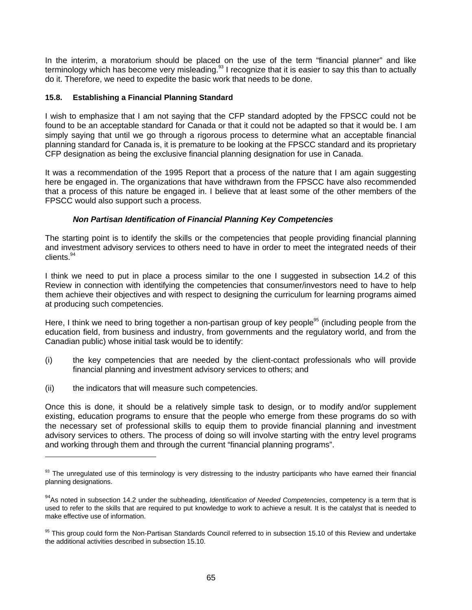In the interim, a moratorium should be placed on the use of the term "financial planner" and like terminology which has become very misleading. $93$  I recognize that it is easier to say this than to actually do it. Therefore, we need to expedite the basic work that needs to be done.

## **15.8. Establishing a Financial Planning Standard**

I wish to emphasize that I am not saying that the CFP standard adopted by the FPSCC could not be found to be an acceptable standard for Canada or that it could not be adapted so that it would be. I am simply saying that until we go through a rigorous process to determine what an acceptable financial planning standard for Canada is, it is premature to be looking at the FPSCC standard and its proprietary CFP designation as being the exclusive financial planning designation for use in Canada.

It was a recommendation of the 1995 Report that a process of the nature that I am again suggesting here be engaged in. The organizations that have withdrawn from the FPSCC have also recommended that a process of this nature be engaged in. I believe that at least some of the other members of the FPSCC would also support such a process.

## *Non Partisan Identification of Financial Planning Key Competencies*

The starting point is to identify the skills or the competencies that people providing financial planning and investment advisory services to others need to have in order to meet the integrated needs of their clients.<sup>94</sup>

I think we need to put in place a process similar to the one I suggested in subsection 14.2 of this Review in connection with identifying the competencies that consumer/investors need to have to help them achieve their objectives and with respect to designing the curriculum for learning programs aimed at producing such competencies.

Here, I think we need to bring together a non-partisan group of key people<sup>95</sup> (including people from the education field, from business and industry, from governments and the regulatory world, and from the Canadian public) whose initial task would be to identify:

- (i) the key competencies that are needed by the client-contact professionals who will provide financial planning and investment advisory services to others; and
- (ii) the indicators that will measure such competencies.

 $\overline{a}$ 

Once this is done, it should be a relatively simple task to design, or to modify and/or supplement existing, education programs to ensure that the people who emerge from these programs do so with the necessary set of professional skills to equip them to provide financial planning and investment advisory services to others. The process of doing so will involve starting with the entry level programs and working through them and through the current "financial planning programs".

<sup>93</sup> The unregulated use of this terminology is very distressing to the industry participants who have earned their financial planning designations.

<sup>94</sup>As noted in subsection 14.2 under the subheading, *Identification of Needed Competencies*, competency is a term that is used to refer to the skills that are required to put knowledge to work to achieve a result. It is the catalyst that is needed to make effective use of information.

<sup>&</sup>lt;sup>95</sup> This group could form the Non-Partisan Standards Council referred to in subsection 15.10 of this Review and undertake the additional activities described in subsection 15.10.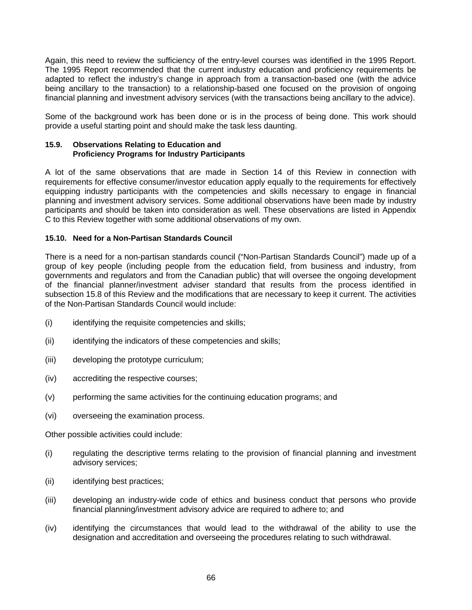Again, this need to review the sufficiency of the entry-level courses was identified in the 1995 Report. The 1995 Report recommended that the current industry education and proficiency requirements be adapted to reflect the industry's change in approach from a transaction-based one (with the advice being ancillary to the transaction) to a relationship-based one focused on the provision of ongoing financial planning and investment advisory services (with the transactions being ancillary to the advice).

Some of the background work has been done or is in the process of being done. This work should provide a useful starting point and should make the task less daunting.

#### **15.9. Observations Relating to Education and Proficiency Programs for Industry Participants**

A lot of the same observations that are made in Section 14 of this Review in connection with requirements for effective consumer/investor education apply equally to the requirements for effectively equipping industry participants with the competencies and skills necessary to engage in financial planning and investment advisory services. Some additional observations have been made by industry participants and should be taken into consideration as well. These observations are listed in Appendix C to this Review together with some additional observations of my own.

## **15.10. Need for a Non-Partisan Standards Council**

There is a need for a non-partisan standards council ("Non-Partisan Standards Council") made up of a group of key people (including people from the education field, from business and industry, from governments and regulators and from the Canadian public) that will oversee the ongoing development of the financial planner/investment adviser standard that results from the process identified in subsection 15.8 of this Review and the modifications that are necessary to keep it current. The activities of the Non-Partisan Standards Council would include:

- (i) identifying the requisite competencies and skills;
- (ii) identifying the indicators of these competencies and skills;
- (iii) developing the prototype curriculum;
- (iv) accrediting the respective courses;
- (v) performing the same activities for the continuing education programs; and
- (vi) overseeing the examination process.

Other possible activities could include:

- (i) regulating the descriptive terms relating to the provision of financial planning and investment advisory services;
- (ii) identifying best practices;
- (iii) developing an industry-wide code of ethics and business conduct that persons who provide financial planning/investment advisory advice are required to adhere to; and
- (iv) identifying the circumstances that would lead to the withdrawal of the ability to use the designation and accreditation and overseeing the procedures relating to such withdrawal.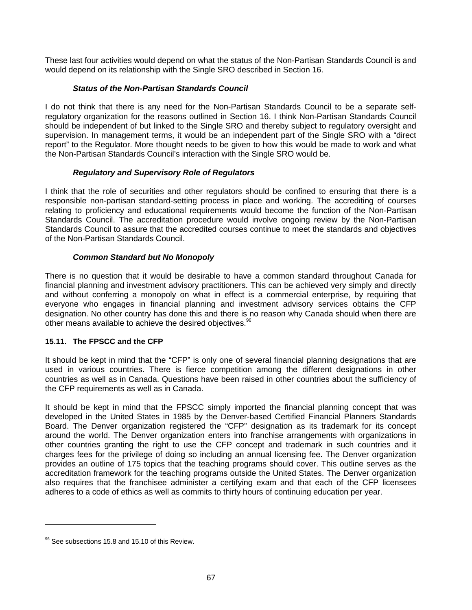These last four activities would depend on what the status of the Non-Partisan Standards Council is and would depend on its relationship with the Single SRO described in Section 16.

# *Status of the Non-Partisan Standards Council*

I do not think that there is any need for the Non-Partisan Standards Council to be a separate selfregulatory organization for the reasons outlined in Section 16. I think Non-Partisan Standards Council should be independent of but linked to the Single SRO and thereby subject to regulatory oversight and supervision. In management terms, it would be an independent part of the Single SRO with a "direct report" to the Regulator. More thought needs to be given to how this would be made to work and what the Non-Partisan Standards Council's interaction with the Single SRO would be.

## *Regulatory and Supervisory Role of Regulators*

I think that the role of securities and other regulators should be confined to ensuring that there is a responsible non-partisan standard-setting process in place and working. The accrediting of courses relating to proficiency and educational requirements would become the function of the Non-Partisan Standards Council. The accreditation procedure would involve ongoing review by the Non-Partisan Standards Council to assure that the accredited courses continue to meet the standards and objectives of the Non-Partisan Standards Council.

## *Common Standard but No Monopoly*

There is no question that it would be desirable to have a common standard throughout Canada for financial planning and investment advisory practitioners. This can be achieved very simply and directly and without conferring a monopoly on what in effect is a commercial enterprise, by requiring that everyone who engages in financial planning and investment advisory services obtains the CFP designation. No other country has done this and there is no reason why Canada should when there are other means available to achieve the desired objectives.<sup>96</sup>

## **15.11. The FPSCC and the CFP**

It should be kept in mind that the "CFP" is only one of several financial planning designations that are used in various countries. There is fierce competition among the different designations in other countries as well as in Canada. Questions have been raised in other countries about the sufficiency of the CFP requirements as well as in Canada.

It should be kept in mind that the FPSCC simply imported the financial planning concept that was developed in the United States in 1985 by the Denver-based Certified Financial Planners Standards Board. The Denver organization registered the "CFP" designation as its trademark for its concept around the world. The Denver organization enters into franchise arrangements with organizations in other countries granting the right to use the CFP concept and trademark in such countries and it charges fees for the privilege of doing so including an annual licensing fee. The Denver organization provides an outline of 175 topics that the teaching programs should cover. This outline serves as the accreditation framework for the teaching programs outside the United States. The Denver organization also requires that the franchisee administer a certifying exam and that each of the CFP licensees adheres to a code of ethics as well as commits to thirty hours of continuing education per year.

 $96$  See subsections 15.8 and 15.10 of this Review.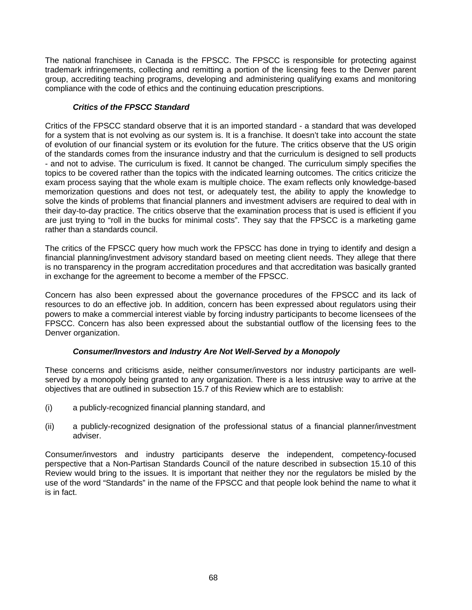The national franchisee in Canada is the FPSCC. The FPSCC is responsible for protecting against trademark infringements, collecting and remitting a portion of the licensing fees to the Denver parent group, accrediting teaching programs, developing and administering qualifying exams and monitoring compliance with the code of ethics and the continuing education prescriptions.

## *Critics of the FPSCC Standard*

Critics of the FPSCC standard observe that it is an imported standard - a standard that was developed for a system that is not evolving as our system is. It is a franchise. It doesn't take into account the state of evolution of our financial system or its evolution for the future. The critics observe that the US origin of the standards comes from the insurance industry and that the curriculum is designed to sell products - and not to advise. The curriculum is fixed. It cannot be changed. The curriculum simply specifies the topics to be covered rather than the topics with the indicated learning outcomes. The critics criticize the exam process saying that the whole exam is multiple choice. The exam reflects only knowledge-based memorization questions and does not test, or adequately test, the ability to apply the knowledge to solve the kinds of problems that financial planners and investment advisers are required to deal with in their day-to-day practice. The critics observe that the examination process that is used is efficient if you are just trying to "roll in the bucks for minimal costs". They say that the FPSCC is a marketing game rather than a standards council.

The critics of the FPSCC query how much work the FPSCC has done in trying to identify and design a financial planning/investment advisory standard based on meeting client needs. They allege that there is no transparency in the program accreditation procedures and that accreditation was basically granted in exchange for the agreement to become a member of the FPSCC.

Concern has also been expressed about the governance procedures of the FPSCC and its lack of resources to do an effective job. In addition, concern has been expressed about regulators using their powers to make a commercial interest viable by forcing industry participants to become licensees of the FPSCC. Concern has also been expressed about the substantial outflow of the licensing fees to the Denver organization.

# *Consumer/Investors and Industry Are Not Well-Served by a Monopoly*

These concerns and criticisms aside, neither consumer/investors nor industry participants are wellserved by a monopoly being granted to any organization. There is a less intrusive way to arrive at the objectives that are outlined in subsection 15.7 of this Review which are to establish:

- (i) a publicly-recognized financial planning standard, and
- (ii) a publicly-recognized designation of the professional status of a financial planner/investment adviser.

Consumer/investors and industry participants deserve the independent, competency-focused perspective that a Non-Partisan Standards Council of the nature described in subsection 15.10 of this Review would bring to the issues. It is important that neither they nor the regulators be misled by the use of the word "Standards" in the name of the FPSCC and that people look behind the name to what it is in fact.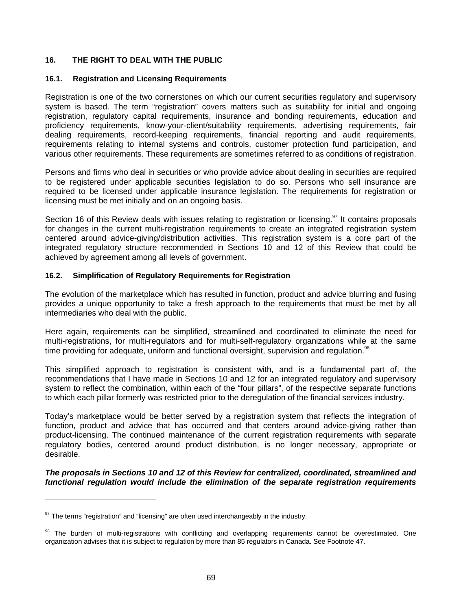## **16. THE RIGHT TO DEAL WITH THE PUBLIC**

### **16.1. Registration and Licensing Requirements**

Registration is one of the two cornerstones on which our current securities regulatory and supervisory system is based. The term "registration" covers matters such as suitability for initial and ongoing registration, regulatory capital requirements, insurance and bonding requirements, education and proficiency requirements, know-your-client/suitability requirements, advertising requirements, fair dealing requirements, record-keeping requirements, financial reporting and audit requirements, requirements relating to internal systems and controls, customer protection fund participation, and various other requirements. These requirements are sometimes referred to as conditions of registration.

Persons and firms who deal in securities or who provide advice about dealing in securities are required to be registered under applicable securities legislation to do so. Persons who sell insurance are required to be licensed under applicable insurance legislation. The requirements for registration or licensing must be met initially and on an ongoing basis.

Section 16 of this Review deals with issues relating to registration or licensing.<sup>97</sup> It contains proposals for changes in the current multi-registration requirements to create an integrated registration system centered around advice-giving/distribution activities. This registration system is a core part of the integrated regulatory structure recommended in Sections 10 and 12 of this Review that could be achieved by agreement among all levels of government.

## **16.2. Simplification of Regulatory Requirements for Registration**

The evolution of the marketplace which has resulted in function, product and advice blurring and fusing provides a unique opportunity to take a fresh approach to the requirements that must be met by all intermediaries who deal with the public.

Here again, requirements can be simplified, streamlined and coordinated to eliminate the need for multi-registrations, for multi-regulators and for multi-self-regulatory organizations while at the same time providing for adequate, uniform and functional oversight, supervision and regulation.<sup>91</sup>

This simplified approach to registration is consistent with, and is a fundamental part of, the recommendations that I have made in Sections 10 and 12 for an integrated regulatory and supervisory system to reflect the combination, within each of the "four pillars", of the respective separate functions to which each pillar formerly was restricted prior to the deregulation of the financial services industry.

Today's marketplace would be better served by a registration system that reflects the integration of function, product and advice that has occurred and that centers around advice-giving rather than product-licensing. The continued maintenance of the current registration requirements with separate regulatory bodies, centered around product distribution, is no longer necessary, appropriate or desirable.

*The proposals in Sections 10 and 12 of this Review for centralized, coordinated, streamlined and functional regulation would include the elimination of the separate registration requirements*

 $97$  The terms "registration" and "licensing" are often used interchangeably in the industry.

<sup>98</sup> The burden of multi-registrations with conflicting and overlapping requirements cannot be overestimated. One organization advises that it is subject to regulation by more than 85 regulators in Canada. See Footnote 47.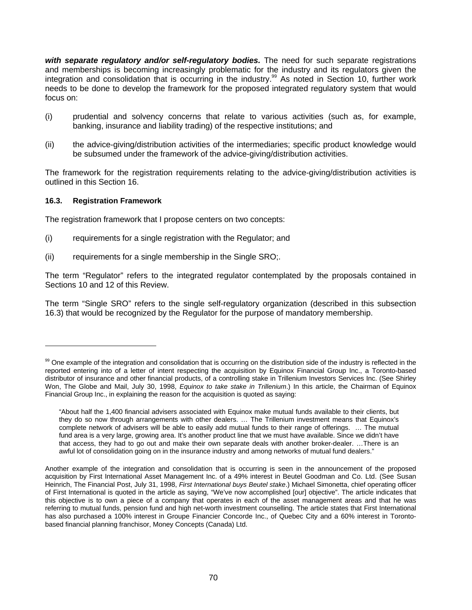*with separate regulatory and/or self-regulatory bodies.* The need for such separate registrations and memberships is becoming increasingly problematic for the industry and its regulators given the integration and consolidation that is occurring in the industry.<sup>99</sup> As noted in Section 10, further work needs to be done to develop the framework for the proposed integrated regulatory system that would focus on:

- (i) prudential and solvency concerns that relate to various activities (such as, for example, banking, insurance and liability trading) of the respective institutions; and
- (ii) the advice-giving/distribution activities of the intermediaries; specific product knowledge would be subsumed under the framework of the advice-giving/distribution activities.

The framework for the registration requirements relating to the advice-giving/distribution activities is outlined in this Section 16.

## **16.3. Registration Framework**

 $\overline{a}$ 

The registration framework that I propose centers on two concepts:

- (i) requirements for a single registration with the Regulator; and
- (ii) requirements for a single membership in the Single SRO;.

The term "Regulator" refers to the integrated regulator contemplated by the proposals contained in Sections 10 and 12 of this Review.

The term "Single SRO" refers to the single self-regulatory organization (described in this subsection 16.3) that would be recognized by the Regulator for the purpose of mandatory membership.

<sup>&</sup>lt;sup>99</sup> One example of the integration and consolidation that is occurring on the distribution side of the industry is reflected in the reported entering into of a letter of intent respecting the acquisition by Equinox Financial Group Inc., a Toronto-based distributor of insurance and other financial products, of a controlling stake in Trillenium Investors Services Inc. (See Shirley Won, The Globe and Mail, July 30, 1998, *Equinox to take stake in Trillenium*.) In this article, the Chairman of Equinox Financial Group Inc., in explaining the reason for the acquisition is quoted as saying:

<sup>&</sup>quot;About half the 1,400 financial advisers associated with Equinox make mutual funds available to their clients, but they do so now through arrangements with other dealers. … The Trillenium investment means that Equinox's complete network of advisers will be able to easily add mutual funds to their range of offerings. … The mutual fund area is a very large, growing area. It's another product line that we must have available. Since we didn't have that access, they had to go out and make their own separate deals with another broker-dealer. …There is an awful lot of consolidation going on in the insurance industry and among networks of mutual fund dealers."

Another example of the integration and consolidation that is occurring is seen in the announcement of the proposed acquisition by First International Asset Management Inc. of a 49% interest in Beutel Goodman and Co. Ltd. (See Susan Heinrich, The Financial Post, July 31, 1998, *First International buys Beutel stake*.) Michael Simonetta, chief operating officer of First International is quoted in the article as saying, "We've now accomplished [our] objective". The article indicates that this objective is to own a piece of a company that operates in each of the asset management areas and that he was referring to mutual funds, pension fund and high net-worth investment counselling. The article states that First International has also purchased a 100% interest in Groupe Financier Concorde Inc., of Quebec City and a 60% interest in Torontobased financial planning franchisor, Money Concepts (Canada) Ltd.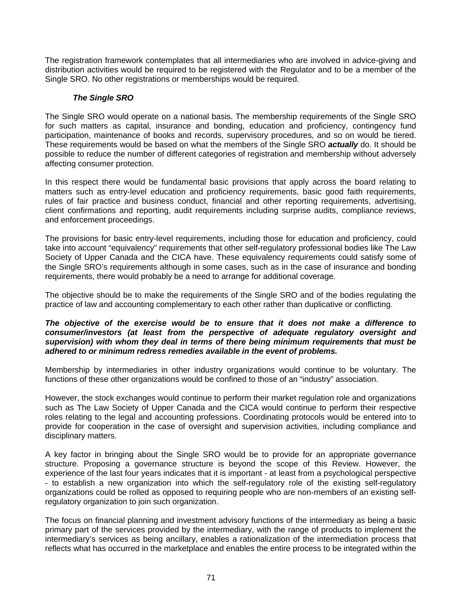The registration framework contemplates that all intermediaries who are involved in advice-giving and distribution activities would be required to be registered with the Regulator and to be a member of the Single SRO. No other registrations or memberships would be required.

# *The Single SRO*

The Single SRO would operate on a national basis. The membership requirements of the Single SRO for such matters as capital, insurance and bonding, education and proficiency, contingency fund participation, maintenance of books and records, supervisory procedures, and so on would be tiered. These requirements would be based on what the members of the Single SRO *actually* do. It should be possible to reduce the number of different categories of registration and membership without adversely affecting consumer protection.

In this respect there would be fundamental basic provisions that apply across the board relating to matters such as entry-level education and proficiency requirements, basic good faith requirements, rules of fair practice and business conduct, financial and other reporting requirements, advertising, client confirmations and reporting, audit requirements including surprise audits, compliance reviews, and enforcement proceedings.

The provisions for basic entry-level requirements, including those for education and proficiency, could take into account "equivalency" requirements that other self-regulatory professional bodies like The Law Society of Upper Canada and the CICA have. These equivalency requirements could satisfy some of the Single SRO's requirements although in some cases, such as in the case of insurance and bonding requirements, there would probably be a need to arrange for additional coverage.

The objective should be to make the requirements of the Single SRO and of the bodies regulating the practice of law and accounting complementary to each other rather than duplicative or conflicting.

## *The objective of the exercise would be to ensure that it does not make a difference to consumer/investors (at least from the perspective of adequate regulatory oversight and supervision) with whom they deal in terms of there being minimum requirements that must be adhered to or minimum redress remedies available in the event of problems.*

Membership by intermediaries in other industry organizations would continue to be voluntary. The functions of these other organizations would be confined to those of an "industry" association.

However, the stock exchanges would continue to perform their market regulation role and organizations such as The Law Society of Upper Canada and the CICA would continue to perform their respective roles relating to the legal and accounting professions. Coordinating protocols would be entered into to provide for cooperation in the case of oversight and supervision activities, including compliance and disciplinary matters.

A key factor in bringing about the Single SRO would be to provide for an appropriate governance structure. Proposing a governance structure is beyond the scope of this Review. However, the experience of the last four years indicates that it is important - at least from a psychological perspective - to establish a new organization into which the self-regulatory role of the existing self-regulatory organizations could be rolled as opposed to requiring people who are non-members of an existing selfregulatory organization to join such organization.

The focus on financial planning and investment advisory functions of the intermediary as being a basic primary part of the services provided by the intermediary, with the range of products to implement the intermediary's services as being ancillary, enables a rationalization of the intermediation process that reflects what has occurred in the marketplace and enables the entire process to be integrated within the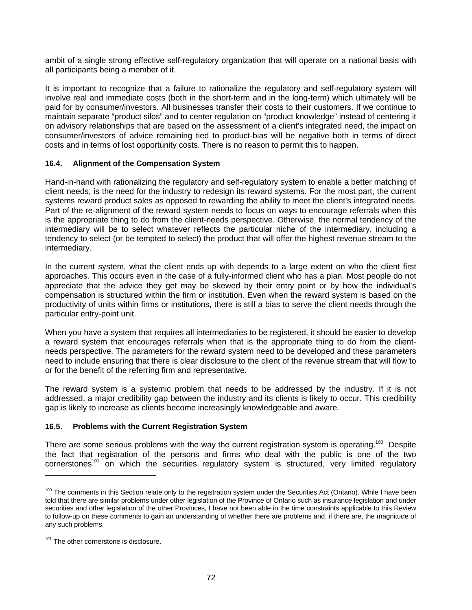ambit of a single strong effective self-regulatory organization that will operate on a national basis with all participants being a member of it.

It is important to recognize that a failure to rationalize the regulatory and self-regulatory system will involve real and immediate costs (both in the short-term and in the long-term) which ultimately will be paid for by consumer/investors. All businesses transfer their costs to their customers. If we continue to maintain separate "product silos" and to center regulation on "product knowledge" instead of centering it on advisory relationships that are based on the assessment of a client's integrated need, the impact on consumer/investors of advice remaining tied to product-bias will be negative both in terms of direct costs and in terms of lost opportunity costs. There is no reason to permit this to happen.

## **16.4. Alignment of the Compensation System**

Hand-in-hand with rationalizing the regulatory and self-regulatory system to enable a better matching of client needs, is the need for the industry to redesign its reward systems. For the most part, the current systems reward product sales as opposed to rewarding the ability to meet the client's integrated needs. Part of the re-alignment of the reward system needs to focus on ways to encourage referrals when this is the appropriate thing to do from the client-needs perspective. Otherwise, the normal tendency of the intermediary will be to select whatever reflects the particular niche of the intermediary, including a tendency to select (or be tempted to select) the product that will offer the highest revenue stream to the intermediary.

In the current system, what the client ends up with depends to a large extent on who the client first approaches. This occurs even in the case of a fully-informed client who has a plan. Most people do not appreciate that the advice they get may be skewed by their entry point or by how the individual's compensation is structured within the firm or institution. Even when the reward system is based on the productivity of units within firms or institutions, there is still a bias to serve the client needs through the particular entry-point unit.

When you have a system that requires all intermediaries to be registered, it should be easier to develop a reward system that encourages referrals when that is the appropriate thing to do from the clientneeds perspective. The parameters for the reward system need to be developed and these parameters need to include ensuring that there is clear disclosure to the client of the revenue stream that will flow to or for the benefit of the referring firm and representative.

The reward system is a systemic problem that needs to be addressed by the industry. If it is not addressed, a major credibility gap between the industry and its clients is likely to occur. This credibility gap is likely to increase as clients become increasingly knowledgeable and aware.

## **16.5. Problems with the Current Registration System**

There are some serious problems with the way the current registration system is operating.<sup>100</sup> Despite the fact that registration of the persons and firms who deal with the public is one of the two cornerstones<sup>101</sup> on which the securities regulatory system is structured, very limited regulatory

<sup>&</sup>lt;sup>100</sup> The comments in this Section relate only to the registration system under the Securities Act (Ontario). While I have been told that there are similar problems under other legislation of the Province of Ontario such as insurance legislation and under securities and other legislation of the other Provinces, I have not been able in the time constraints applicable to this Review to follow-up on these comments to gain an understanding of whether there are problems and, if there are, the magnitude of any such problems.

<sup>&</sup>lt;sup>101</sup> The other cornerstone is disclosure.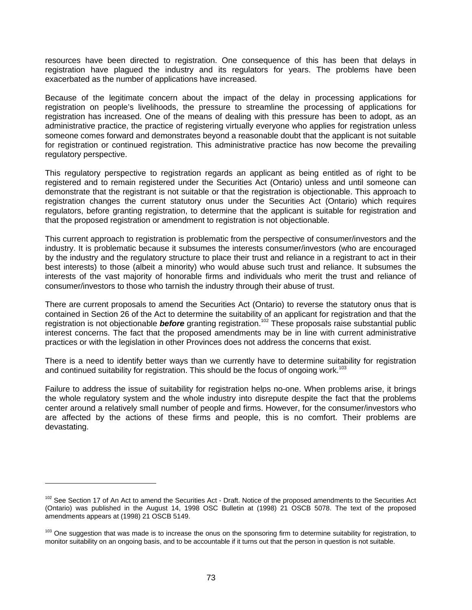resources have been directed to registration. One consequence of this has been that delays in registration have plagued the industry and its regulators for years. The problems have been exacerbated as the number of applications have increased.

Because of the legitimate concern about the impact of the delay in processing applications for registration on people's livelihoods, the pressure to streamline the processing of applications for registration has increased. One of the means of dealing with this pressure has been to adopt, as an administrative practice, the practice of registering virtually everyone who applies for registration unless someone comes forward and demonstrates beyond a reasonable doubt that the applicant is not suitable for registration or continued registration. This administrative practice has now become the prevailing regulatory perspective.

This regulatory perspective to registration regards an applicant as being entitled as of right to be registered and to remain registered under the Securities Act (Ontario) unless and until someone can demonstrate that the registrant is not suitable or that the registration is objectionable. This approach to registration changes the current statutory onus under the Securities Act (Ontario) which requires regulators, before granting registration, to determine that the applicant is suitable for registration and that the proposed registration or amendment to registration is not objectionable.

This current approach to registration is problematic from the perspective of consumer/investors and the industry. It is problematic because it subsumes the interests consumer/investors (who are encouraged by the industry and the regulatory structure to place their trust and reliance in a registrant to act in their best interests) to those (albeit a minority) who would abuse such trust and reliance. It subsumes the interests of the vast majority of honorable firms and individuals who merit the trust and reliance of consumer/investors to those who tarnish the industry through their abuse of trust.

There are current proposals to amend the Securities Act (Ontario) to reverse the statutory onus that is contained in Section 26 of the Act to determine the suitability of an applicant for registration and that the registration is not objectionable **before** granting registration.<sup>102</sup> These proposals raise substantial public interest concerns. The fact that the proposed amendments may be in line with current administrative practices or with the legislation in other Provinces does not address the concerns that exist.

There is a need to identify better ways than we currently have to determine suitability for registration and continued suitability for registration. This should be the focus of ongoing work.<sup>103</sup>

Failure to address the issue of suitability for registration helps no-one. When problems arise, it brings the whole regulatory system and the whole industry into disrepute despite the fact that the problems center around a relatively small number of people and firms. However, for the consumer/investors who are affected by the actions of these firms and people, this is no comfort. Their problems are devastating.

<sup>&</sup>lt;sup>102</sup> See Section 17 of An Act to amend the Securities Act - Draft. Notice of the proposed amendments to the Securities Act (Ontario) was published in the August 14, 1998 OSC Bulletin at (1998) 21 OSCB 5078. The text of the proposed amendments appears at (1998) 21 OSCB 5149.

<sup>&</sup>lt;sup>103</sup> One suggestion that was made is to increase the onus on the sponsoring firm to determine suitability for registration, to monitor suitability on an ongoing basis, and to be accountable if it turns out that the person in question is not suitable.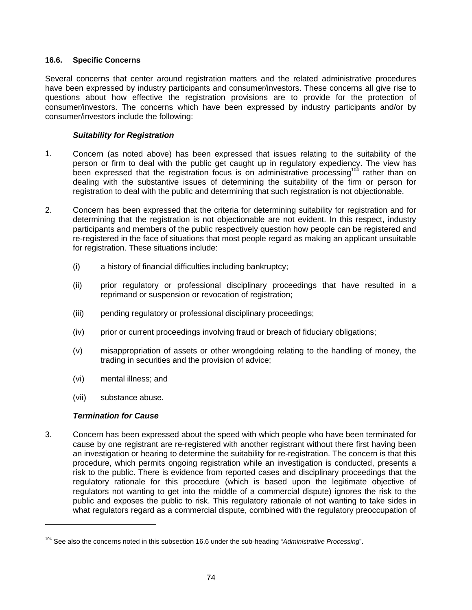#### **16.6. Specific Concerns**

Several concerns that center around registration matters and the related administrative procedures have been expressed by industry participants and consumer/investors. These concerns all give rise to questions about how effective the registration provisions are to provide for the protection of consumer/investors. The concerns which have been expressed by industry participants and/or by consumer/investors include the following:

## *Suitability for Registration*

- 1. Concern (as noted above) has been expressed that issues relating to the suitability of the person or firm to deal with the public get caught up in regulatory expediency. The view has been expressed that the registration focus is on administrative processing<sup>104</sup> rather than on dealing with the substantive issues of determining the suitability of the firm or person for registration to deal with the public and determining that such registration is not objectionable.
- 2. Concern has been expressed that the criteria for determining suitability for registration and for determining that the registration is not objectionable are not evident. In this respect, industry participants and members of the public respectively question how people can be registered and re-registered in the face of situations that most people regard as making an applicant unsuitable for registration. These situations include:
	- (i) a history of financial difficulties including bankruptcy;
	- (ii) prior regulatory or professional disciplinary proceedings that have resulted in a reprimand or suspension or revocation of registration;
	- (iii) pending regulatory or professional disciplinary proceedings;
	- (iv) prior or current proceedings involving fraud or breach of fiduciary obligations;
	- (v) misappropriation of assets or other wrongdoing relating to the handling of money, the trading in securities and the provision of advice;
	- (vi) mental illness; and
	- (vii) substance abuse.

## *Termination for Cause*

 $\overline{a}$ 

3. Concern has been expressed about the speed with which people who have been terminated for cause by one registrant are re-registered with another registrant without there first having been an investigation or hearing to determine the suitability for re-registration. The concern is that this procedure, which permits ongoing registration while an investigation is conducted, presents a risk to the public. There is evidence from reported cases and disciplinary proceedings that the regulatory rationale for this procedure (which is based upon the legitimate objective of regulators not wanting to get into the middle of a commercial dispute) ignores the risk to the public and exposes the public to risk. This regulatory rationale of not wanting to take sides in what regulators regard as a commercial dispute, combined with the regulatory preoccupation of

<sup>104</sup> See also the concerns noted in this subsection 16.6 under the sub-heading "*Administrative Processing*".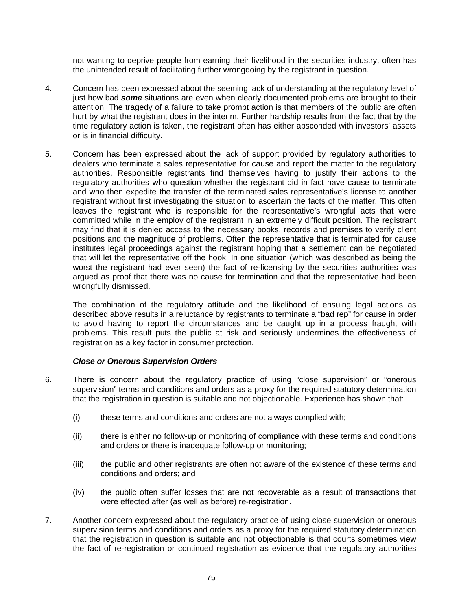not wanting to deprive people from earning their livelihood in the securities industry, often has the unintended result of facilitating further wrongdoing by the registrant in question.

- 4. Concern has been expressed about the seeming lack of understanding at the regulatory level of just how bad *some* situations are even when clearly documented problems are brought to their attention. The tragedy of a failure to take prompt action is that members of the public are often hurt by what the registrant does in the interim. Further hardship results from the fact that by the time regulatory action is taken, the registrant often has either absconded with investors' assets or is in financial difficulty.
- 5. Concern has been expressed about the lack of support provided by regulatory authorities to dealers who terminate a sales representative for cause and report the matter to the regulatory authorities. Responsible registrants find themselves having to justify their actions to the regulatory authorities who question whether the registrant did in fact have cause to terminate and who then expedite the transfer of the terminated sales representative's license to another registrant without first investigating the situation to ascertain the facts of the matter. This often leaves the registrant who is responsible for the representative's wrongful acts that were committed while in the employ of the registrant in an extremely difficult position. The registrant may find that it is denied access to the necessary books, records and premises to verify client positions and the magnitude of problems. Often the representative that is terminated for cause institutes legal proceedings against the registrant hoping that a settlement can be negotiated that will let the representative off the hook. In one situation (which was described as being the worst the registrant had ever seen) the fact of re-licensing by the securities authorities was argued as proof that there was no cause for termination and that the representative had been wrongfully dismissed.

The combination of the regulatory attitude and the likelihood of ensuing legal actions as described above results in a reluctance by registrants to terminate a "bad rep" for cause in order to avoid having to report the circumstances and be caught up in a process fraught with problems. This result puts the public at risk and seriously undermines the effectiveness of registration as a key factor in consumer protection.

## *Close or Onerous Supervision Orders*

- 6. There is concern about the regulatory practice of using "close supervision" or "onerous supervision" terms and conditions and orders as a proxy for the required statutory determination that the registration in question is suitable and not objectionable. Experience has shown that:
	- (i) these terms and conditions and orders are not always complied with;
	- (ii) there is either no follow-up or monitoring of compliance with these terms and conditions and orders or there is inadequate follow-up or monitoring;
	- (iii) the public and other registrants are often not aware of the existence of these terms and conditions and orders; and
	- (iv) the public often suffer losses that are not recoverable as a result of transactions that were effected after (as well as before) re-registration.
- 7. Another concern expressed about the regulatory practice of using close supervision or onerous supervision terms and conditions and orders as a proxy for the required statutory determination that the registration in question is suitable and not objectionable is that courts sometimes view the fact of re-registration or continued registration as evidence that the regulatory authorities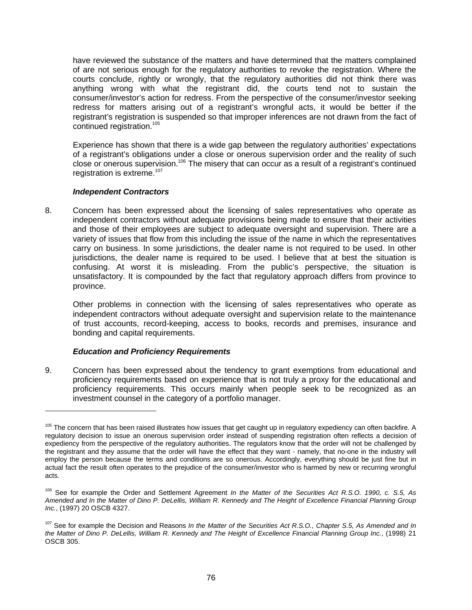have reviewed the substance of the matters and have determined that the matters complained of are not serious enough for the regulatory authorities to revoke the registration. Where the courts conclude, rightly or wrongly, that the regulatory authorities did not think there was anything wrong with what the registrant did, the courts tend not to sustain the consumer/investor's action for redress. From the perspective of the consumer/investor seeking redress for matters arising out of a registrant's wrongful acts, it would be better if the registrant's registration is suspended so that improper inferences are not drawn from the fact of continued registration.105

Experience has shown that there is a wide gap between the regulatory authorities' expectations of a registrant's obligations under a close or onerous supervision order and the reality of such close or onerous supervision.<sup>106</sup> The misery that can occur as a result of a registrant's continued registration is extreme.<sup>107</sup>

## *Independent Contractors*

8. Concern has been expressed about the licensing of sales representatives who operate as independent contractors without adequate provisions being made to ensure that their activities and those of their employees are subject to adequate oversight and supervision. There are a variety of issues that flow from this including the issue of the name in which the representatives carry on business. In some jurisdictions, the dealer name is not required to be used. In other jurisdictions, the dealer name is required to be used. I believe that at best the situation is confusing. At worst it is misleading. From the public's perspective, the situation is unsatisfactory. It is compounded by the fact that regulatory approach differs from province to province.

Other problems in connection with the licensing of sales representatives who operate as independent contractors without adequate oversight and supervision relate to the maintenance of trust accounts, record-keeping, access to books, records and premises, insurance and bonding and capital requirements.

## *Education and Proficiency Requirements*

 $\overline{a}$ 

9. Concern has been expressed about the tendency to grant exemptions from educational and proficiency requirements based on experience that is not truly a proxy for the educational and proficiency requirements. This occurs mainly when people seek to be recognized as an investment counsel in the category of a portfolio manager.

<sup>&</sup>lt;sup>105</sup> The concern that has been raised illustrates how issues that get caught up in regulatory expediency can often backfire. A regulatory decision to issue an onerous supervision order instead of suspending registration often reflects a decision of expediency from the perspective of the regulatory authorities. The regulators know that the order will not be challenged by the registrant and they assume that the order will have the effect that they want - namely, that no-one in the industry will employ the person because the terms and conditions are so onerous. Accordingly, everything should be just fine but in actual fact the result often operates to the prejudice of the consumer/investor who is harmed by new or recurring wrongful acts.

<sup>106</sup> See for example the Order and Settlement Agreement *In the Matter of the Securities Act R.S.O. 1990, c. S.5, As Amended and In the Matter of Dino P. DeLellis, William R. Kennedy and The Height of Excellence Financial Planning Group Inc.*, (1997) 20 OSCB 4327.

<sup>107</sup> See for example the Decision and Reasons *In the Matter of the Securities Act R.S.O., Chapter S.5, As Amended and In the Matter of Dino P. DeLellis, William R. Kennedy and The Height of Excellence Financial Planning Group Inc.*, (1998) 21 OSCB 305.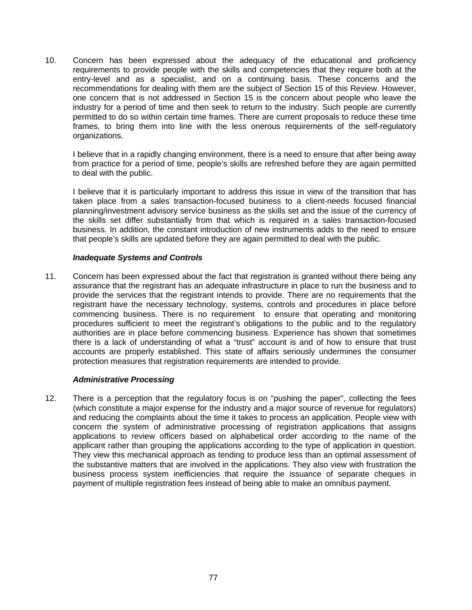10. Concern has been expressed about the adequacy of the educational and proficiency requirements to provide people with the skills and competencies that they require both at the entry-level and as a specialist, and on a continuing basis. These concerns and the recommendations for dealing with them are the subject of Section 15 of this Review. However, one concern that is not addressed in Section 15 is the concern about people who leave the industry for a period of time and then seek to return to the industry. Such people are currently permitted to do so within certain time frames. There are current proposals to reduce these time frames, to bring them into line with the less onerous requirements of the self-regulatory organizations.

I believe that in a rapidly changing environment, there is a need to ensure that after being away from practice for a period of time, people's skills are refreshed before they are again permitted to deal with the public.

I believe that it is particularly important to address this issue in view of the transition that has taken place from a sales transaction-focused business to a client-needs focused financial planning/investment advisory service business as the skills set and the issue of the currency of the skills set differ substantially from that which is required in a sales transaction-focused business. In addition, the constant introduction of new instruments adds to the need to ensure that people's skills are updated before they are again permitted to deal with the public.

#### *Inadequate Systems and Controls*

11. Concern has been expressed about the fact that registration is granted without there being any assurance that the registrant has an adequate infrastructure in place to run the business and to provide the services that the registrant intends to provide. There are no requirements that the registrant have the necessary technology, systems, controls and procedures in place before commencing business. There is no requirement to ensure that operating and monitoring procedures sufficient to meet the registrant's obligations to the public and to the regulatory authorities are in place before commencing business. Experience has shown that sometimes there is a lack of understanding of what a "trust" account is and of how to ensure that trust accounts are properly established. This state of affairs seriously undermines the consumer protection measures that registration requirements are intended to provide.

## *Administrative Processing*

12. There is a perception that the regulatory focus is on "pushing the paper", collecting the fees (which constitute a major expense for the industry and a major source of revenue for regulators) and reducing the complaints about the time it takes to process an application. People view with concern the system of administrative processing of registration applications that assigns applications to review officers based on alphabetical order according to the name of the applicant rather than grouping the applications according to the type of application in question. They view this mechanical approach as tending to produce less than an optimal assessment of the substantive matters that are involved in the applications. They also view with frustration the business process system inefficiencies that require the issuance of separate cheques in payment of multiple registration fees instead of being able to make an omnibus payment.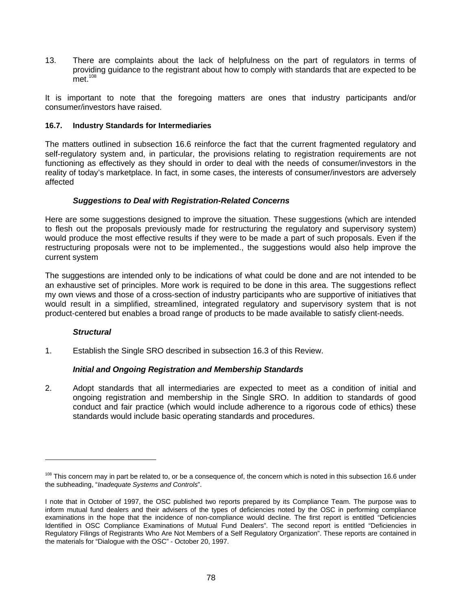13. There are complaints about the lack of helpfulness on the part of regulators in terms of providing guidance to the registrant about how to comply with standards that are expected to be  $met.<sup>108</sup>$ 

It is important to note that the foregoing matters are ones that industry participants and/or consumer/investors have raised.

#### **16.7. Industry Standards for Intermediaries**

The matters outlined in subsection 16.6 reinforce the fact that the current fragmented regulatory and self-regulatory system and, in particular, the provisions relating to registration requirements are not functioning as effectively as they should in order to deal with the needs of consumer/investors in the reality of today's marketplace. In fact, in some cases, the interests of consumer/investors are adversely affected

#### *Suggestions to Deal with Registration-Related Concerns*

Here are some suggestions designed to improve the situation. These suggestions (which are intended to flesh out the proposals previously made for restructuring the regulatory and supervisory system) would produce the most effective results if they were to be made a part of such proposals. Even if the restructuring proposals were not to be implemented., the suggestions would also help improve the current system

The suggestions are intended only to be indications of what could be done and are not intended to be an exhaustive set of principles. More work is required to be done in this area. The suggestions reflect my own views and those of a cross-section of industry participants who are supportive of initiatives that would result in a simplified, streamlined, integrated regulatory and supervisory system that is not product-centered but enables a broad range of products to be made available to satisfy client-needs.

## *Structural*

 $\overline{a}$ 

1. Establish the Single SRO described in subsection 16.3 of this Review.

## *Initial and Ongoing Registration and Membership Standards*

2. Adopt standards that all intermediaries are expected to meet as a condition of initial and ongoing registration and membership in the Single SRO. In addition to standards of good conduct and fair practice (which would include adherence to a rigorous code of ethics) these standards would include basic operating standards and procedures.

<sup>&</sup>lt;sup>108</sup> This concern may in part be related to, or be a consequence of, the concern which is noted in this subsection 16.6 under the subheading, "*Inadequate Systems and Controls*".

I note that in October of 1997, the OSC published two reports prepared by its Compliance Team. The purpose was to inform mutual fund dealers and their advisers of the types of deficiencies noted by the OSC in performing compliance examinations in the hope that the incidence of non-compliance would decline. The first report is entitled "Deficiencies Identified in OSC Compliance Examinations of Mutual Fund Dealers". The second report is entitled "Deficiencies in Regulatory Filings of Registrants Who Are Not Members of a Self Regulatory Organization". These reports are contained in the materials for "Dialogue with the OSC" - October 20, 1997.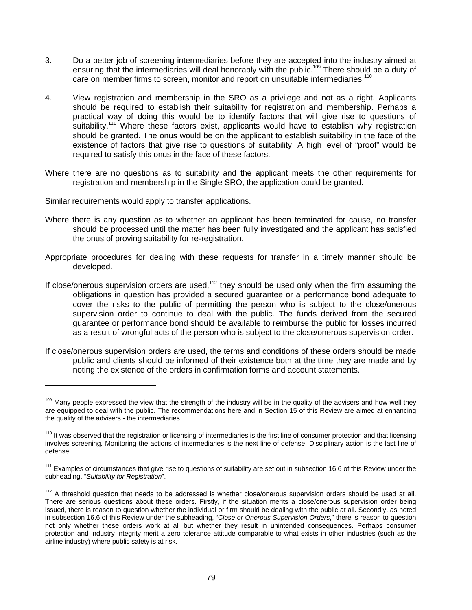- 3. Do a better job of screening intermediaries before they are accepted into the industry aimed at ensuring that the intermediaries will deal honorably with the public.<sup>109</sup> There should be a duty of care on member firms to screen, monitor and report on unsuitable intermediaries.110
- 4. View registration and membership in the SRO as a privilege and not as a right. Applicants should be required to establish their suitability for registration and membership. Perhaps a practical way of doing this would be to identify factors that will give rise to questions of suitability.<sup>111</sup> Where these factors exist, applicants would have to establish why registration should be granted. The onus would be on the applicant to establish suitability in the face of the existence of factors that give rise to questions of suitability. A high level of "proof" would be required to satisfy this onus in the face of these factors.
- Where there are no questions as to suitability and the applicant meets the other requirements for registration and membership in the Single SRO, the application could be granted.
- Similar requirements would apply to transfer applications.

- Where there is any question as to whether an applicant has been terminated for cause, no transfer should be processed until the matter has been fully investigated and the applicant has satisfied the onus of proving suitability for re-registration.
- Appropriate procedures for dealing with these requests for transfer in a timely manner should be developed.
- If close/onerous supervision orders are used,<sup>112</sup> they should be used only when the firm assuming the obligations in question has provided a secured guarantee or a performance bond adequate to cover the risks to the public of permitting the person who is subject to the close/onerous supervision order to continue to deal with the public. The funds derived from the secured guarantee or performance bond should be available to reimburse the public for losses incurred as a result of wrongful acts of the person who is subject to the close/onerous supervision order.
- If close/onerous supervision orders are used, the terms and conditions of these orders should be made public and clients should be informed of their existence both at the time they are made and by noting the existence of the orders in confirmation forms and account statements.

<sup>&</sup>lt;sup>109</sup> Many people expressed the view that the strength of the industry will be in the quality of the advisers and how well they are equipped to deal with the public. The recommendations here and in Section 15 of this Review are aimed at enhancing the quality of the advisers - the intermediaries.

<sup>&</sup>lt;sup>110</sup> It was observed that the registration or licensing of intermediaries is the first line of consumer protection and that licensing involves screening. Monitoring the actions of intermediaries is the next line of defense. Disciplinary action is the last line of defense.

<sup>&</sup>lt;sup>111</sup> Examples of circumstances that give rise to questions of suitability are set out in subsection 16.6 of this Review under the subheading, "*Suitability for Registration*".

 $112$  A threshold question that needs to be addressed is whether close/onerous supervision orders should be used at all. There are serious questions about these orders. Firstly, if the situation merits a close/onerous supervision order being issued, there is reason to question whether the individual or firm should be dealing with the public at all. Secondly, as noted in subsection 16.6 of this Review under the subheading, "*Close or Onerous Supervision Orders*," there is reason to question not only whether these orders work at all but whether they result in unintended consequences. Perhaps consumer protection and industry integrity merit a zero tolerance attitude comparable to what exists in other industries (such as the airline industry) where public safety is at risk.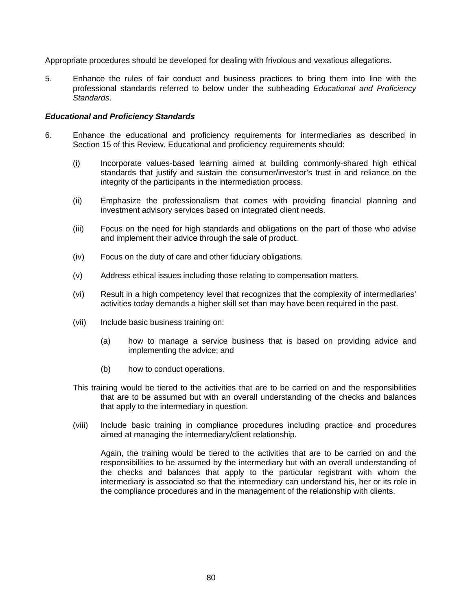Appropriate procedures should be developed for dealing with frivolous and vexatious allegations.

5. Enhance the rules of fair conduct and business practices to bring them into line with the professional standards referred to below under the subheading *Educational and Proficiency Standards*.

#### *Educational and Proficiency Standards*

- 6. Enhance the educational and proficiency requirements for intermediaries as described in Section 15 of this Review. Educational and proficiency requirements should:
	- (i) Incorporate values-based learning aimed at building commonly-shared high ethical standards that justify and sustain the consumer/investor's trust in and reliance on the integrity of the participants in the intermediation process.
	- (ii) Emphasize the professionalism that comes with providing financial planning and investment advisory services based on integrated client needs.
	- (iii) Focus on the need for high standards and obligations on the part of those who advise and implement their advice through the sale of product.
	- (iv) Focus on the duty of care and other fiduciary obligations.
	- (v) Address ethical issues including those relating to compensation matters.
	- (vi) Result in a high competency level that recognizes that the complexity of intermediaries' activities today demands a higher skill set than may have been required in the past.
	- (vii) Include basic business training on:
		- (a) how to manage a service business that is based on providing advice and implementing the advice; and
		- (b) how to conduct operations.
	- This training would be tiered to the activities that are to be carried on and the responsibilities that are to be assumed but with an overall understanding of the checks and balances that apply to the intermediary in question.
	- (viii) Include basic training in compliance procedures including practice and procedures aimed at managing the intermediary/client relationship.

Again, the training would be tiered to the activities that are to be carried on and the responsibilities to be assumed by the intermediary but with an overall understanding of the checks and balances that apply to the particular registrant with whom the intermediary is associated so that the intermediary can understand his, her or its role in the compliance procedures and in the management of the relationship with clients.